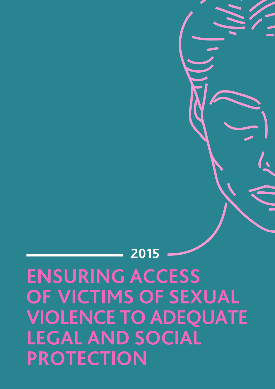# 2015

**ENSURING ACCESS** OF VICTIMS OF SEXUAL **VIOLENCE TO ADEQUATE LEGAL AND SOCIAL** PROTECTION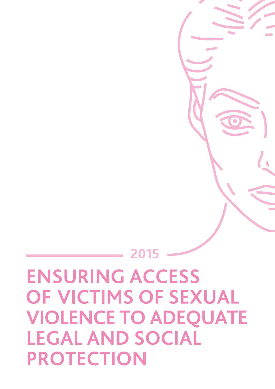# **ENSURING ACCESS** OF VICTIMS OF SEXUAL **VIOLENCE TO ADEQUATE LEGAL AND SOCIAL PROTECTION**

2015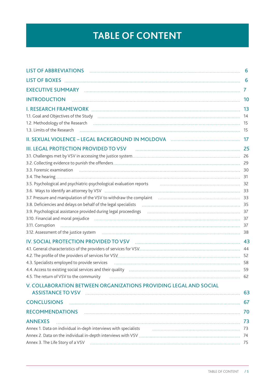## **TABLE OF CONTENT**

|                                                                                                                                                                                                                                                                           | 6                    |
|---------------------------------------------------------------------------------------------------------------------------------------------------------------------------------------------------------------------------------------------------------------------------|----------------------|
| <b>LIST OF BOXES</b>                                                                                                                                                                                                                                                      | 6                    |
| EXECUTIVE SUMMARY MARKET AND ACCORDING A SERIES AND THE SUMMARY AND THE SUMMARY SERIES AND THE SUMMARY SUMMARY                                                                                                                                                            | 7                    |
| <b>INTRODUCTION</b>                                                                                                                                                                                                                                                       | 10                   |
| I. RESEARCH FRAMEWORK MARIEMAN MARIEM AND THE RESEARCH FRAMEWORK<br>1.2. Methodology of the Research <b>contract to the contract of the Contract Contract and Tagger</b> 15                                                                                               | 13<br>14             |
| II. SEXUAL VIOLENCE - LEGAL BACKGROUND IN MOLDOVA MALLER CONTENTION AND THE TH                                                                                                                                                                                            |                      |
| <b>III. LEGAL PROTECTION PROVIDED TO VSV</b><br>37. Financial and moral prejudice (all continuations) and the material state and the state of the state of the<br>3.11. Corruption                                                                                        |                      |
| IV. SOCIAL PROTECTION PROVIDED TO VSV <b>EXAMPLE 2018</b> 10 YO 43                                                                                                                                                                                                        |                      |
| 4.3. Specialists employed to provide services (2000) contracts and the control of the service of the service of the services (2000) and the service of the service of the service of the service of the service of the service<br>4.5. The return of VSV to the community | 44<br>52<br>58<br>59 |
| V. COLLABORATION BETWEEN ORGANIZATIONS PROVIDING LEGAL AND SOCIAL                                                                                                                                                                                                         |                      |
|                                                                                                                                                                                                                                                                           |                      |
|                                                                                                                                                                                                                                                                           |                      |
| <b>ANNEXES</b>                                                                                                                                                                                                                                                            |                      |
|                                                                                                                                                                                                                                                                           |                      |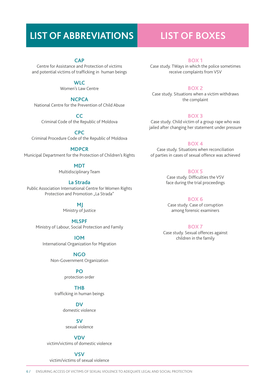## **LIST OF ABBREVIATIONS LIST OF BOXES**

#### **CAP**

Centre for Assistance and Protection of victims and potential victims of trafficking in human beings

#### **WLC**

Women's Law Centre

#### **NCPCA**

National Centre for the Prevention of Child Abuse

 $\overline{C}$ Criminal Code of the Republic of Moldova

#### **CPC** Criminal Procedure Code of the Republic of Moldova

#### **MDPCR**

Municipal Department for the Protection of Children's Rights

**MDT** Multidisciplinary Team

#### **La Strada**

Public Association International Centre for Women Rights Protection and Promotion "La Strada"

#### **MJ**

Ministry of Justice

#### **MLSPF**

Ministry of Labour, Social Protection and Family

**IOM**

International Organization for Migration

**NGO** Non-Government Organization

#### **PO**

protection order

#### **THB**

trafficking in human beings

#### **DV**

domestic violence

#### **SV**

sexual violence

#### **VDV**

victim/victims of domestic violence

#### **VSV**

victim/victims of sexual violence

**BOX 1** Case study. TWays in which the police sometimes receive complaints from VSV

#### **BOX 2**

Case study. Situations when a victim withdraws the complaint

#### **BOX 3**

Case study. Child victim of a group rape who was jailed after changing her statement under pressure

#### **BOX 4**

Case study. Situations when reconciliation of parties in cases of sexual offence was achieved

#### **BOX 5**

Case study. Difficulties the VSV face during the trial proceedings

#### **BOX 6**

Case study. Case of corruption among forensic examiners

#### **BOX 7**

Case study. Sexual offences against children in the family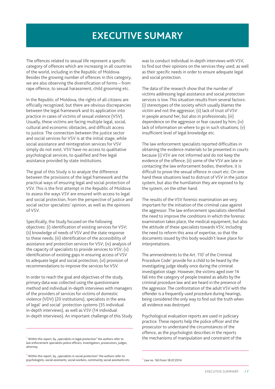## **EXECUTIVE SUMARY**

The offences related to sexual life represent a specific category of offences which are increasing in all countries of the world, including in the Republic of Moldova. Besides the growing number of offences in this category, we are also observing the diversification of forms – from rape offence, to sexual harassment, child grooming etc.

In the Republic of Moldova, the rights of all citizens are officially recognized, but there are obvious discrepancies between the legal framework and its application into practice in cases of victims of sexual violence (VSV). Usually, these victims are facing multiple legal, social, cultural and economic obstacles, and difficult access to justice. The connection between the justice sector and social services for VSV is at the initial stage, while social assistance and reintegration services for VSV simply do not exist. VSV have no access to qualitative psychological services, to qualified and free legal assistance provided by state institutions.

The goal of this Study is to analyze the difference between the provisions of the legal framework and the practical ways of ensuring legal and social protection of VSV. This is the first attempt in the Republic of Moldova to assess the ways VSV are ensured with access to legal and social protection, from the perspective of justice and social sector specialists' opinion, as well as the opinions of VSV.

Specifically, the Study focused on the following objectives: (i) identification of existing services for VSV; (ii) knowledge of needs of VSV and the state response to these needs; (iii) identification of the accessibility of assistance and protection services for VSV; (iv) analysis of the capacity of specialists to provide services to VSV; (v) identification of existing gaps in ensuring access of VSV to adequate legal and social protection; (vi) provision of recommendations to improve the services for VSV.

In order to reach the goal and objectives of the study, primary data was collected using the questionnaire method and individual in-depth interviews with managers of the providers of services for victims of domestic violence (VDV) (20 institutions), specialists in the area of legal<sup>1</sup> and social<sup>2</sup> protection systems (35 individual in-depth interviews), as well as VSV (14 individual in-depth interviews). An important challenge of this Study

law enforcement specialists police officers, investigators, prosecutors, judges, attorney.

<sup>2</sup> Within this report, by "specialists in social protection" the authors refer to psychologists, social assistants, social workers, community social assistants etc. **<sup>3</sup>** Law no. 163 from 18.07.2014.

was to conduct individual in-depth interviews with VSV, to find out their opinions on the services they used, as well as their specific needs in order to ensure adequate legal and social protection.

The data of the research show that the number of victims addressing legal assistance and social protection services is low. This situation results from several factors: (i) stereotypes of the society which usually blames the victim and not the aggressor; (ii) lack of trust of VSV in people around her, but also in professionals; (iii) dependence on the aggressor or fear caused by him; (iv) lack of information on where to go in such situations; (v) insufficient level of legal knowledge etc.

The law enforcement specialists reported difficulties in obtaining the evidence materials to be presented in courts because (i) VSV are not informed and do not keep the evidence of the offence; (ii) some of the VSV are late in contacting the law enforcement bodies, therefore, it is difficult to prove the sexual offence in court etc. On one hand these situations lead to distrust of VSV in the justice system, but also the humiliation they are exposed to by the system, on the other hand.

The results of the VSV forensic examination are very important for the initiation of the criminal case against the aggressor. The law enforcement specialists identified the need to improve the conditions in which the forensic examination takes place, the medical equipment, but also the attitude of these specialists towards VSV, including the need to reform this area of expertise, so that the documents issued by this body wouldn't leave place for interpretations.

The ammendments to the Art. 110' of the Criminal Procedure Code<sup>3</sup> provide for a child to be heard by the investigating judge ideally once during the criminal investigation stage. However, the victims aged over 14 fall into the category of people treated as adults by the criminal procedure law and are heard in the presence of the aggressor. The confrontation of the adult VSV with the offender is a frequently used procedure during hearings, being considered the only way to find out the truth when all evidence was destroyed.

Psychological evaluation reports are used in judiciary practice. These reports help the police officer and the prosecutor to understand the circumstances of the offence, as the psychologist describes in the reports <sup>1</sup> Within this report, by "specialists in legal protection" the authors refer to **the mechanisms of manipulation and constraint of the**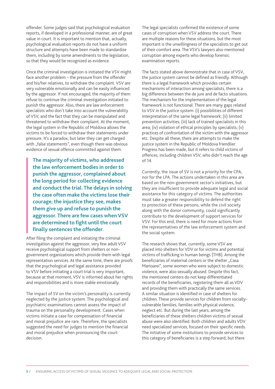offender. Some judges said that psychological evaluation reports, if developed in a professional manner, are of great value in court. It is important to mention that, actually, psychological evaluation reports do not have a uniform structure and attempts have been made to standardize them, including by some amendments to the legislation, so that they would be recognized as evidence.

Once the criminal investigation is initiated the VSV might face another problem – the pressure from the offender and his/her relatives, to withdraw the complaint. VSV are very vulnerable emotionally and can be easily influenced by the aggressor. If not encouraged, the majority of them refuse to continue the criminal investigation initiated to punish the aggressor. Also, there are law enforcement specialists who don't take into account the vulnerability of VSV, and the fact that they can be manipulated and threatened to withdraw their complaint. At the moment, the legal system in the Republic of Moldova allows the victims to be forced to withdraw their statements under pressure. It's a paradox, but later they can get charged with "false statements", even though there was obvious evidence of sexual offence committed against them.

**The majority of victims, who addressed the law enforcement bodies in order to punish the aggressor, complained about the long period for collecting evidence and conduct the trial. The delays in solving the case often make the victims lose their courage; the injustice they see, makes them give up and refuse to punish the aggressor. There are few cases when VSV are determined to fight until the court finally sentences the offender.**

After filing the complaint and initiating the criminal investigation against the aggressor, very few adult VSV receive psychological support from shelters or nongovernment organizations which provide them with legal representation services. At the same time, there are proofs that the psychological and legal assistance provided to VSV before initiating a court trial is very important, because at that moment, VSV is informed about her rights and responsibilities and is more stable emotionally.

The impact of SV on the victim's personality is currently neglected by the justice system. The psychological and psychiatric examinations cannot assess the impact of trauma on the personality development. Cases when victims initiate a case for compensation of financial and moral prejudice are rare. Therefore, the specialists suggested the need for judges to mention the financial and moral prejudice when pronouncing the court decision.

The legal specialists confirmed the existence of some cases of corruption when VSV address the court. There are multiple reasons for these situations, but the most important is the unwillingness of the specialists to get out of their comfort area. The VSV's lawyers also mentioned corruption among experts who develop forensic examination reports.

The facts stated above demonstrate that in case of VSV, the justice system cannot be defined as friendly. Although there is a legal framework which provides certain mechanisms of interaction among specialists, there is a big difference between the de jure and de facto situations. The mechanism for the implementation of the legal framework is not functional. There are many gaps related to VSV in the justice system: (i) possibilities of different interpretation of the same legal framework; (ii) limited prevention activities; (iii) lack of trained specialists in this area; (iv) violation of ethical principles by specialists; (v) practices of confrontation of the victim with the aggressor etc. Despite all these, there are attempts to make the justice system in the Republic of Moldova friendlier. Progress has been made, but it refers to child victims of offences, including children VSV, who didn't reach the age of 14.

Currently, the issue of SV is not a priority for the CPA, nor for the LPA. The actions undertaken in this area are based on the non-government sector's initiatives, but they are insufficient to provide adequate legal and social assistance for this category of victims. The authorities must take a greater responsibility to defend the right to protection of these persons, while the civil society along with the donor community, could significantly contribute to the development of support services for VSV. For this end, there is need for more actions from the representatives of the law enforcement system and the social system.

The research shows that, currently, some VSV are placed into shelters for VDV or for victims and potential victims of trafficking in human beings (THB). Among the beneficiaries of maternal centers or the shelter "Casa Marioarei", some women who were subject to domestic violence, were also sexually abused. Despite this fact, the mentioned centers do not keep differentiated records of the beneficiaries, registering them all as VDV and providing them with practically the same services. A similar situation is identified in case of shelters for children. These provide services for children from sociallyvulnerable families, families with physical violence, neglect etc. But during the last years, among the beneficiaries of these shelters children victims of sexual abuse were also identified. Both children and adults VDV need specialized services, focused on their specific needs. The initiative of some institutions to provide services to this category of beneficiaries is a step forward, but there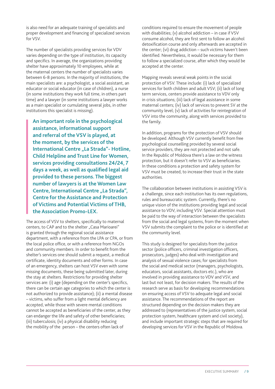is also need for an adequate training of specialists and proper development and financing of specialized services for VSV.

The number of specialists providing services for VDV varies depending on the type of institution, its capacity and specifics. In average, the organizations providing shelter have approximately 10 employees, while at the maternal centers the number of specialists varies between 6-8 persons. In the majority of institutions, the main specialists are: a psychologist, a social assistant, an educator or social educator (in case of children), a nurse (in some institutions they work full time, in others part time) and a lawyer (in some institutions a lawyer works as a main specialist or cumulating several jobs, in other institutions this specialist is missing).

**An important role in the psychological assistance, informational support and referral of the VSV is played, at the moment, by the services of the International Centre "La Strada"- Hotline, Child Helpline and Trust Line for Women, services providing consultations 24/24, 7 days a week, as well as qualified legal aid provided to these persons. The biggest number of lawyers is at the Women Law Centre, International Centre "La Strada", Centre for the Assistance and Protection of Victims and Potential Victims of THB, the Association Promo-LEX.** 

The access of VSV to shelters, specifically to maternal centers, to CAP and to the shelter "Casa Marioarei" is granted through the regional social assistance department, with a reference from the LPA or CPA, or from the local police office, or with a reference from NGOs and community members. In order to benefit from the shelter's services one should submit a request, a medical certificate, identity documents and other forms. In case of an emergency, shelters can host VSV even with some missing documents, these being submitted later, during the stay at shelters. Restrictions for providing shelter services are: (i) age (depending on the center's specifics, there can be certain age categories to which the center is not authorized to provide assistance); (ii) a mental disease – victims, who suffer from a light mental deficiency are accepted, while those with severe mental conditions cannot be accepted as beneficiaries of the center, as they can endanger the life and safety of other beneficiaries; (iii) tuberculosis; (iv) a physical disability reducing the mobility of the person – the centers often lack of

conditions required to ensure the movement of people with disabilities; (v) alcohol addiction – in case if VSV consume alcohol, they are first sent to follow an alcohol detoxification course and only afterwards are accepted in the center; (vi) drug addiction – such victims haven't been identified. Nevertheless, it would be necessary for them to follow a specialized course, after which they would be accepted at the center.

Mapping reveals several weak points in the social protection of VSV. These include: (i) lack of specialized services for both children and adult VSV; (ii) lack of long term services, centers provide assistance to VDV only in crisis situations; (iii) lack of legal assistance in some maternal centers; (iv) lack of services to prevent SV at the community level; (v) lack of activities for reintegration of VSV into the community, along with services provided to the family.

In addition, programs for the protection of VSV should be developed. Although VSV currently benefit from free psychological counselling provided by several social service providers, they are not protected and not safe. In the Republic of Moldova there's a law on the witness protection, but it doesn't refer to VSV as beneficiaries. In these conditions a protection and safety system for VSV must be created, to increase their trust in the state authorities.

The collaboration between institutions in assisting VSV is a challenge, since each institution has its own regulations, rules and bureaucratic system. Currently, there's no unique vision of the institutions providing legal and social assistance to VDV, including VSV. Special attention must be paid to the way of interaction between the specialists from the social and legal systems, from the moment when VSV submits the complaint to the police or is identified at the community level.

This study is designed for specialists from the justice sector (police officers, criminal investigation officers, prosecutors, judges) who deal with investigation and analysis of sexual violence cases; for specialists from the social and medical sector (managers, psychologists, educators, social assistants, doctors etc.), who are involved in providing assistance to VDV and VSV, and last but not least, for decision makers. The results of the research serve as basis for developing recommendations on ensuring access of VSV to adequate legal and social assistance. The recommendations of the report are structured depending on the decision makers they are addressed to (representatives of the justice system, social protection system, healthcare system and civil society), and include important strategic steps that are required for developing services for VSV in the Republic of Moldova.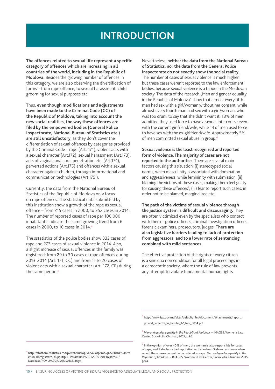## **INTRODUCTION**

**The offences related to sexual life represent a specific category of offences which are increasing in all countries of the world, including in the Republic of Moldova.** Besides the growing number of offences in this category, we are also observing the diversification of forms – from rape offence, to sexual harassment, child grooming for sexual purposes etc.

Thus, **even though modifications and adjustments have been made to the Criminal Code (CC) of the Republic of Moldova, taking into account the new social realities, the way these offences are filed by the empowered bodies (General Police Inspectorate, National Bureau of Statistics etc.) are still unsatisfactory,** as they don't cover the differentiation of sexual offences by categories provided by the Criminal Code – rape (Art. 171), violent acts with a sexual character (Art.172), sexual harassment (Art.173), acts of vaginal, anal, oral penetration etc. (Art.174), perverted actions (Art.175) and offences with a sexual character against children, through informational and communication technologies (Art.175').

Currently, the data from the National Bureau of Statistics of the Republic of Moldova only focus on rape offences. The statistical data submitted by this institution show a growth of the rape as sexual offence – from 215 cases in 2000, to 352 cases in 2014. The number of reported cases of rape per 100 000 inhabitants indicate the same growing trend from 6 cases in 2000, to 10 cases in 2014.**<sup>4</sup>**

The sstatistics of the police bodies show 332 cases of rape and 273 cases of sexual violence in 2014. Also, a slight increase of sexual offences in the family was registered: from 29 to 30 cases of rape offences during 2013-2014 (Art. 171, CC) and from 11 to 20 cases of violent acts with a sexual character (Art. 172, CP) during the same period.**<sup>5</sup>**

Nevertheless, **neither the data from the National Bureau of Statistics, nor the data from the General Police Inspectorate do not exactly show the social reality**. The number of cases of sexual violence is much higher, but these cases weren't reported to the law enforcement bodies, because sexual violence is a taboo in the Moldovan society. The data of the research "Men and gender equality in the Republic of Moldova" show that almost every fifth man had sex with a girl/woman without her consent, while almost every fourth man had sex with a girl/woman, who was too drunk to say that she didn't want it. 18% of men admitted they used force to have a sexual intercourse even with the current girlfriend/wife, while 14 of men used force to have sex with the ex-girlfriend/wife. Approximately 5% of men committed sexual abuse in group.**<sup>6</sup>**

**Sexual violence is the least recognized and reported form of violence. The majority of cases are not reported to the authorities.** There are several main factors causing this situation: (i) stereotyped social norms, when masculinity is associated with domination and aggressiveness, while femininity with submission; (ii) blaming the victims of these cases, making them feel guilty for causing these offences**<sup>7</sup>** ; (iii) fear to report such cases, in order not to be blamed, marginalized etc.

**The path of the victims of sexual violence through the justice system is difficult and discouraging.** They are often victimized even by the specialists who contact with them – police officers, criminal investigation officers, forensic examiners, prosecutors, judges. **There are also legislative barriers leading to lack of protection from aggressors, and to a lower rate of sentencing combined with mild sentences.**

The effective protection of the rights of every citizen is a sine qua non condition for all legal proceedings in a democratic society, where the rule of law prevents any attempt to violate fundamental human rights

**<sup>5</sup>** http://www.igp.gov.md/sites/default/files/document/attachments/raport\_ privind violenta in familie 12 luni 2014.pdf

**<sup>6</sup>***Men and gender equality in the Republic of Moldova.* – IMAGES, Women's Law Center, SocioPolis, Chisinau, 2015, p.96.

**<sup>7</sup>** In the opinion of over 40% of men, the woman is also responsible for cases of rape; and if she has a bad reputation or if she doesn't show resistance when raped, these cases cannot be considered as rape. *Men and gender equality in the Republic of Moldova.* – IMAGES, Women's Law Center, SocioPolis, Chisinau, 2015, p.94.

**<sup>4</sup>**http://statbank.statistica.md/pxweb/Dialog/varval.asp?ma=JUS0101&ti=Infra ctiuni+inregistrate+dupa+tipul+infractiunii%2C+2000-2014&path=../ Database/RO/12%20JUS/JUS01/&lang=1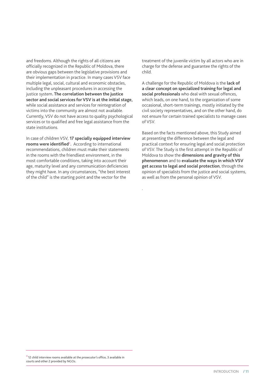and freedoms. Although the rights of all citizens are officially recognized in the Republic of Moldova, there are obvious gaps between the legislative provisions and their implementation in practice. In many cases VSV face multiple legal, social, cultural and economic obstacles, including the unpleasant procedures in accessing the justice system**. The correlation between the justice sector and social services for VSV is at the initial stage,**  while social assistance and services for reintegration of victims into the community are almost not available. Currently, VSV do not have access to quality psychological services or to qualified and free legal assistance from the state institutions.

In case of children VSV, **17 specially equipped interview**  rooms were identified<sup>8</sup>. According to international recommendations, children must make their statements in the rooms with the friendliest environment, in the most comfortable conditions, taking into account their age, maturity level and any communication deficiencies they might have. In any circumstances, "the best interest of the child" is the starting point and the vector for the

treatment of the juvenile victim by all actors who are in charge for the defense and guarantee the rights of the child.

A challenge for the Republic of Moldova is the **lack of a clear concept on specialized training for legal and social professionals** who deal with sexual offences, which leads, on one hand, to the organization of some occasional, short-term trainings, mostly initiated by the civil society representatives, and on the other hand, do not ensure for certain trained specialists to manage cases of VSV.

Based on the facts mentioned above, this Study aimed at presenting the difference between the legal and practical context for ensuring legal and social protection of VSV. The Study is the first attempt in the Republic of Moldova to show the **dimensions and gravity of this phenomenon** and to **evaluate the ways in which VSV get access to legal and social protection**, through the opinion of specialists from the justice and social systems, as well as from the personal opinion of VSV.

.

**<sup>8</sup>** 12 child interview rooms available at the prosecutor's office, 3 available in courts and other 2 provided by NGOs.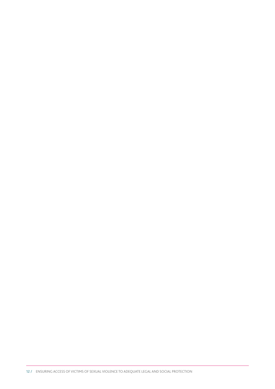**12 /** ENSURING ACCESS OF VICTIMS OF SEXUAL VIOLENCE TO ADEQUATE LEGAL AND SOCIAL PROTECTION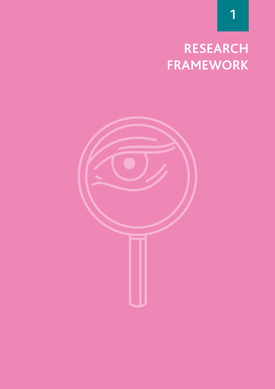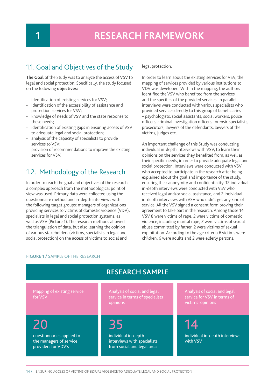## 1.1. Goal and Objectives of the Study

**The Goal** of the Study was to analyze the access of VSV to legal and social protection. Specifically, the study focused on the following **objectives:**

- identification of existing services for VSV;
- Identification of the accessibility of assistance and protection services for VSV;
- knowledge of needs of VSV and the state response to these needs;
- identification of existing gaps in ensuring access of VSV to adequate legal and social protection;
- analysis of the capacity of specialists to provide services to VSV;
- provision of recommendations to improve the existing services for VSV.

## 1.2. Methodology of the Research

In order to reach the goal and objectives of the research a complex approach from the methodological point of view was used. Primary data were collected using the questionnaire method and in-depth interviews with the following target groups: managers of organizations providing services to victims of domestic violence (VDV), specialists in legal and social protection systems, as well as VSV (Picture 1). The research methods allowed the triangulation of data, but also learning the opinion of various stakeholders (victims, specialists in legal and social protection) on the access of victims to social and

legal protection.

In order to learn about the existing services for VSV, the mapping of services provided by various institutions to VDV was developed. Within the mapping, the authors identified the VSV who benefited from the services and the specifics of the provided services. In parallel, interviews were conducted with various specialists who provided services directly to this group of beneficiaries – psychologists, social assistants, social workers, police officers, criminal investigation officers, forensic specialists, prosecutors, lawyers of the defendants, lawyers of the victims, judges etc.

An important challenge of this Study was conducting individual in-depth interviews with VSV, to learn their opinions on the services they benefited from, as well as their specific needs, in order to provide adequate legal and social protection. Interviews were conducted with VSV who accepted to participate in the research after being explained about the goal and importance of the study, ensuring their anonymity and confidentiality. 12 individual in-depth interviews were conducted with VSV who received legal and/or social assistance, and 2 individual in-depth interviews with VSV who didn't get any kind of service. All the VSV signed a consent form proving their agreement to take part in the research. Among those 14 VSV 8 were victims of rape, 2 were victims of domestic violence, including marital rape, 2 were victims of sexual abuse committed by father, 2 were victims of sexual exploitation. According to the age criteria 6 victims were children, 6 were adults and 2 were elderly persons.

#### **FIGURE 1 / SAMPLE OF THE RESEARCH**

| <b>RESEARCH SAMPLE</b>                                                            |                                                                                        |                                                                                 |
|-----------------------------------------------------------------------------------|----------------------------------------------------------------------------------------|---------------------------------------------------------------------------------|
| Mapping of existing service<br>for VSV                                            | Analysis of social and legal<br>service in terms of specialists<br>opinions            | Analysis of social and legal<br>service for VSV in terms of<br>victims opinions |
| 20<br>questionnaries applied to<br>the managers of service<br>providers for VDV's | 35<br>individual in-depth<br>interviews with specialists<br>from social and legal area | 14<br>individual in-depth interviews<br>with VSV                                |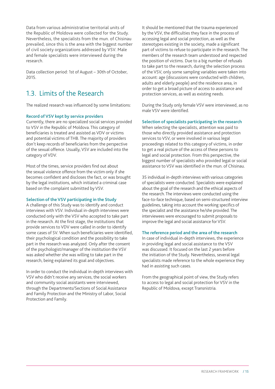Data from various administrative territorial units of the Republic of Moldova were collected for the Study. Nevertheless, the specialists from the mun. of Chisinau prevailed, since this is the area with the biggest number of civil society organizations addressed by VSV. Male and female specialists were interviewed during the research.

Data collection period: 1st of August – 30th of October, 2015.

## 1.3. Limits of the Research

The realized research was influenced by some limitations:

#### **Record of VSV kept by service providers**

Currently, there are no specialized social services provided to VSV in the Republic of Moldova. This category of beneficiaries is treated and assisted as VDV or victims and potential victims of THB. The majority of providers don't keep records of beneficiaries from the perspective of the sexual offence. Usually, VSV are included into the category of VDV.

Most of the times, service providers find out about the sexual violence offence from the victim only if she becomes confident and discloses the fact, or was brought by the legal institutions, which initiated a criminal case based on the complaint submitted by VSV.

#### **Selection of the VSV participating in the Study**

A challenge of this Study was to identify and conduct interviews with VSV. Individual in-depth interviews were conducted only with the VSV who accepted to take part in the research. At the first stage, the institutions that provide services to VDV were called in order to identify some cases of SV. When such beneficiaries were identified, their psychological condition and the possibility to take part in the research was analyzed. Only after the consent of the psychologist/manager of the institution the VSV was asked whether she was willing to take part in the research, being explained its goal and objectives.

In order to conduct the individual in-depth interviews with VSV who didn't receive any services, the social workers and community social assistants were interviewed, through the Departments/Sections of Social Assistance and Family Protection and the Ministry of Labor, Social Protection and Family.

It should be mentioned that the trauma experienced by the VSV, the difficulties they face in the process of accessing legal and social protection, as well as the stereotypes existing in the society, made a significant part of victims to refuse to participate in the research. The members of the research team understood and respected the position of victims. Due to a big number of refusals to take part to the research, during the selection process of the VSV, only some sampling variables were taken into account: age (discussions were conducted with children, adults and elderly people) and the residence area, in order to get a broad picture of access to assistance and protection services, as well as existing needs.

During the Study only female VSV were interviewed, as no male VSV were identified.

#### **Selection of specialists participating in the research**

When selecting the specialists, attention was paid to those who directly provided assistance and protection services to VSV, or were involved in various legal proceedings related to this category of victims, in order to get a real picture of the access of these persons to legal and social protection. From this perspective, the biggest number of specialists who provided legal or social assistance to VSV was identified in the mun. of Chisinau.

35 individual in-depth interviews with various categories of specialists were conducted. Specialists were explained about the goal of the research and the ethical aspects of the research. The interviews were conducted using the face-to-face technique, based on semi-structured interview guidelines, taking into account the working specifics of the specialist and the assistance he/she provided. The interviewees were encouraged to submit proposals to improve the legal and social assistance for VSV.

#### **The reference period and the area of the research**

In case of individual in-depth interviews, the experience in providing legal and social assistance to the VSV was discussed. It focused on the last 2 years before the initiation of the Study. Nevertheless, several legal specialists made reference to the whole experience they had in assisting such cases.

From the geographical point of view, the Study refers to access to legal and social protection for VSV in the Republic of Moldova, except Transnistria.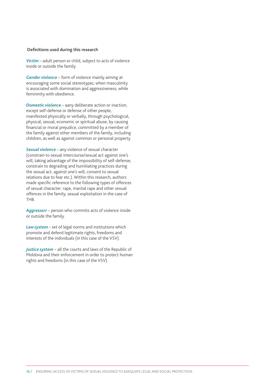#### **Definitions used during this research**

*Victim* – adult person or child, subject to acts of violence inside or outside the family.

*Gender violence* – form of violence mainly aiming at encouraging some social stereotypes, when masculinity is associated with domination and aggressiveness, while femininity with obedience.

*Domestic violence* – aany deliberate action or inaction, except self-defense or defense of other people, manifested physically or verbally, through psychological, physical, sexual, economic or spiritual abuse, by causing financial or moral prejudice, committed by a member of the family against other members of the family, including children, as well as against common or personal property.

*Sexual violence* – any violence of sexual character (constrain to sexual intercourse/sexual act against one's will, taking advantage of the impossibility of self-defense; constrain to degrading and humiliating practices during the sexual act, against one's will; consent to sexual relations due to fear etc.). Within this research, authors made specific reference to the following types of offences of sexual character: rape, marital rape and other sexual offences in the family, sexual exploitation in the case of THB.

*Aggressorr* – person who commits acts of violence inside or outside the family.

*Law system* – set of legal norms and institutions which promote and defend legitimate rights, freedoms and interests of the individuals (in this case of the VSV).

*Justice system* – all the courts and laws of the Republic of Moldova and their enforcement in order to protect human rights and freedoms (in this case of the VSV).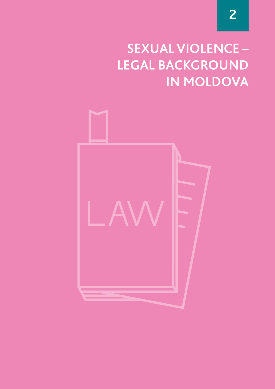# **SEXUAL VIOLENCE – LEGAL BACKGROUND IN MOLDOVA**

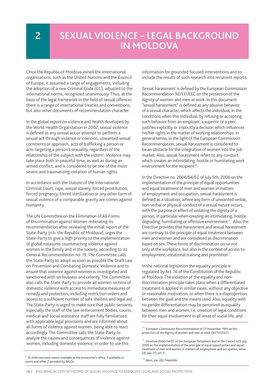## **SEXUAL VIOLENCE – LEGAL BACKGROUND IN MOLDOVA**

Once the Republic of Moldova joined the international organizations, such as the United Nations and the Council of Europe, it assumed a range of engagements, including the adoption of a new Criminal Code (CC), adjusted to the international norms, recognized unanimously. Thus, at the basis of the legal framework in the field of sexual offences there is a range of international treaties and conventions, but also other documents of recommendation character.

In the global report on violence and health developed by the World Health Organization in 2002, sexual violence is defined as any sexual act or attempt to perform a sexual act through violence or coercion, unwanted sexual comments or approach, acts of trafficking a person or acts targeting a person's sexuality, regardless of the relationship of the subject with the victim**<sup>9</sup>** . Violence may take place both in peaceful time, as well as during an armed conflict, and is considered to be one of the most severe and traumatizing violation of human rights.

In accordance with the Statute of the International Criminal Court, rape, sexual slavery, forced prostitution, forced pregnancy, forced sterilization or any other form of sexual violence of a comparable gravity are crimes against humanity.

The UN Committee on the Elimination of All Forms of Discrimination against Women reiterating its recommendation after reviewing the initial report of the State-Party (n.b. the Republic of Moldova), urges the State-Party to give a high priority to the implementation of global measures counteracting violence against women in the family and in the society, according to its General Recommendation no. 19. The Committee calls the State-Party to adopt as soon as possible the Draft Law on Prevention and Combating Domestic Violence and to ensure that violence against women is investigated and sanctioned with seriousness and celerity. The Committee also calls the State-Party to provide all women-victims of domestic violence with access to immediate measures of remedy and protection, including restriction orders and access to a sufficient number of safe shelters and legal aid. The State-Party is urged to make sure that public servants, especially the staff of the law enforcement bodies, courts, medical and social assistance staff are fully familiarized with applicable legal provisions and are informed about all forms of violence against women, being able to react accordingly. The Committee calls the State-Party to analyze the causes and consequences of violence against women, including domestic violence, in order to use this

information for grounded focused interventions and to include the results of such research into recurrent reports.

Sexual harassment is defined by the European Commission Recommendation 92/131/EEC on the protection of the dignity of women and men at work. In this document "sexual harassment" is defined as any abusive behavior of a sexual character, which affects the individual, in the conditions when this individual, by refusing or accepting such behavior from an employer, a superior or a peer, justifies explicitly or implicitly a decision which influences his/her rights in the matter of working relationships. In general terms, in the light of the European Commission Recommendation, sexual harassment is considered to be an obstacle for the integration of women into the job market. Also, sexual harassment refers to any conduct which creates an intimidating, hostile or humiliating work environment for the recipient**10**.

In the Directive no. 2006/54/EC of July 5th, 2006 on the implementation of the principle of equal opportunities and equal treatment of men and women in matters of employment and occupation, sexual harassment is defined as a situation, where any form of unwanted verbal, non-verbal or physical conduct of a sexual nature occurs, with the purpose or effect of violating the dignity of a person, in particular when creating an intimidating, hostile, degrading, humiliating or offensive environment**11**. Also, the Directive provides that harassment and sexual harassment are contrary to the principle of equal treatment between men and women and are considered as discrimination based on sex. These forms of discrimination occur not only at the workplace, but also in the context of access to employment, vocational training and promotion**12**.

In the national legislation the equality principle is regulated by Art. 16 of the Constitution of the Republic of Moldova. The violation of the equality and nondiscrimination principle takes place when a differentiated treatment is applied in similar cases, without any objective or reasonable motivation, or when there is a disproportion between the goal and the means used. Also, equality with no gender differentiation may be perceived as equality between men and women, i.e. creation of legal conditions for their equal involvement in all areas of social life, and

**<sup>10</sup>**European Commission Recommendation of 27 November 1991 on the protection of the dignity of women and men at work (92/131/EEC).

**<sup>11</sup>**Directive 2006/54/EC of the European Parliament and of the Council of 5 July 2006 on the implementation of the principle of equal opportunities and equal treatment of men and women in matters of employment and occupation, letter (d), par. (1), art. 2.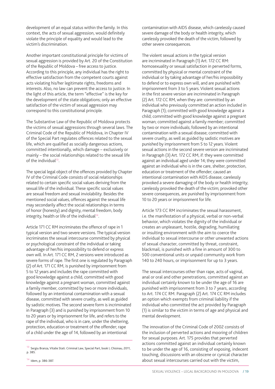development of an equal status within the family. In this context, the acts of sexual aggression, would definitely violate the principle of equality and would lead to the victim's discrimination.

Another important constitutional principle for victims of sexual aggression is provided by Art. 20 of the Constitution of the Republic of Moldova – free access to justice. According to this principle, any individual has the right to effective satisfaction from the competent courts against acts violating his/her legitimate rights, freedoms and interests. Also, no law can prevent the access to justice. In the light of this article, the term "effective" is the key for the development of the state obligations; only an effective satisfaction of the victim of sexual aggression may correspond to this constitutional principle.

The Substantive Law of the Republic of Moldova protects the victims of sexual aggressions through several laws. The Criminal Code of the Republic of Moldova, in Chapter IV of the Special Part regulates offences related to the sexual life, which are qualified as socially dangerous actions, committed intentionally, which damage – exclusively or mainly – the social relationships related to the sexual life of the individual**13**.

The special legal object of the offences provided by Chapter IV of the Criminal Code consists of social relationships related to certain specific social values deriving from the sexual life of the individual. These specific social values are sexual freedom and sexual inviolability. Besides the mentioned social values, offences against the sexual life may secondarily affect the social relationships in terms of honor (honesty) and dignity, mental freedom, body integrity, health or life of the individual**14**.

Article 171 CC RM incriminates the offence of rape in 1 typical version and two severe versions. The typical version incriminates the sexual intercourse committed by physical or psychological constraint of the individual or taking advantage of her/his impossibility to defend or express own will. In Art. 171 CC RM, 2 versions were introduced as severe forms of rape. The first one is regulated by Paragraph (2) of Art. 171 CC RM, is punished by imprisonment from 5 to 12 years and includes the rape committed with good knowledge against a child, committed with good knowledge against a pregnant woman, committed against a family member, committed by two or more individuals, followed by an intentional contamination with a sexual disease, committed with severe cruelty, as well as guided by sadistic motives. The second severe form is incriminated in Paragraph (3) and is punished by imprisonment from 10 to 20 years or by imprisonment for life, and refers to the rape of the individual, who is in care, under the sheltering, protection, education or treatment of the offender; rape of a child under the age of 14, followed by an intentional

contamination with AIDS disease, which carelessly caused severe damage of the body or health integrity, which carelessly provoked the death of the victim, followed by other severe consequences.

The violent sexual actions in the typical version are incriminated in Paragraph (1) Art. 172 CC RM: homosexuality or sexual satisfaction in perverted forms, committed by physical or mental constraint of the individual or by taking advantage of her/his impossibility to defend or to express own will, and are punished with imprisonment from 3 to 5 years. Violent sexual actions in the first severe version are incriminated in Paragraph (2) Art. 172 CC RM, when they are: committed by an individual who previously committed an action included in Paragraph (1); committed with good knowledge against a child; committed with good knowledge against a pregnant woman; committed against a family member; committed by two or more individuals; followed by an intentional contamination with a sexual disease; committed with severe cruelty, as well as guided by sadistic motives are punished by imprisonment from 5 to 12 years. Violent sexual actions in the second severe version are incriminated in Paragraph (3) Art. 172 CC RM, if: they were committed against an individual aged under 14; they were committed against an individual who is in the care, shelter, protection, education or treatment of the offender; caused an intentional contamination with AIDS disease; carelessly provoked a severe damaging of the body or health integrity; carelessly provoked the death of the victim; provoked other severe consequences, are punished by imprisonment from 10 to 20 years or imprisonment for life.

Article 173 CC RM incriminates the sexual harassment, i.e. the manifestation of a physical, verbal or non-verbal behavior, which violates the dignity of the individual or creates an unpleasant, hostile, degrading, humiliating or insulting environment with the aim to coerce the individual to sexual intercourse or other unwanted actions of sexual character, committed by threat, constraint, blackmail, is punished with a fine in amount of 300 to 500 conventional units or unpaid community work from 140 to 240 hours, or imprisonment for up to 3 years.

The sexual intercourses other than rape, acts of vaginal, anal or oral and other penetrations, committed against an individual certainly known to be under the age of 16 are punished with imprisonment from 3 to 7 years, according to Art. 174 CC RM. Paragraph (2) Art. 174 CC RM includes an option which exempts from criminal liability if the individual who committed the act provided by Paragraph (1) is similar to the victim in terms of age and physical and mental development.

The innovation of the Criminal Code of 2002 consists of the inclusion of perverted actions and mooring of children for sexual purposes. Art. 175 provides that perverted actions committed against an individual certainly known to be under the age of 16, consisting of exposing, indecent touching, discussions with an obscene or cynical character about sexual intercourses carried out with the victim, **<sup>14</sup>**Idem, p. 386-387.

**<sup>13</sup>**Sergiu Branza, Vitalie Stati. Criminal Law, Special Part, book I, Chisinau, 2011, p. 385.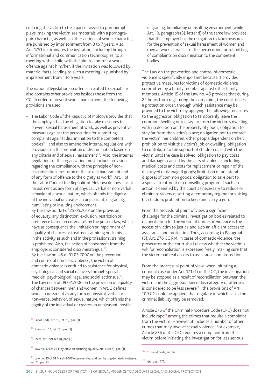coercing the victim to take part or assist to pornographic plays, making the victim see materials with a pornographic character, as well as other actions of sexual character, are punished by imprisonment from 3 to 7 years. Also, Art. 1751 incriminates the invitation, including through informational and communication technologies, to a meeting with a child with the aim to commit a sexual offence against him/her, if the invitation was followed by material facts, leading to such a meeting, is punished by imprisonment from 1 to 5 years.

The national legislation on offences related to sexual life also contains other provisions besides those from the CC. In order to prevent sexual harassment, the following provisions are used:

- The Labor Code of the Republic of Moldova provides that the employer has the obligation to take measures to prevent sexual harassment at work, as well as preventive measures against the persecution for submitting complaints against discrimination to the competent bodies**<sup>15</sup>**; and also to amend the internal regulations with provisions on the prohibition of discrimination based on any criteria and of sexual harassment**<sup>16</sup>**. Also, the internal regulations of the organization must include provisions regarding the compliance with the principle of nondiscrimination, exclusion of the sexual harassment and of any form of offence to the dignity at work**<sup>17</sup>**. Art. 1 of the Labor Code of the Republic of Moldova defines sexual harassment as any form of physical, verbal or non-verbal behavior of a sexual nature, which offends the dignity of the individual or creates an unpleasant, degrading, humiliating or insulting environment.
- By the Law no. 121 of 25.05.2012 on the provision of equality, any distinction, exclusion, restriction or preference based on criteria set by the present law, which have as consequence the limitation or impairment of equality of chances or treatment at hiring or dismissal, in the activity as such and in the professional training is prohibited. Also, the action of harassment from the employer is considered discriminatingual**18**.
- By the Law no. 45 of 01.03.2007 on the prevention and control of domestic violence, the victim of domestic violence is entitled to assistance for physical, psychological and social recovery through special medical, psychological, legal and social actionsual**19**.
- The Law no. 5 of 09.02.2006 on the provision of equality of chances between men and women in Art. 2 defines sexual harassment as any form of physical, verbal or non-verbal behavior, of sexual nature, which offends the dignity of the individual or creates an unpleasant, hostile,

- **<sup>16</sup>** Idem, art. 10, let. f5), par. (1)
- **<sup>17</sup>** Idem, art. 199, let. b), par. (1)
- **<sup>18</sup>**Law no. 121 of 25 May 2012 on ensuring equality, art. 7, let. f), par. (1).

**<sup>19</sup>**Law no. 45 of 01 March 2007 on preventing and combating domestic violence, art. 11, par. 21.

degrading, humiliating or insulting environment, while Art. 10, paragraph (3), letter d) of the same law provides that the employer has the obligation to take measures for the prevention of sexual harassment of women and men at work, as well as of the persecution for submitting of complaints on discrimination to the competent bodies.

The Law on the prevention and control of domestic violence is specifically important because it provides protective measures for victims of domestic violence committed by a family member against other family members. Article 15 of the Law no. 45 provides that during 24 hours from registering the complaint, the court issues a protection order, through which assistance may be provided to the victim by applying the following measures to the aggressor: obligation to temporarily leave the common dwelling or to stay far from the victim's dwelling, with no decision on the property of goods; obligation to stay far from the victim's place; obligation not to contact the victim, her children, other people dependent on her; prohibition to visit the victim's job or dwelling; obligation to contribute to the support of children raised with the victim until the case is solved; obligation to pay costs and damages caused by the acts of violence, including medical costs and costs for replacement or repair of the destroyed or damaged goods; limitation of unilateral disposal of common goods; obligation to take part to a special treatment or counselling program if such an action is deemed by the court as necessary to reduce or eliminate violence; setting a temporary regime for visiting his children; prohibition to keep and carry a gun.

From the procedural point of view, a significant challenge for the criminal investigation bodies related to reconciliation for the victim of domestic violence is the access of victim to justice and also an efficient access to assistance and protection. Thus, according to Paragraph (5), Art. 276 CC RM, in cases of domestic violence, the prosecutor or the court shall review whether the victim's will for reconciliation is expressed freely, making sure that the victim had real access to assistance and protection.

From the processual point of view, when initiating a criminal case under Art. 171 (1) of the CC, the investigation may be stopped as a result of reconciliation between the victim and the aggressor. Since this category of offenses is considered to be less severe**20**, the provisions of Art. 109 CC could be applied, that regulate in which cases the criminal liability may be removed.

Article 276 of the Criminal Procedure Code (CPC) does not include rape**21** among the crimes that require a complaint from the victim. However, it includes a number of other crimes that may involve sexual violence. For example, Article 276 of the CPC requires a complaint from the victim before initiating the investigation for less serious

**<sup>15</sup>**Labor Code, art. 10, let. f3), par. (1).

**<sup>20</sup>**Criminal Code, art. 16.

**<sup>21</sup>** Idem, art. 171.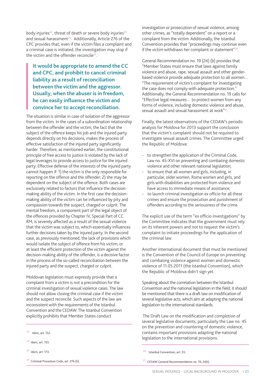body injuries**22**, threat of death or severe body injuries**<sup>23</sup>** and sexual harassment**24**. Additionally, Article 276 of the CPC provides that, even if the victim files a complaint and a criminal case is initiated, the investigation may stop if the victim and the offender reconcile**25**.

**It would be appropriate to amend the CC and CPC, and prohibit to cancel criminal liability as a result of reconciliation between the victim and the aggressor. Usually, when the abuser is in freedom, he can easily influence the victim and convince her to accept reconciliation.**

The situation is similar in case of isolation of the aggressor from the victim. In the cases of a subordination relationship between the offender and the victim, the fact that the subject of the offence keeps his job and the injured party depends directly on his decisions, makes the process of effective satisfaction of the injured party significantly harder. Therefore, as mentioned earlier, the constitutional principle of free access to justice is violated by the lack of legal leverages to provide access to justice for the injured party. Effective defense of the interests of the injured party cannot happen if: 1) the victim is the only responsible for reporting on the offence and the offender; 2) she may be dependent on the subject of the offence. Both cases are exclusively related to factors that influence the decisionmaking ability of the victim. In the first case the decisionmaking ability of the victim can be influenced by pity and compassion towards the suspect, charged or culprit. The mental freedom, a component part of the legal object of the offences provided by Chapter IV, Special Part of CC RM, is severely affected as a result of the sexual violence that the victim was subject to, which essentially influences further decisions taken by the injured party. In the second case, as previously mentioned, the lack of provisions which would isolate the subject of offence from his victim, or at least the efficient protection of the victim against the decision-making ability of the offender, is a decisive factor in the process of the so-called reconciliation between the injured party and the suspect, charged or culprit.

Moldovan legislation must expressly provide that a complaint from a victim is not a precondition for the criminal investigation of sexual violence cases. The law should not allow closing the criminal case if the victim and the suspect reconcile. Such aspects of the law are inconsistent with the requirements of the Istanbul Convention and the CEDAW. The Istanbul Convention explicitly prohibits that Member States conduct

**<sup>24</sup>** Idem, art. 173.

25 Criminal Procedure Code, art. 276 (5).

investigation or prosecution of sexual violence, among other crimes, as "totally dependent" on a report or a complaint from the victim. Additionally, the Istanbul Convention provides that "proceedings may continue even if the victim withdraws her complaint or statement"**26**.

General Recommendation no. 19 (24) (b) provides that "Member States must ensure that laws against family violence and abuse, rape, sexual assault and other genderbased violence provide adequate protection to all women… "The requirement of victim's complaint for investigating the case does not comply with adequate protection." Additionally, the General Recommendation no. 19 calls for "Effective legal measures… to protect women from any forms of violence, including domestic violence and abuse, sexual assault and sexual harassment at work"**27**.

Finally, the latest observations of the CEDAW's periodic analysis for Moldova for 2013 support the conclusion that the victim's complaint should not be required to investigate sexual assault crimes. The Committee urged the Republic of Moldova:

- to strengthen the application of the Criminal Code, Law no. 45-XVI on preventing and combating domestic violence and other relevant national legislation;
- to ensure that all women and girls, including, in particular, older women, Roma women and girls, and girls with disabilities are protected from violence and have access to immediate means of assistance;
- to launch criminal investigation ex officio for all these crimes and ensure the prosecution and punishment of offenders according to the seriousness of the crime.

The explicit use of the term "ex officio investigations" by the Committee indicates that the government must rely on its inherent powers and not to request the victim's complaint to initiate proceedings for the application of the criminal law.

Another international document that must be mentioned is the Convention of the Council of Europe on preventing and combating violence against women and domestic violence of 11.05.2011 (the Istanbul Convention), which the Republic of Moldova didn't sign yet.

Speaking about the correlation between the Istanbul Convention and the national legislation in the field, it should be mentioned that there is a draft law on modification of several legislative acts, which aim at adapting the national legislation to the international standards.

 The Draft Law on the modification and completion of several legislative documents, particularly the Law no. 45 on the prevention and countering of domestic violence, contains important provisions adapting the national legislation to the international provisions.

**<sup>22</sup>**Idem, art. 152.

**<sup>23</sup>** Idem, art. 155.

**<sup>26</sup>**Istanbul Convention, art. 55.

**<sup>27</sup>** CEDAW General Recommendation no. 19, 24(t).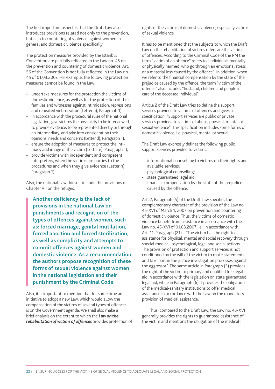The first important aspect is that the Draft Law also introduces provisions related not only to the prevention, but also to countering of violence against women in general and domestic violence specifically.

The protection measures provided by the Istanbul Convention are partially reflected in the Law no. 45 on the prevention and countering of domestic violence. Art. 56 of the Convention is not fully reflected in the Law no. 45 of 01.03.2007. For example, the following protection measures cannot be found in the Law:

- undertake measures for the protection the victims of domestic violence, as well as for the protection of their families and witnesses against intimidation, repressions and repeated victimization (Letter a), Paragraph 1);
- in accordance with the procedural rules of the national legislation, give victims the possibility to be interviewed, to provide evidence, to be represented directly or through an intermediary, and take into consideration their opinions, needs and concerns (Letter d), Paragraph 1);
- ensure the adoption of measures to protect the intimacy and image of the victim (Letter e), Paragraph 1);
- provide victims with independent and competent interpreters, when the victims are parties to the procedures and when they give evidence (Letter h), Paragraph 1).

Also, the national Law doesn't include the provisions of Chapter VII on the refuges.

**Another deficiency is the lack of provisions in the national Law on punishments and recognition of the types of offences against women, such as: forced marriage, genital mutilation, forced abortion and forced sterilization, as well as complicity and attempts to commit offences against women and domestic violence. As a recommendation, the authors propose recognition of these forms of sexual violence against women in the national legislation and their punishment by the Criminal Code.**

Also, it is important to mention that for some time an initiative to adopt a new Law, which would allow the compensation of the victims of several types of offences is on the Government agenda. We shall also make a brief analysis on the extent to which the *Law on the rehabilitation of victims of offences* provides protection of rights of the victims of domestic violence, especially victims of sexual violence.

It has to be mentioned that the subjects to which the Draft Law on the rehabilitation of victims refers are the victims of offences. According to the Criminal Code of the RM the term "victim of an offence" refers to "individuals mentally or physically harmed, who go through an emotional stress or a material loss caused by the offence". In addition, when we refer to the financial compensation by the state of the prejudice caused by the offence, the term "victim of the offence" also includes "husband, children and people in care of the deceased individual".

Article 2 of the Draft Law tries to define the support services provided to victims of offences and gives a specification: "Support services are public or private services provided to victims of abuse, physical, mental or sexual violence". This specification includes some forms of domestic violence, i.e. physical, mental or sexual.

The Draft Law expressly defines the following public support services provided to victims:

- informational counselling to victims on their rights and available services;
- psychological counselling;
- state guaranteed legal aid;
- financial compensation by the state of the prejudice caused by the offence.

Art. 2, Paragraph (5) of the Draft Law specifies the complementary character of the provision of the Law no. 45-XVI of March 1, 2007 on prevention and countering of domestic violence. Thus, the victims of domestic violence benefit from assistance in accordance with the Law no. 45-XVI of 01.03.2007 i.e., in accordance with Art. 11, Paragraph (21) - "The victim has the right to assistance for physical, mental and social recovery through special medical, psychological, legal and social actions. The provision of protection and support services is not conditioned by the will of the victim to make statements and take part in the justice investigation processes against the aggressor". The same article in Paragraph (5) provides the right of the victim to primary and qualified free legal aid in accordance with the legislation on state guaranteed legal aid, while in Paragraph (6) it provides the obligation of the medical-sanitary institutions to offer medical assistance in accordance with the Law on the mandatory provision of medical assistance.

Thus, compared to the Draft Law, the Law no. 45-XVI generally provides the rights to guaranteed assistance of the victim and mentions the obligation of the medical-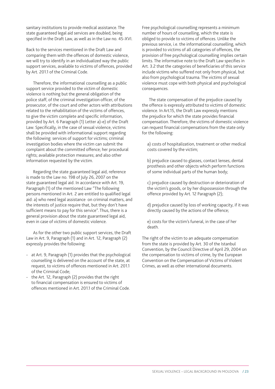sanitary institutions to provide medical assistance. The state guaranteed legal aid services are doubled, being specified in the Draft Law, as well as in the Law no. 45-XVI.

Back to the services mentioned in the Draft Law and comparing them with the offences of domestic violence, we will try to identify in an individualized way the public support services, available to victims of offences, provided by Art. 201.1 of the Criminal Code.

Therefore, the informational counselling as a public support service provided to the victim of domestic violence is nothing but the general obligation of the police staff, of the criminal investigation officer, of the prosecutor, of the court and other actors with attributions related to the rehabilitation of the victims of offences, to give the victim complete and specific information, provided by Art. 6 Paragraph (1) Letter a)-e) of the Draft Law. Specifically, in the case of sexual violence, victims shall be provided with informational support regarding the following: services of support for victims; criminal investigation bodies where the victim can submit the complaint about the committed offence; her procedural rights; available protection measures; and also other information requested by the victim.

Regarding the state guaranteed legal aid, reference is made to the Law no. 198 of July 26, 2007 on the state guaranteed legal aid. In accordance with Art. 19, Paragraph (1) of the mentioned Law "The following persons mentioned in Art. 2 are entitled to qualified legal aid: a) who need legal assistance on criminal matters, and the interests of justice require that, but they don't have sufficient means to pay for this service". Thus, there is a general provision about the state guaranteed legal aid, even in case of victims of domestic violence.

As for the other two public support services, the Draft Law in Art. 9, Paragraph (1) and in Art. 12, Paragraph (2) expressly provides the following:

- at Art. 9, Paragraph (1) provides that the psychological counselling is delivered on the account of the state, at request, to victims of offences mentioned in Art. 201.1 of the Criminal Code;
- the Art. 12, Paragraph (2) provides that the right to financial compensation is ensured to victims of offences mentioned in Art. 201.1 of the Criminal Code.

Free psychological counselling represents a minimum number of hours of counselling, which the state is obliged to provide to victims of offences. Unlike the previous service, i.e. the informational counselling, which is provided to victims of all categories of offences, the provision of free psychological counselling implies certain limits. The informative note to the Draft Law specifies in Art. 3.2 that the categories of beneficiaries of this service include victims who suffered not only from physical, but also from psychological trauma. The victims of sexual violence must cope with both physical and psychological consequences.

The state compensation of the prejudice caused by the offence is expressly attributed to victims of domestic violence. In Art.15, the Draft Law expressly mentions the prejudice for which the state provides financial compensation. Therefore, the victims of domestic violence can request financial compensations from the state only for the following:

a) costs of hospitalization, treatment or other medical costs covered by the victim;

b) prejudice caused to glasses, contact lenses, dental prosthesis and other objects which perform functions of some individual parts of the human body;

c) prejudice caused by destruction or deterioration of the victim's goods, or by her dispossession through the offence provided by Art. 12 Paragraph (2);

d) prejudice caused by loss of working capacity, if it was directly caused by the actions of the offence;

e) costs for the victim's funeral, in the case of her death.

The right of the victim to an adequate compensation from the state is provided by Art. 30 of the Istanbul Convention, by the Council Directive of April 29, 2004 on the compensation to victims of crime, by the European Convention on the Compensation of Victims of Violent Crimes, as well as other international documents.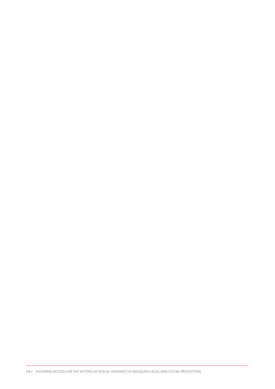**24 /** ENSURING ACCESS FOR THE VICTIMS OF SEXUAL VIOLENCE TO ADEQUATE LEGAL AND SOCIAL PROTECTION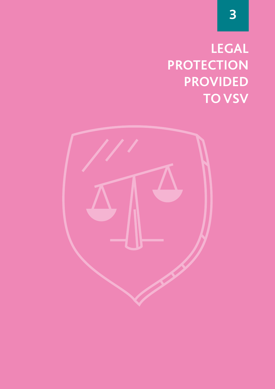**LEGAL PROTECTION PROVIDED TO VSV**

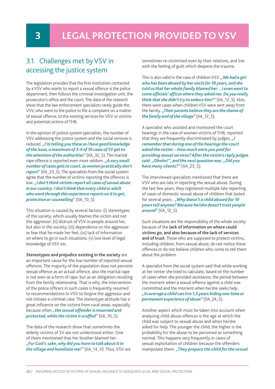## 3.1. Challenges met by VSV in accessing the justice system

The legislation provides that the first institution contacted by a VSV who wants to report a sexual offence is the police department, then follows the criminal investigation unit, the prosecutor's office and the court. The data of the research show that the law enforcement specialists rarely guide the VSV, who went to the police to file a complaint on a matter of sexual offence, to the existing services for VDV or victims and potential victims of THB.

In the opinion of justice system specialists, the number of VSV addressing the justice system and the social services is reduced. "I'm telling you these as I have good knowledge *of the issue, a maximum of 3-4 of 10 cases of SV get to the attention of the authorities"* (IIA\_32\_S). The marital rape offence is reported even more seldom. *"A very small number of cases gets to court, as women practically don't report"* (IIA\_23\_S). The specialists from the social system agree that the number of victims reporting the offences is low. *"I don't think victims report all cases of sexual abuse in our country. I don't think that every child or adult who went through this experience reports on it to get, protection or counselling"* (IIA\_10\_S).

This situation is caused by several factors: (i) stereotypes of the society, which usually blames the victim and not the aggressor; (ii) distrust of VSV in people around her, but also in the society; (iii) dependence on the aggressor or fear that he made her feel; (iv) lack of information on where to go in such situations; (v) low level of legal knowledge of VSV etc.

**Stereotypes and prejudice existing in the society** are an important cause for the low number of reported sexual offences. The majority of the population does not perceive sexual offence as an actual offence, also the marital rape is not seen as a form of rape, but as an obligation resulting from the family relationship. That is why, the intervention of the police officers in such cases is frequently resumed to recommendations to VSV to forgive the aggressor and not initiate a criminal case. The stereotype attitude has a great influence on the victims from rural areas, especially because often *"the sexual offender is mourned and protected, while the victim is scoffed"* (IIA\_10\_S).

The data of the research show that sometimes the elderly victims of SV are not understood either. One of them mentioned that her brother blamed her: *"For God's sake, why did you have to talk about it in the village and humiliate me!"* (IIA\_14\_V). Thus, VSV are sometimes re-victimized even by their relatives, and live with the feeling of guilt which deepens the trauma.

This is also valid in the case of children VSV. "We had a girl *who has been abused by her uncle for 10 years, and she told us that her whole family blamed her… I even went to some officials' offices where they asked me: Do you really think that she didn't try to seduce him?"* (IIA\_12\_S). Also, there were cases when children VSV were sent away from the family. "Their parents believe they are the shame of *the family and of the village"* (IIA\_12\_S).

A specialist who assisted and monitored the court hearings in the case of women victims of THB, reported that they are frequently discriminated by judges. "I *remember that during one of the hearings the court asked the victim: - How much were you paid for providing sexual services? After the victim's reply judges said: "Ohoho!", and the next question was: "Did you have many clients?"* (IIA\_23\_S).

The interviewed specialists mentioned that there are VSV who are late in reporting the sexual abuse. During the last few years, they registered multiple late reporting of cases of domestic sexual abuse of children that lasted for several years. "Why doesn't a child abused for 10 *years tell anyone? Because he/she doesn't trust people around"* (IIA\_12\_S).

Such situations are the responsibility of the whole society because of the **lack of information on where could victims go, and also because of the lack of services and of trust**. Those who are supposed to protect victims, including children, from sexual abuse, do not notice these offences or do not believe children who come to tell them about the problem.

A specialist from the social system said that while working at her center she tried to calculate, based on the number of cases when she provided assistance, the period between the moment when a sexual offence against a child was committed and the moment when he/she seeks help. *"In average a child can live 1,5 years hiding one-time or permanent experience of abuse"* (IIA\_24\_S).

Another aspect which must be taken into account when analyzing child abuse offences is the age at which the child was subject to sexual abuse and when he/she asked for help. The younger the child, the higher is the probability for the abuse to be perceived as something normal. This happens very frequently in cases of sexual exploitation of children because the offenders manipulate them. "They prepare the child for the sexual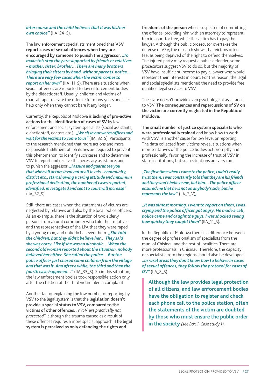#### *intercourse and the child believes that it was his/her own choice"* (IIA\_24\_S).

The law enforcement specialists mentioned that **VSV report cases of sexual offences when they are encouraged by someone to punish the aggressor**. *"To make this step they are supported by friends or relatives – mother, sister, brother… There are many brothers bringing their sisters by hand, without parents' notice… There are very few cases when the victim comes to report on her own"* (IIA\_11\_S). There are situations when sexual offences are reported to law enforcement bodies by the didactic staff. Usually, children and victims of marital rape tolerate the offence for many years and seek help only when they cannot bare it any longer.

Currently, the Republic of Moldova is **lacking of pro-active actions for the identification of cases of SV** by law enforcement and social system specialists (social assistants, didactic staff, doctors etc.). "We sit in our warm offices and *wait for the victims to come to us"* (IIA\_32\_S). Participants to the research mentioned that more actions and more responsible fulfillment of job duties are required to prevent this phenomenon, to identify such cases and to determine VSV to report and receive the necessary assistance, and to punish the aggressor. *"I assure and guarantee you that when all actors involved at all levels – community, district etc., start showing a caring attitude and maximum professional dedication, the number of cases reported, identified, investigated and sent to court will increase"*  (IIA\_32\_S).

Still, there are cases when the statements of victims are neglected by relatives and also by the local police officers. As an example, there is the situation of two elderly persons from a rural community who told their relatives and the representatives of the LPA that they were raped by a young man, and nobody believed them. *"She told the children, but they didn't believe her… They said she was crazy. Like if she was an alcoholic… When the second old woman reported about the situation, nobody believed her either. She called the police… But the police officer just chased some children from the village and that was it. And after a while, the third and then the fourth case happened…"* (IIA\_33\_S). So in this situation, the law enforcement bodies took responsible action only after the children of the third victim filed a complaint.

Another factor explaining the low number of reporting by VSV to the legal system is that the l**egislation doesn't provide a special status to VSV, compared to the victims of other offences**. *"VVSV are practically not protected"*, although the trauma caused as a result of these offences requires a more special approach. **The legal system is perceived as only defending the rights and** 

**freedoms of the person** who is suspected of committing the offence, providing him with an attorney to represent him in court for free, while the victim has to pay the lawyer. Although the public prosecutor overtakes the defense of VSV, the research shows that victims often feel as being deprived of the right to defend themselves. The injured party may request a public defender, some prosecutors suggest VSV to do so, but the majority of VSV have insufficient income to pay a lawyer who would represent their interests in court. For this reason, the legal and social specialists mentioned the need to provide free qualified legal services to VSV.

The state doesn't provide even psychological assistance to VSV. **The consequences and repercussions of SV on the victim are currently neglected in the Republic of Moldova**.

**The small number of justice system specialists who were professionally trained** and know how to work with VSV, is another cause for low level or reporting. The data collected from victims reveal situations when representatives of the police bodies act promptly and professionally, favoring the increase of trust of VSV in state institutions, but such situations are very rare:

*"The first time when I came to the police, I didn't really trust them, I was constantly told that they are his friends and they won't believe me, but him… The police officer ensured me that he is not on anybody's side, but he represents the law"* (IIA\_7\_V)*;* 

*"It was almost morning. I went to report on them, I was crying and the police officer got angry. He made a call, police came and caught the guys. I was shocked seeing how quickly they caught them"* (IIA\_11\_S)*.* 

In the Republic of Moldova there is a difference between the degree of professionalism of specialists from the mun. of Chisinau and the rest of localities. There are more professionals in Chisinau. Therefore, the capacity of specialists from the regions should also be developed. *"In rural areas they don't know how to behave in cases of sexual offences, they follow the protocol for cases of DV"* (IIA\_2\_S).

**Although the law provides legal protection of all citizens, and law enforcement bodies have the obligation to register and check each phone call to the police station, often the statements of the victim are doubted by those who must ensure the public order in the society** *(see Box 1. Case study 1).*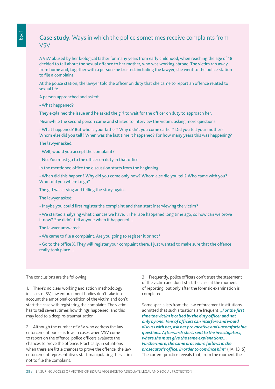### **Case study.** Ways in which the police sometimes receive complaints from VSV

A VSV abused by her biological father for many years from early childhood, when reaching the age of 18 decided to tell about the sexual offence to her mother, who was working abroad. The victim ran away from home and, together with a person she trusted, including the lawyer, she went to the police station to file a complaint.

At the police station, the lawyer told the officer on duty that she came to report an offence related to sexual life.

A person approached and asked:

- What happened?

They explained the issue and he asked the girl to wait for the officer on duty to approach her.

Meanwhile the second person came and started to interview the victim, asking more questions:

- What happened? But who is your father? Why didn't you come earlier? Did you tell your mother? Whom else did you tell? When was the last time it happened? For how many years this was happening?

The lawyer asked:

- Well, would you accept the complaint?

- No. You must go to the officer on duty in that office.

In the mentioned office the discussion starts from the beginning:

- When did this happen? Why did you come only now? Whom else did you tell? Who came with you? Who told you where to go?

The girl was crying and telling the story again…

The lawyer asked:

- Maybe you could first register the complaint and then start interviewing the victim?

- We started analyzing what chances we have… The rape happened long time ago, so how can we prove it now? She didn't tell anyone when it happened…

The lawyer answered:

- We came to file a complaint. Are you going to register it or not?

- Go to the office X. They will register your complaint there. I just wanted to make sure that the offence really took place…

#### The conclusions are the following:

1. There's no clear working and action methodology in cases of SV, law enforcement bodies don't take into account the emotional condition of the victim and don't start the case with registering the complaint. The victim has to tell several times how things happened, and this may lead to a deep re-traumatization.

2. Although the number of VSV who address the law enforcement bodies is low, in cases when VSV come to report on the offence, police officers evaluate the chances to prove the offence. Practically, in situations when there are little chances to prove the offence, the law enforcement representatives start manipulating the victim not to file the complaint.

3. Frequently, police officers don't trust the statement of the victim and don't start the case at the moment of reporting, but only after the forensic examination is completed.

Some specialists from the law enforcement institutions admitted that such situations are frequent. "For the first *time the victim is called by the duty officer and not only by one. Tens of officers can interfere and would discuss with her, ask her provocative and uncomfortable questions. Afterwards she is sent to the investigators, where she must give the same explanations… Furthermore, the same procedure follows in the prosecutor's office, in order to convince him"* (IIA\_13\_S). The current practice reveals that, from the moment the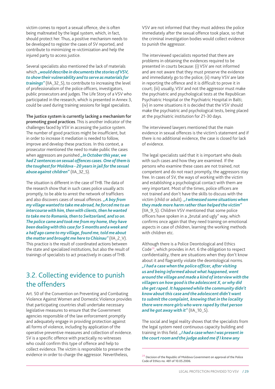victim comes to report a sexual offence, she is often being maltreated by the legal system, which, in fact, should protect her. Thus, a positive mechanism needs to be developed to register the cases of SV reported, and contribute to minimizing re-victimization and help the injured party to access justice.

Several specialists also mentioned the lack of materials which "would describe in documents the stories of VSV, *to show their vulnerability and to serve as materials for trainings"* (IIA\_32\_S), to contribute to increasing the level of professionalism of the police officers, investigators, public prosecutors and judges. The Life Story of a VSV who participated in the research, which is presented in Annex 3, could be used during training sessions for legal specialists.

**The justice system is currently lacking a mechanism for promoting good practices**. This is another indicator of the challenges faced by VSV in accessing the justice system. The number of good practices might be insufficient, but in order to increase it mediation is needed to follow, improve and develop these practices. In this context, a prosecutor mentioned the need to make public the cases when aggressors are punished *.. In October this year, we had 2 sentences on sexual offences cases. One of them is the toughest for Moldova - 20 years in jail for the sexual abuse against children"* (IIA\_32\_S).

The situation is different in the case of THB. The data of the research show that in such cases police usually acts promptly, to be able to arrest the network of traffickers and also discovers cases of sexual offences. "A boy from *my village wanted to take me abroad, he forced me to an intercourse with him, then with clients, then he wanted to take me to Romania, then to Switzerland, and so on. The police came and took me from my home, they have been dealing with this case for 5 months and a week and a half ago came to my village, found me, told me about the matter and brought me here to Chisinau"* (IIA\_2\_V). This practice is the result of coordinated actions between the state and specialized institutions, but also the result of trainings of specialists to act proactively in cases of THB.

## 3.2. Collecting evidence to punish the offenders

Art. 50 of the Convention on Preventing and Combating Violence Against Women and Domestic Violence provides that participating countries shall undertake necessary legislative measures to ensure that the Government agencies responsible of the law enforcement promptly and adequately engage in providing protection against all forms of violence, including by application of the operative preventive measures and collection of evidence. SV is a specific offence with practically no witnesses who could confirm this type of offence and help to collect evidence. The victim is responsible to preserve the evidence in order to charge the aggressor. Nevertheless,

VSV are not informed that they must address the police immediately after the sexual offence took place, so that the criminal investigation bodies would collect evidence to punish the aggressor.

The interviewed specialists reported that there are problems in obtaining the evidences required to be presented in courts because: (i) VSV are not informed and are not aware that they must preserve the evidence and immediately go to the police; (ii) many VSV are late in reporting the offence and it is difficult to prove it in court; (iii) usually, VSV and not the aggressor must make the psychiatric and psychological tests at the Republican Psychiatric Hospital or the Psychiatric Hospital in Balti; (iv) in some situations it is decided that the VSV should make the psychiatric and psychological tests, being placed at the psychiatric institution for 21-30 days.

The interviewed lawyers mentioned that the main evidence in sexual offences is the victim's statement and if there is no additional evidence, the case is closed for lack of evidence.

The legal specialists said that it is important who deals with such cases and how they are examined. If the persons who examine these cases are not trained, not competent and do not react promptly, the aggressors stay free. In cases of SV, the ways of working with the victim and establishing a psychological contact with them are very important. Most of the times, police officers are not trained and don't have the skills to discuss with the victim (child or adult). *"I witnessed some situations when they made more harm rather than helped the victim"*  (IIA\_9\_S). Children VSV mentioned that some police officers have spoken in a "brutal and ugly" way, which confirms once again that they need training on emotional aspects in case of children, learning the working methods with children etc.

Although there is a Police Deontological and Ethics Code**28**, which provides in Art. 6 the obligation to respect confidentiality, there are situations when they don't know about it and flagrantly violate the deontological norms. *"I had a case when the police officer, after visiting us and being informed about what happened, went around the village and made a kind of interview with the villagers on how good is the adolescent X, or why did she get raped. It happened while the community didn't know about this case and the adolescent didn't want to submit the complaint, knowing that in the locality there were more girls who were raped by that person and he got away with it"* (IIA\_10\_S).

The social and legal reality shows that the specialists from the legal system need continuous capacity building and training in this field. "I had a case when I was present in *the court room and the judge asked me if I knew any* 

**<sup>28</sup>** Decision of the Republic of Moldova Government on approval of the Police Code of Ethics no. 481 of 10.05.2006.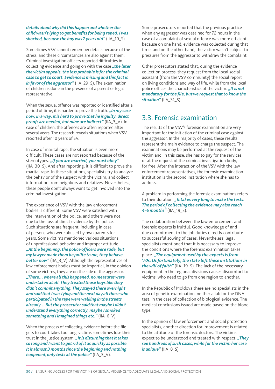#### *details about why did this happen and whether the child wasn't lying to get benefits for being raped. I was shocked, because the boy was 7 years old"* (IIA\_10\_S).

Sometimes VSV cannot remember details because of the stress, and these circumstances are also against them. Criminal investigation officers reported difficulties in collecting evidence and going on with the case, the later *the victim appeals, the less probable is for the criminal case to get to court. Evidence is missing and this fact is in favor of the aggressor"* (IIA\_29\_S). The examination of children is done in the presence of a parent or legal representative.

When the sexual offence was reported or identified after a period of time, it is harder to prove the truth. *"In my case now, in a way, it is hard to prove that he is guilty; direct proofs are needed, but mine are indirect"* (IIA\_3\_V). In case of children, the offences are often reported after several years. The research reveals situations when VSV reported after 10 years of SV.

In case of marital rape, the situation is even more difficult. These cases are not reported because of the stereotypes. *"If you are married, you must obey"* (IIA 30 S). And after reporting, it is difficult to prove the marital rape. In these situations, specialists try to analyze the behavior of the suspect with the victim, and collect information from neighbors and relatives. Nevertheless, these people don't always want to get involved into the criminal investigation.

The experience of VSV with the law enforcement bodies is different. Some VSV were satisfied with the intervention of the police, and others were not, due to the loss of direct evidence by the police. Such situations are frequent, including in case of persons who were abused by own parents for years. Some victims mentioned various situations of unprofessional behavior and improper attitude. *"At the beginning, the police officers were rude, but my lawyer made them be polite to me, they behave better now"* (IIA\_3\_V). Although the representatives of law enforcement bodies must be impartial, in the opinion of some victims, they are on the side of the aggressor. *"There… where all this happened, no measures were undertaken at all. They treated those boys like they didn't commit anything. They stayed there overnight and said that I was lying and the next day all those who participated in the rape were walking in the streets already… But the prosecutor said that maybe I didn't understand everything correctly, maybe I smoked something and I imagined things etc."* (IIA\_6\_V).

When the process of collecting evidence before the file gets to court takes too long, victims sometimes lose their trust in the justice system. *"It is disturbing that it takes so long and I want to get rid of it as quickly as possible. It is almost 3 months since the beginning and nothing happened, only tests at the police"* (IIA\_3\_V).

Some prosecutors reported that the previous practice when any aggressor was detained for 72 hours in the case of a complaint of sexual offence was more efficient, because on one hand, evidence was collected during that time, and on the other hand, the victim wasn't subject to pressures from the aggressor to withdraw the complaint.

Other prosecutors stated that, during the evidence collection process, they request from the local social assistant (from the VSV community) the social report on living conditions and way of life, while from the local police officer the characteristics of the victim. "It is not *mandatory for the file, but we request that to know the*  situation" (IIA 31 S).

## 3.3. Forensic examination

The results of the VSV's forensic examination are very important for the initiation of the criminal case against the aggressor. In the majority of cases, these results represent the main evidence to charge the suspect. The examinations may be performed at the request of the victim and, in this case, she has to pay for the services, or at the request of the criminal investigation body, for free. After the interaction of the VSV with the law enforcement representatives, the forensic examination institution is the second institution where she has to address.

A problem in performing the forensic examinations refers to their duration. "It takes very long to make the tests. *The period of collecting the evidence may also reach 4-6 months"* (IIA\_19\_S).

The collaboration between the law enforcement and forensic experts is fruitful. Good knowledge of and due commitment to the job duties directly contribute to successful solving of cases. Nevertheless, legal specialists mentioned that it is necessary to improve the conditions where the forensic examination takes place. "The equipment used by the experts is from *'70s. Unfortunately, the state left these institutions in the will of faith"* (IIA\_19\_S). The lack of the necessary equipment in the regional divisions causes discomfort to victims, who need to go from one region to another.

In the Republic of Moldova there are no specialists in the area of genetic examination, neither a lab for the DNA test, in the case of collection of biological evidence. The medical conclusions issued are made based on the blood type.

In the opinion of law enforcement and social protection specialists, another direction for improvement is related to the attitude of the forensic doctors. The victims expect to be understood and treated with respect. **"They** *see hundreds of such cases, while for the victim her case is unique"* (IIA\_8\_S).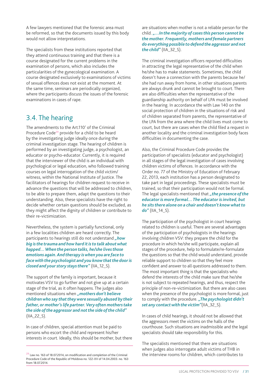A few lawyers mentioned that the forensic area must be reformed, so that the documents issued by this body would not allow interpretations.

The specialists from these institutions reported that they attend continuous training and that there is a course designated for the current problems in the examination of persons, which also includes the particularities of the gynecological examination. A course designated exclusively to examinations of victims of sexual offences does not exist at the moment. At the same time, seminars are periodically organized, where the participants discuss the issues of the forensic examinations in cases of rape.

## 3.4. The hearing

The amendments to the Art.110' of the Criminal Procedure Code**29** provide for a child to be heard by the investigating judge ideally once during the criminal investigation stage. The hearing of children is performed by an investigating judge, a psychologist, an educator or psycho-educator. Currently, it is required that the interviewer of the child is an individual with psychological or legal education, who followed training courses on legal interrogation of the child victim/ witness, within the National Institute of Justice. The facilitators of hearings for children request to receive in advance the questions that will be addressed to children, to be able to prepare them, adapt the questions to their understanding. Also, these specialists have the right to decide whether certain questions should be excluded, as they might affect the dignity of children or contribute to their re-victimization.

Nevertheless, the system is partially functional, only in a few localities children are heard correctly. The participants to hearings still do not understand "how *big is the trauma and how hard it is to talk about what happed… When the person talks, he/she lives those emotions again. And therapy is when you are face to face with the psychologist and you know that the door is closed and your story stays there"* (IIA\_12\_S).

The support of the family is important, because it motivates VSV to go further and not give up at a certain stage of the trial, as it often happens. The judges also mentioned situations when *"mothers don't believe children who say that they were sexually abused by their father, or mother's life partner. Very often mothers take the side of the aggressor and not the side of the child"* (IIA\_22\_S).

In case of children, special attention must be paid to persons who escort the child and represent his/her interests in court. Ideally, this should be mother, but there are situations when mother is not a reliable person for the child. *"...In the majority of cases this person cannot be the mother. Frequently, mothers and female partners do everything possible to defend the aggressor and not the child"* (IIA\_32\_S).

The criminal investigation officers reported difficulties in attracting the legal representative of the child when he/she has to make statements. Sometimes, the child doesn't have a connection with the parents because he/ she had run away from home, in other situations parents are always drunk and cannot be brought to court. There are also difficulties when the representative of the guardianship authority on behalf of LPA must be involved in the hearing. In accordance the with Law 140 on the social protection of children in the situations of risk and of children separated from parents, the representative of the LPA from the area where the child lives must come to court, but there are cases when the child filed a request in another locality and the criminal investigation body faces difficulties in documenting the case.

Also, the Criminal Procedure Code provides the participation of specialists (educator and psychologist) in all stages of the legal investigation of cases involving children victims of offences. In accordance with the Order no. 77 of the Ministry of Education of February 22, 2013, each institution has a person designated to take part in legal proceedings. These specialists must be trained, so that their participation would not be formal. The legal specialists mentioned that *"the presence of the educator is more formal… The educator is invited, but he sits there alone on a chair and doesn't know what to do"* (IIA\_14\_S).

The participation of the psychologist in court hearings related to children is useful. There are several advantages of the participation of psychologists in the hearings involving children VSV: they prepare the child for the procedure in which he/she will participate, explain all stages of the procedure, help to formulate/re-formulate the questions so that the child would understand, provide reliable support to children so that they feel more confident and answer to all questions addressed to them. The most important thing is that the specialists who defend the interests of the child make sure that he/she is not subject to repeated hearings, and thus, respect the principle of non-re-victimization. But there are also cases when the presence of the psychologist is more formal, just to comply with the procedure. "The psychologist didn't *set any contact with the victim"*(IIA\_32\_S).

In cases of child hearings, it should not be allowed that the aggressors meet the victims on the halls of the courthouse. Such situations are inadmissible and the legal specialists should take responsibility for this.

The specialists mentioned that there are situations when judges also interrogate adult victims of THB in <sup>29</sup> Law no. 163 of 18.07.2014, on modification and completion of the Criminal **the interview rooms for children**, which contributes to

Procedure Code of the Republic of Moldova no. 122-XV of 14.04.2003. no. 163 from 18.07.2014.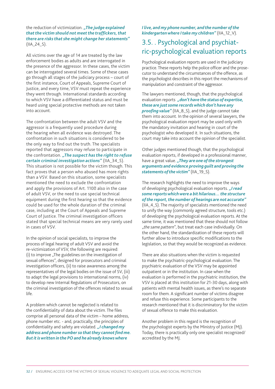the reduction of victimization. "The judge explained *that the victim should not meet the traffickers, that there are risks that she might change her statements"*   $(IIA_24_S).$ 

All victims over the age of 14 are treated by the law enforcement bodies as adults and are interrogated in the presence of the aggressor. In these cases, the victim can be interrogated several times. Some of these cases go through all stages of the judiciary process – court of the first instance, Court of Appeals, Supreme Court of Justice, and every time, VSV must repeat the experience they went through. International standards according to which VSV have a differentiated status and must be heard using special protective methods are not taken into account.

The confrontation between the adult VSV and the aggressor is a frequently used procedure during the hearing when all evidence was destroyed. The confrontation in such situations is considered to be the only way to find out the truth. The specialists reported that aggressors may refuse to participate in the confrontation. *"The suspect has the right to refuse certain criminal investigation actions"* (IIA\_34\_S). This situation is not possible for the victim though. This fact proves that a person who abused has more rights than a VSV. Based on this situation, some specialists mentioned the need to exclude the confrontation and apply the provisions of Art. 110 also in the case of adult VSV, or the need to use special technical equipment during the first hearing so that the evidence could be used for the whole duration of the criminal case, including at the Court of Appeals and Supreme Court of Justice. The criminal investigation officers stated that special technical means are very rarely used in cases of VSV.

In the opinion of social specialists, to improve the process of legal hearing of adult VSV and avoid the re-victimization of VSV, the following are required: (i) to improve "The guidelines on the investigation of sexual offences", designed for prosecutors and criminal investigation officers, (ii) to raise awareness among the representatives of the legal bodies on the issue of SV, (iii) to adapt the legal provisions to international norms, (iv) to develop new Internal Regulations of Prosecutors, on the criminal investigation of the offences related to sexual life.

A problem which cannot be neglected is related to the confidentiality of data about the victim. The files comprise all personal data of the victim – home address, phone number etc. - and, practically, the principles of confidentiality and safety are violated. *"I changed my address and phone number so that they cannot find me. But it is written in the PO and he already knows where* 

*I live, and my phone number, and the number of the kindergarten where I take my children"* (IIA\_12\_V).

## 3.5. . Psychological and psychiatric-psychological evaluation reports

Psychological evaluation reports are used in the judiciary practice. These reports help the police officer and the prosecutor to understand the circumstances of the offence, as the psychologist describes in this report the mechanisms of manipulation and constraint of the aggressor.

The lawyers mentioned, though, that the psychological evaluation reports *"don't have the status of expertise, these are just some records which don't have any proofing value"* (IIA\_8\_S), and the judge cannot take them into account. In the opinion of several lawyers, the psychological evaluation report may be used only with the mandatory invitation and hearing in court of the psychologist who developed it. In such situations, the court may take into account the opinion of the specialist.

Other judges mentioned though, that the psychological evaluation reports, if developed in a professional manner, have a great value. *"They are one of the strongest arguments and evidence proving guilt and proving the statements of the victim"* (IIA\_19\_S).

The research highlights the need to improve the ways of developing psychological evaluation reports. *"I read some reports which were a bit hilarious… the structure of the report, the number of hearings are not accurate"* (IIA 4 S). The majority of specialists mentioned the need to unify the way (commonly agreed structure, tools etc.) of developing the psychological evaluation reports. At the same time, it was mentioned that these should not follow "*the same pattern*", but treat each case individually. On the other hand, the standardization of these reports will further allow to introduce specific modifications to the legislation, so that they would be recognized as evidence.

There are also situations when the victim is requested to make the psychiatric-psychological evaluation. The psychiatric evaluation of the VSV may be appointed outpatient or in the institution. In case when the evaluation is performed in the psychiatric institution, the VSV is placed at this institution for 21-30 days, along with patients with mental health issues, as there's no separate room for them. A significant number of victims disagree and refuse this experience. Some participants to the research mentioned that it is discriminatory for the victim of sexual offence to make this evaluation.

Another problem in this regard is the recognition of the psychologist experts by the Ministry of Justice (MJ). Today, there is practically only one specialist recognized/ accredited by the MJ.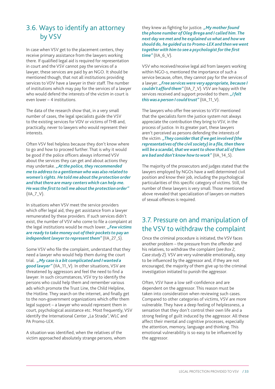## 3.6. Ways to identify an attorney by VSV

In case when VSV get to the placement centers, they receive primary assistance from the lawyers working there. If qualified legal aid is required for representation in court and the VSV cannot pay the services of a lawyer, these services are paid by an NGO. It should be mentioned though, that not all institutions providing services to VDV have a lawyer in their staff. The number of institutions which may pay for the services of a lawyer who would defend the interests of the victim in court is even lower – 4 institutions.

The data of the research show that, in a very small number of cases, the legal specialists guide the VSV to the existing services for VDV or victims of THB and, practically, never to lawyers who would represent their interests.

Often VSV feel helpless because they don't know where to go and how to proceed further. That is why it would be good if the police officers always informed VSV about the services they can get and about actions they may undertake. *"At the police, they recommended me to address to a gentleman who was also related to women's rights. He told me about the protection order and that there are many centers which can help me. He was the first to tell me about the protection order"*   $(IIA \ 7 \ V).$ 

In situations when VSV meet the service providers which offer legal aid, they get assistance from a lawyer remunerated by these providers. If such services didn't exist, the number of VSV who come to file a complaint at the legal institutions would be much lower. *"Few victims are ready to take money out of their pockets to pay an independent lawyer to represent them"* (IIA\_27\_S).

Some VSV who file the complaint, understand that they need a lawyer who would help them during the court trial. *"My case is a bit complicated and I wanted a*  **good lawyer"** (IIA\_11\_V). In other situations, VSV are threatened by aggressors and feel the need to find a lawyer. In such circumstances, VSV try to identify the persons who could help them and remember various ads which promote the Trust Line, the Child Helpline, the Hotline. They search on the internet, and finally get to the non-government organizations which offer them legal support – a lawyer who would represent them in court, psychological assistance etc. Most frequently, VSV identify the International Center "La Strada", WLC and PA Promo-LEX.

A situation was identified, when the relatives of the victim approached absolutely strange persons, whom

they knew as fighting for justice. "My mother found *the phone number of Oleg Brega and I called him. The next day we met and he explained us what and how we should do, he guided us to Promo-LEX and then we went together with him to see a psychologist for the first time"* (IIA\_6\_V).

VSV who received/receive legal aid from lawyers working within NGO-s, mentioned the importance of such a service because, often, they cannot pay for the services of a lawyer. *"Free services were very appropriate, because I couldn't afford them"* (IIA\_7\_V). VSV are happy with the services received and support provided to them. "I felt *this was a person I could trust"* (IIA\_11\_V).

The lawyers who offer free services to VSV mentioned that the specialists form the justice system not always appreciate the contribution they bring to VSV, in the process of justice. In its greater part, these lawyers aren't perceived as persons defending the interests of the victim. "They consider that if we get involved (the *representatives of the civil society) in a file, then there will be a scandal, that we want to show that all of them are bad and don't know how to work"* (IIA\_14\_S).

The majority of the prosecutors and judges stated that the lawyers employed by NGOs have a well determined civil position and know their job, including the psychological particularities of this specific category of victims. Still, the number of these lawyers is very small. Those mentioned above revealed that specialization of lawyers on matters of sexual offences is required.

## 3.7. Pressure on and manipulation of the VSV to withdraw the complaint

Once the criminal procedure is initiated, the VSV faces another problem – the pressure from the offender and his relatives, to withdraw the complaint (*see Box 2, Case study 2*). VSV are very vulnerable emotionally, easy to be influenced by the aggressor and, if they are not encouraged, the majority of them give up to the criminal investigation initiated to punish the aggressor.

Often, VSV have a low self-confidence and are dependent on the aggressor. This reason must be taken into consideration when reviewing such cases. Compared to other categories of victims, VSV are more vulnerable. They have a deep feeling of helplessness, a sensation that they don't control their own life and a strong feeling of guilt induced by the aggressor. All these affect their mental and cognitive processes, especially the attention, memory, language and thinking. This emotional vulnerability is so easy to be influenced by the aggressor.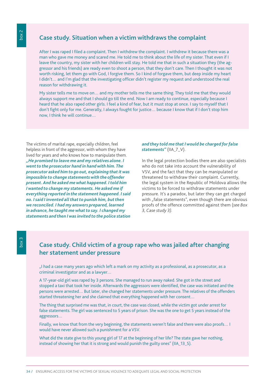### **Case study. Situation when a victim withdraws the complaint**

After I was raped I filed a complaint. Then I withdrew the complaint. I withdrew it because there was a man who gave me money and scared me. He told me to think about the life of my sister. That even if I leave the country, my sister with her children will stay. He told me that in such a situation they (the aggressor and his friends) are ready even to shoot a person, that they don't care. Then I thought it was not worth risking, let them go with God, I forgive them. So I kind of forgave them, but deep inside my heart I didn't… and I'm glad that the investigating officer didn't register my request and understood the real reason for withdrawing it.

My sister tells me to move on… and my mother tells me the same thing. They told me that they would always support me and that I should go till the end. Now I am ready to continue, especially because I heard that he also raped other girls. I feel a kind of fear, but it must stop at once. I say to myself that I don't fight only for me. Generally, I always fought for justice… because I know that if I don't stop him now, I think he will continue…

The victims of marital rape, especially children, feel helpless in front of the aggressor, with whom they have lived for years and who knows how to manipulate them. *"He promised to leave me and my relatives alone. I went to the prosecutor hand in hand with him. The prosecutor asked him to go out, explaining that it was impossible to change statements with the offender present. And he asked me what happened. I told him I wanted to change my statements. He asked me if everything reported in the statement happened. I said no. I said I invented all that to punish him, but then we reconciled. I had my answers prepared, learned in advance, he taught me what to say. I changed my statements and then I was invited to the police station* 

#### *and they told me that I would be charged for false*  statements" (IIA\_7\_V).

In the legal protection bodies there are also specialists who do not take into account the vulnerability of VSV, and the fact that they can be manipulated or threatened to withdraw their complaint. Currently, the legal system in the Republic of Moldova allows the victims to be forced to withdraw statements under pressure. It's a paradox, but later they can get charged with "false statements", even though there are obvious proofs of the offence committed against them (*see Box 3, Case study 3).*

### **Case study. Child victim of a group rape who was jailed after changing her statement under pressure**

"I had a case many years ago which left a mark on my activity as a professional, as a prosecutor, as a criminal investigator and as a lawyer…

A 17-year-old girl was raped by 3 persons. She managed to run away naked. She got in the street and stopped a taxi that took her inside. Afterwards the aggressors were identified, the case was initiated and the persons were arrested… But later, she changed her statements under pressure. The relatives of the offenders started threatening her and she claimed that everything happened with her consent…

The thing that surprised me was that, in court, the case was closed, while the victim got under arrest for false statements. The girl was sentenced to 5 years of prison. She was the one to get 5 years instead of the aggressors…

Finally, we know that from the very beginning, the statements weren't false and there were also proofs… I would have never allowed such a punishment for a VSV.

What did the state give to this young girl of 17 at the beginning of her life? The state gave her nothing, instead of showing her that it is strong and would punish the guilty ones" (IIA 13 S).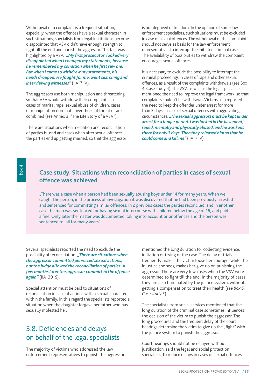Withdrawal of a complaint is a frequent situation, especially, when the offences have a sexual character. In such situations, specialists from legal institutions become disappointed that VSV didn't have enough strength to fight till the end and punish the aggressor. This fact was highlighted by a VSV. *"My first prosecutor looked very disappointed when I changed my statements, because he remembered my condition when he first saw me. But when I came to withdraw my statements, his hands dropped. He fought for me, went searching and interviewing witnesses"* (IIA\_7\_V).

The aggressors use both manipulation and threatening so that VSV would withdraw their complaints. In cases of marital rape, sexual abuse of children, cases of manipulation dominate over those of threat or are combined (see Annex 3, "The Life Story of a VSV").

 There are situations when mediation and reconciliation of parties is used and cases when after sexual offences the parties end up getting married, so that the aggressor is not deprived of freedom. In the opinion of some law enforcement specialists, such situations must be excluded in case of sexual offences. The withdrawal of the complaint should not serve as basis for the law enforcement representatives to interrupt the initiated criminal case. The availability of possibilities to withdraw the complaint encourages sexual offences.

It is necessary to exclude the possibility to interrupt the criminal proceedings in cases of rape and other sexual offences, as a result of the complaints withdrawals (see Box 4, Case study 4). The VSV, as well as the legal specialists mentioned the need to improve the legal framework, so that complaints couldn't be withdrawn. Victims also reported the need to keep the offender under arrest for more than 3 days, in case of sexual offences with aggravating circumstances. "The sexual aggressors must be kept under *arrest for a longer period. I was locked in the basement, raped, mentally and physically abused, and he was kept there for only 3 days. Then they released him so that he could come and kill me"* (IIA\_7\_V).

### **Case study. Situations when reconciliation of parties in cases of sexual offence was achieved**

"There was a case when a person had been sexually abusing boys under 14 for many years. When we caught the person, in the process of investigation it was discovered that he had been previously arrested and sentenced for committing similar offences. In 2 previous cases the parties reconciled, and in another case the man was sentenced for having sexual intercourse with children below the age of 16, and paid a fine. Only later the matter was documented, taking into account prior offences and the person was sentenced to jail for many years".

Several specialists reported the need to exclude the possibility of reconciliation. "There are situations when *the aggressor committed perverted sexual actions, but the judge allowed the reconciliation of parties. A few months later the aggressor committed the offence again"* (IIA\_30\_S).

Special attention must be paid to situations of reconciliation in case of actions with a sexual character, within the family. In this regard the specialists reported a situation when the daughter forgave her father who has sexually molested her.

## 3.8. Deficiencies and delays on behalf of the legal specialists

The majority of victims who addressed the law enforcement representatives to punish the aggressor mentioned the long duration for collecting evidence, initiation or trying of the case. The delay of trials frequently makes the victim loose her courage, while the injustice she sees, makes her give up on punishing the aggressor. There are very few cases when the VSV were determined to fight till the end. In the majority of cases, they are also humiliated by the justice system, without getting a compensation to treat their health (*see Box 5, Case study 5*)*.*

The specialists from social services mentioned that the long duration of the criminal case sometimes influences the decision of the victim to punish the aggressor. The long procedures and the frequent delay of the court hearings determine the victim to give up the "fight" with the justice system to punish the aggressor.

Court hearings should not be delayed without justification, said the legal and social protection specialists. To reduce delays in cases of sexual offences,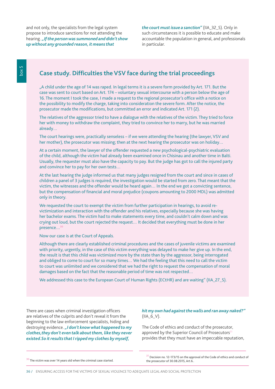and not only, the specialists from the legal system propose to introduce sanctions for not attending the hearing. *"If the person was summoned and didn't show up without any grounded reason, it means that*

*the court must issue a sanction"* (IIA\_32\_S). Only in such circumstances it is possible to educate and make accountable the population in general, and professionals in particular.

### **Case study. Difficulties the VSV face during the trial proceedings**

"A child under the age of 14 was raped. In legal terms it is a severe form provided by Art. 171. But the case was sent to court based on Art. 174 – voluntary sexual intercourse with a person below the age of 16. The moment I took the case, I made a request to the regional prosecutor's office with a notice on the possibility to modify the charge, taking into consideration the severe form. After the notice, the prosecutor made the modifications, but committed an error and indicated Art. 171 (2).

The relatives of the aggressor tried to have a dialogue with the relatives of the victim. They tried to force her with money to withdraw the complaint, they tried to convince her to marry, but he was married already…

The court hearings were, practically senseless – if we were attending the hearing (the lawyer, VSV and her mother), the prosecutor was missing; then at the next hearing the prosecutor was on holiday...

At a certain moment, the lawyer of the offender requested a new psychological-psychiatric evaluation of the child, although the victim had already been examined once in Chisinau and another time in Balti. Usually, the requester must also have the capacity to pay. But the judge has got to call the injured party and convince her to pay for her own tests…

At the last hearing the judge informed us that many judges resigned from the court and since in cases of children a panel of 3 judges is required, the investigation would be started from zero. That meant that the victim, the witnesses and the offender would be heard again… In the end we got a convicting sentence, but the compensation of financial and moral prejudice (coupons amounting to 2000 MDL) was admitted only in theory.

We requested the court to exempt the victim from further participation in hearings, to avoid revictimization and interaction with the offender and his relatives, especially because she was having her bachelor exams. The victim had to make statements every time, and couldn't calm down and was crying out loud, but the court rejected the request… It decided that everything must be done in her presence…**<sup>30</sup>**

Now our case is at the Court of Appeals.

Although there are clearly established criminal procedures and the cases of juvenile victims are examined with priority, urgently, in the case of this victim everything was delayed to make her give up. In the end, the result is that this child was victimized more by the state than by the aggressor, being interrogated and obliged to come to court for so many times… We had the feeling that this need to call the victim to court was unlimited and we considered that we had the right to request the compensation of moral damages based on the fact that the reasonable period of time was not respected…

We addressed this case to the European Court of Human Rights (ECtHR) and are waiting" (IIA\_27\_S).

There are cases when criminal investigation officers are relatives of the culprits and don't reveal it from the beginning to the law enforcement specialists, hiding and destroying evidence. "I don't know what happened to my *clothes,they don't even talk about them, like they never existed.So it results that I ripped my clothes by myself,* 

#### *hit my own had against the walls and ran away naked?"*  $(IIA \ 6 \ V).$

The Code of ethics and conduct of the prosecutor, approved by the Superior Council of Prosecutors<sup>3</sup> provides that they must have an impeccable reputation,

**<sup>31</sup>** Decision no. 12-173/15 on the approval of the Code of ethics and conduct of

<sup>&</sup>lt;sup>30</sup> The victim was over 14 years old when the criminal case started.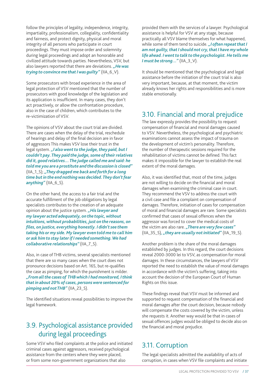follow the principles of legality, independence, integrity, impartiality, professionalism, collegiality, confidentiality and fairness, and protect dignity, physical and moral integrity of all persons who participate in court proceedings. They must impose order and solemnity during legal proceedings and adopt an honorable and civilized attitude towards parties. Nevertheless, VSV, but also lawyers reported that there are deviations. *"He was trying to convince me that I was guilty"* (IIA\_6\_V).

Some prosecutors with broad experience in the area of legal protection of VSV mentioned that the number of prosecutors with good knowledge of the legislation and its application is insufficient. In many cases, they don't act proactively, or allow the confrontation procedure, also in the case of children, which contributes to the re-victimization of VSV.

The opinions of VSV about the court trial are divided. There are cases when the delay of the trial, reschedule of hearings and delay of the final decision are in favor of aggressors This makes VSV lose their trust in the legal system. "I also went to the judge, they paid, but I *couldn't pay. They paid the judge, some of their relatives did it, good relatives… The judge called me and said: he told me you are a prostitute and the discussion is closed"* (IIA\_1\_S); *"They dragged me back and forth for a long time but in the end nothing was decided. They don't fear anything"* (IIA\_6\_S).

On the other hand, the access to a fair trial and the accurate fulfillment of the job obligations by legal specialists contributes to the creation of an adequate opinion about the justice system. "His lawyer and *my lawyer acted adequately, on the topic, without intuitions, without probabilities, just on the reasons, on files, on justice, everything honestly. I didn't see them taking his or my side. My lawyer even told me to call him or ask him to stay later if I needed something. We had collaborative relationships"* (IIA\_7\_S).

Also, in case of THB victims, several specialists mentioned that there are so many cases when the court does not pronounce decisions based on Art. 165, but re-qualifies the case as pimping, for which the punishment is milder. *"From all the cases of THB which I had monitored, I think that in about 20% of cases, persons were sentenced for pimping and not THB"* (IIA\_23\_S).

The identified situations reveal possibilities to improve the legal framework.

## 3.9. Psychological assistance provided during legal proceedings

Some VSV who filed complaints at the police and initiated criminal cases against aggressors, received psychological assistance from the centers where they were placed, or from some non-government organizations that also

provided them with the services of a lawyer. Psychological assistance is helpful for VSV at any stage, because practically all VSV blame themselves for what happened, while some of them tend to suicide. **"I often repeat that I** *am not guilty, that I should not cry, that I have my whole life ahead. I went to talk to the psychologist. He tells me I must be strong…"* (IIA\_3\_V).

It should be mentioned that the psychological and legal assistance before the initiation of the court trial is also very important, because, at that moment, the victim already knows her rights and responsibilities and is more stable emotionally.

## 3.10. Financial and moral prejudice

The law expressly provides the possibility to request compensation of financial and moral damages caused to VSV. Nevertheless, the psychological and psychiatric examinations cannot assess the impact of trauma on the development of victim's personality. Therefore, the number of therapeutic sessions required for the rehabilitation of victims cannot be defined. This fact makes it impossible for the lawyer to establish the real extent of the moral damages.

Also, it was identified that, most of the time, judges are not willing to decide on the financial and moral damages when examining the criminal case in court. They recommend the VSV to address the court with a civil case and file a complaint on compensation of damages. Therefore, initiation of cases for compensation of moral and financial damages are rare. Some specialists confirmed that cases of sexual offences when the aggressor was forced to cover the medical costs of the victim are also rare. *"There are very few cases"*  (IIA\_35\_S)*, "they are usually not initiated"* (IIA\_19\_S).

Another problem is the share of the moral damages established by judges. In this regard, the court decisions reveal 2000-3000 lei to VSV, as compensation for moral damages. In these circumstances, the lawyers of VSV reported the need to establish the value of moral damages in accordance with the victim's suffering, taking into account the decision of the European Court of Human Rights on this issue.

These findings reveal that VSV must be informed and supported to request compensation of the financial and moral damages after the court decision, because nobody will compensate the costs covered by the victim, unless she requests it. Another way would be that in cases of sexual offences judges would be obliged to decide also on the financial and moral prejudice.

## 3.11. Corruption

The legal specialists admitted the availability of acts of corruption, in cases when VSV file complaints and initiate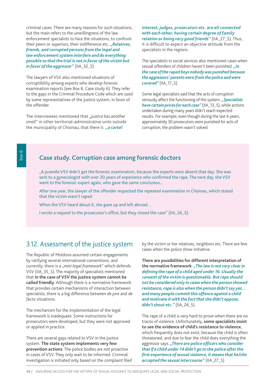criminal cases. There are many reasons for such situations, but the main refers to the unwillingness of the law enforcement specialists to face the situations, to confront their peers or superiors, their indifference etc. "Relatives, *friends, and corrupted persons from the legal and law enforcement system interfere and do everything possible so that the trial is not in favor of the victim but in favor of the aggressor"* (IIA\_32\_S).

The lawyers of VSV also mentioned situations of corruptibility among experts who develop forensic examination reports (see Box 6, Case study 6). They refer to the gaps in the Criminal Procedure Code which are used by some representatives of the justice system, in favor of the offender.

The interviewees mentioned that "*justice has another smell*" in other territorial-administrative units outside the municipality of Chisinau; that there is **"a cartel** 

*interest; judges, prosecutors etc. are all connected with each other, having certain degree of family relation or being very good friends"* (IIA\_27\_S). Thus, it is difficult to expect an objective attitude from the specialists in the regions.

The specialists in social services also mentioned cases when sexual offenders of children haven't been punished. "In *the case of the raped boys nobody was punished because the aggressors' parents were from the police and were covered"* (IIA\_17\_S).

Some legal specialists said that the acts of corruption seriously affect the functioning of the system. *"Specialists have certain prices for each case"* (IIA\_13\_S), while actions undertaken during many years didn't reach expected results. For example, even though during the last 6 years, approximately 30 prosecutors were punished for acts of corruption, the problem wasn't solved.

## **Case study. Corruption case among forensic doctors**

"A juvenile VSV didn't get the forensic examination, because the experts were absent that day. She was sent to a gynecologist with over 30 years of experience who confirmed the rape. The next day, the VSV went to the forensic expert again, who gave the same conclusion...

After one year, the lawyer of the offender requested the repeated examination in Chisinau, which stated that the victim wasn't raped.

When the VSV heard about it, she gave up and left abroad…

I wrote a request to the prosecutor's office, but they closed the case" (IIA\_26\_S).

## 3.12. Assessment of the justice system

The Republic of Moldova assumed certain engagements by ratifying several international conventions, and currently, there is a "*mini legal framework*" which defends VSV (IIA\_35\_S). The majority of specialists mentioned that **in the case of VSV the justice system cannot be called friendly**. Although there is a normative framework that provides certain mechanisms of interaction between specialists, there is a big difference between *de jure* and *de facto* situations.

The mechanism for the implementation of the legal framework is inadequate. Some instructions for prosecutors were developed, but they were not approved or applied in practice.

There are several gaps related to VSV in the justice system. **The state system implements very few prevention actions**. The police bodies are not proactive in cases of VSV. They only wait to be informed. Criminal investigation is initiated only based on the complaint filed by the victim or her relatives, neighbors etc. There are few cases when the police show initiative.

**There are possibilities for different interpretation of the normative framework**. *"The law is not very clear in defining the rape of a child aged under 16. Usually the consent of the victim is questionable. But rape should not be considered only in cases when the person showed resistance, rape is also when the person didn't say yes… and many people commit this offence against a child and motivate it with the fact that she didn't oppose,*  didn't shout etc." (IIA\_26\_S).

The rape of a child is very hard to prove when there are no traces of violence. Unfortunately, **some specialists insist to see the evidence of child's resistance to violence**, which frequently does not exist, because the child is often threatened, and due to fear the child does everything the aggressor says. *"There are police officers who consider that if a child under 14 didn't go to the police after the first experience of sexual violence, it means that he/she accepted the sexual intercourse"* (IIA\_27\_S).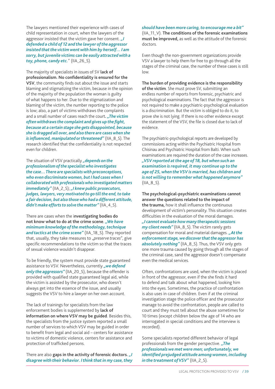The lawyers mentioned their experience with cases of child representation in court, when the lawyers of the aggressor insisted that the victim gave her consent. *"I defended a child of 12 and the lawyer of the aggressor insisted that the victim went with him by herself… I am sorry, but juvenile victims can be easily attracted with a toy, phone, candy etc.*" (IIA\_26\_S).

The majority of specialists in issues of SV **lack of professionalism. No confidentiality is ensured for the VSV**, the community finds out about the issue and starts blaming and stigmatizing the victim, because in the opinion of the majority of the population the woman is guilty of what happens to her. Due to the stigmatization and blaming of the victim, the number reporting to the police is low; also, a part of victims withdraws the complaints and a small number of cases reach the court**.** *"The victim often withdraws the complaint and gives up the fight, because at a certain stage she gets disappointed, because she is dragged all over, and also there are cases when she is influenced, manipulated or threatened"* (IIA\_8\_S). The research identified that the confidentiality is not respected even for children.

The situation of VSV practically *depends on the professionalism of the specialist who investigates the case… There are specialists with preconceptions, who even discriminate women, but I had cases when I collaborated with professionals who investigated matters immediately"* (IIA\_2\_S); *"I knew public prosecutors, judges, lawyers, very motivated to go till the end, to take a fair decision, but also those who had a different attitude, didn't make efforts to solve the matter"* (IIA\_4\_S).

There are cases when the i**nvestigating bodies do not know what to do at the crime scene**. *"We have minimum knowledge of the methodology, technique and tactics at the crime scene"* (IIA\_18\_S). They reported that, usually, they take measures to "*preserve traces*", give specific recommendations to the victim so that the traces of sexual violence wouldn't disappear.

To be friendly, the system must provide state guaranteed assistance to VSV. Nevertheless, currently **we defend** *only the aggressors"* (IIA\_20\_S), because the offender is provided with qualified state guaranteed legal aid, while the victim is assisted by the prosecutor, who doesn't always get into the essence of the issue, and usually suggests the VSV to hire a lawyer on her own account.

The lack of trainings for specialists from the law enforcement bodies is supplemented by **lack of information on where VSV may be guided**. Besides this, the specialists from the justice system reported a small number of services to which VSV may be guided in order to benefit from legal and social aid – centers for assistance to victims of domestic violence, centers for assistance and protection of trafficked persons.

There are also **gaps in the activity of forensic doctors.** *"I disagree with their behavior. I think that in my case, they*  *should have been more caring, to encourage me a bit"* (IIA\_11\_V). **The conditions of the forensic examinations must be improved,** as well as the attitude of the forensic doctors.

Even though the non-government organizations provide VSV a lawyer to help them for free to go through all the stages of the criminal case, the number of these cases is still low.

#### **The burden of providing evidence is the responsibility**

**of the victim**. She must prove SV, submitting an endless number of reports from forensic, psychiatric and psychological examinations. The fact that the aggressor is not required to make a psychiatric-psychological evaluation is a discrimination. But the victim is obliged to do it, to prove she is not lying. If there is no other evidence except the statement of the VSV, the file is closed due to lack of evidence.

The psychiatric-psychological reports are developed by commissions acting within the Psychiatric Hospital from Chisinau and Psychiatric Hospital from Balti. When such examinations are required the duration of the case increases. *"VSV reported at the age of 18, but when such an examination is required, it may continue up to the age of 25, when the VSV is married, has children and is not willing to remember what happened anymore"* (IIA\_8\_S).

**The psychological-psychiatric examinations cannot answer the questions related to the impact of the trauma,** how it shall influence the continuous development of victim's personality. This situation creates difficulties in the evaluation of the moral damages. *"I cannot evaluate how many therapeutic sessions my client needs"* (IIA\_8\_S). The victim rarely gets compensation for moral and material damages. *"At the enforcement stage, we discover that the aggressor has absolutely nothing"* (IIA\_8\_S). Thus, the VSV only gets one more trauma caused by going through all the stages of the criminal case, sand the aggressor doesn't compensate even the medical services.

Often, confrontations are used, when the victim is placed in front of the aggressor, even if the she finds it hard to defend and talk about what happened, looking him into the eyes. Sometimes, the practice of confrontation is also uses in case of children. Even if at the criminal investigation stage the police officer and the prosecutor manage to avoid the confrontation, people are called to court and they must tell about the abuse sometimes for 10 times (except children below the age of 14 who are interrogated in special conditions and the interview is recorded).

Some specialists reported different behavior of legal professionals from the gender perspective. *"The professionals we met were men; unfortunately, we identified prejudged attitude among women, including in the treatment of VSV"* (IIA\_2\_S).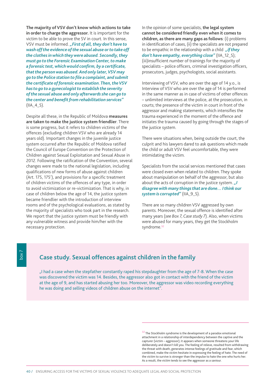**The majority of VSV don't know which actions to take in order to charge the aggressor.** It is important for the victim to be able to prove the SV in court. In this sense, VSV must be informed. *"First of all, they don't have to wash off the evidence of the sexual abuse or to take off the clothes in which they were abused. Secondly, they must go to the Forensic Examination Center, to make a forensic test, which would confirm, by a certificate, that the person was abused. And only later, VSV may go to the Police station to file a complaint, and submit the certificate of forensic examination. Then, the VSV has to go to a gynecologist to establish the severity of the sexual abuse and only afterwards she can go to the center and benefit from rehabilitation services"*   $(IIA_4S)$ .

Despite all these, in the Republic of Moldova **measures are taken to make the justice system friendlier**. There is some progress, but it refers to children victims of the offences (excluding children VSV who are already 14 years old). Important changes in the juvenile justice system occurred after the Republic of Moldova ratified the Council of Europe Convention on the Protection of Children against Sexual Exploitation and Sexual Abuse in 2012. Following the ratification of the Convention, several changes were made to the national legislation, including qualifications of new forms of abuse against children (Art. 175, 175'), and provisions for a specific treatment of children victims of the offences of any type, in order to avoid victimization or re-victimization. That is why, in case of children below the age of 14, the justice system became friendlier with the introduction of interview rooms and of the psychological evaluations, as stated by the majority of specialists who took part in the research. We report that the justice system must be friendly with any vulnerable witness and provide him/her with the necessary protection.

In the opinion of some specialists, **the legal system cannot be considered friendly even when it comes to children, as there are many gaps as follows**: (i) problems in identification of cases, (ii) the specialists are not prepared to be empathic in the relationship with a child *"if they don't have empathy, everything close"* (IIA\_12\_S); (iii)insufficient number of trainings for the majority of specialists – police officers, criminal investigation officers, prosecutors, judges, psychologists, social assistants.

Interviewing of VSV, who are over the age of 14 y.o., is Interview of VSV who are over the age of 14 is performed in the same manner as in case of victims of other offences – unlimited interviews at the police, at the prosecution, in courts; the presence of the victim in court in front of the aggressor and making statements, which intensifies the trauma experienced in the moment of the offence and initiates the trauma caused by going through the stages of the justice system.

There were situations when, being outside the court, the culprit and his lawyers dared to ask questions which made the child or adult VSV feel uncomfortable, they were intimidating the victim.

Specialists from the social services mentioned that cases were closed even when related to children. They spoke about manipulation on behalf of the aggressor, but also about the acts of corruption in the justice system. "I *disagree with many things that are done… I think our*  system is corrupted" (IIA 9 S).

There are so many children VSV aggressed by own parents. Moreover, the sexual offence is identified after many years (*see Box 7, Case study 7*). Also, when victims were abused for many years, they get the Stockholm syndrome.**<sup>32</sup>**

## **Case study. Sexual offences against children in the family**

"I had a case when the stepfather constantly raped his stepdaughter from the age of 7-8. When the case was discovered the victim was 14. Besides, the aggressor also got in contact with the friend of the victim at the age of 9, and has started abusing her too. Moreover, the aggressor was video recording everything he was doing and selling videos of children abuse on the internet".

> **<sup>32</sup>** The Stockholm syndrome is the development of a paradox emotional attachment in a relationship of interdependency between the captive and the capturer (victim – aggressor); it appears when someone threatens your life deliberately and doesn't kill you. The feeling of relieve, resulted from withdrawing the threat with death, generates intense feelings of gratitude and fear, which combined, make the victim hesitate in expressing the feeling of hate. The need of the victim to survive is stronger than the impulse to hate the one who hurts her. As a result, the victim tends to see the aggressor as a saviour.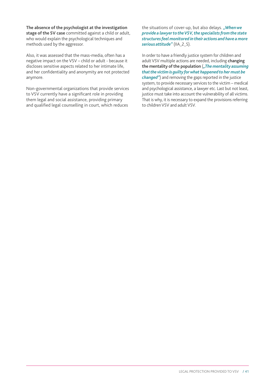**The absence of the psychologist at the investigation stage of the SV case** committed against a child or adult, who would explain the psychological techniques and methods used by the aggressor.

Also, it was assessed that the mass-media, often has a negative impact on the VSV – child or adult - because it discloses sensitive aspects related to her intimate life, and her confidentiality and anonymity are not protected anymore.

Non-governmental organizations that provide services to VSV currently have a significant role in providing them legal and social assistance, providing primary and qualified legal counselling in court, which reduces

the situations of cover-up, but also delays. "When we *provide a lawyer to the VSV, the specialists from the state structures feel monitored in their actions and have a more serious attitude"* (IIA\_2\_S).

In order to have a friendly justice system for children and adult VSV multiple actions are needed, including **changing the mentality of the population** (*"The mentality assuming that the victim is guilty for what happened to her must be changed"*) and removing the gaps reported in the justice system, to provide necessary services to the victim – medical and psychological assistance, a lawyer etc. Last but not least, justice must take into account the vulnerability of all victims. That is why, it is necessary to expand the provisions referring to children VSV and adult VSV.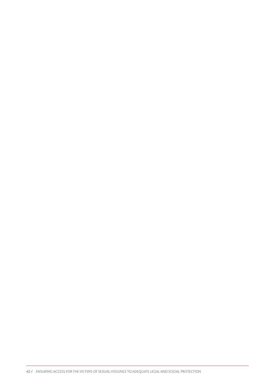**42 /** ENSURING ACCESS FOR THE VICTIMS OF SEXUAL VIOLENCE TO ADEQUATE LEGAL AND SOCIAL PROTECTION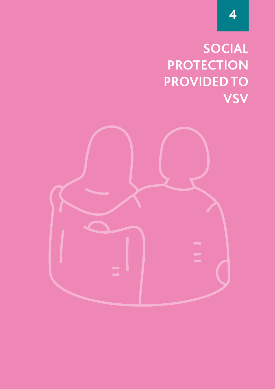

**SOCIAL PROTECTION PROVIDED TO VSV**

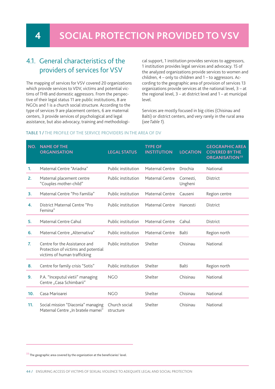# 41. General characteristics of the providers of services for VSV

The mapping of services for VSV covered 20 organizations which provide services to VDV, victims and potential victims of THB and domestic aggressors. From the perspective of their legal status 11 are public institutions, 8 are NGOs and 1 is a church social structure. According to the type of services 9 are placement centers, 6 are maternal centers, 3 provide services of psychological and legal assistance, but also advocacy, training and methodologi-

cal support, 1 institution provides services to aggressors, 1 institution provides legal services and advocacy. 15 of the analyzed organizations provide services to women and children, 4 – only to children and 1 – to aggressors. According to the geographic area of provision of services 13 organizations provide services at the national level, 3 – at the regional level, 3 – at district level and 1 – at municipal level.

Services are mostly focused in big cities (Chisinau and Balti) or district centers, and very rarely in the rural area (*see Table 1*)*.* 

#### **Table 1 /** The profile of the service providers in the area of DV

| NO.              | <b>NAME OF THE</b><br><b>ORGANISATION</b>                                                            | <b>LEGAL STATUS</b>        | <b>TYPE OF</b><br><b>INSTITUTION</b> | <b>LOCATION</b>      | <b>GEOGRAPHIC AREA</b><br><b>COVERED BY THE</b><br><b>ORGANISATION 33</b> |
|------------------|------------------------------------------------------------------------------------------------------|----------------------------|--------------------------------------|----------------------|---------------------------------------------------------------------------|
| 1.               | Maternal Centre "Ariadna"                                                                            | Public institution         | Maternal Centre                      | Drochia              | National                                                                  |
| 2.               | Maternal placement centre<br>"Couples mother-child"                                                  | Public institution         | Maternal Centre                      | Cornesti,<br>Ungheni | <b>District</b>                                                           |
| $\overline{3}$ . | Maternal Centre "Pro Familia"                                                                        | Public institution         | Maternal Centre                      | Causeni              | Region centre                                                             |
| 4.               | District Maternal Centre "Pro<br>Femina"                                                             | Public institution         | Maternal Centre                      | Hancesti             | <b>District</b>                                                           |
| 5.               | Maternal Centre Cahul                                                                                | Public institution         | Maternal Centre                      | Cahul                | District                                                                  |
| 6.               | Maternal Centre "Alternativa"                                                                        | Public institution         | Maternal Centre                      | <b>Balti</b>         | Region north                                                              |
| $\mathbf{7}$     | Centre for the Assistance and<br>Protection of victims and potential<br>victims of human trafficking | Public institution         | Shelter                              | Chisinau             | National                                                                  |
| 8.               | Centre for family crisis "Sotis"                                                                     | Public institution         | Shelter                              | <b>Balti</b>         | Region north                                                              |
| 9.               | P.A. "Inceputul vietii" managing<br>Centre "Casa Schimbarii"                                         | <b>NGO</b>                 | Shelter                              | Chisinau             | National                                                                  |
| 10.              | Casa Marioarei                                                                                       | <b>NGO</b>                 | Shelter                              | Chisinau             | National                                                                  |
| 11.              | Social mission "Diaconia" managing<br>Maternal Centre "In bratele mamei"                             | Church social<br>structure | Shelter                              | Chisinau             | National                                                                  |

**<sup>33</sup>** The geographic area covered by the organization at the beneficiaries' level.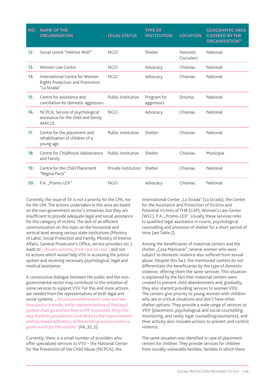| NO. | <b>NAME OF THE</b><br><b>ORGANISATION</b>                                               | <b>LEGAL STATUS</b> | <b>TYPE OF</b><br><b>INSTITUTION</b> | <b>LOCATION</b>         | <b>GEOGRAPHIC AREA</b><br><b>COVERED BY THE</b><br>ORGANISATION <sup>14</sup> |
|-----|-----------------------------------------------------------------------------------------|---------------------|--------------------------------------|-------------------------|-------------------------------------------------------------------------------|
| 12. | Social centre "Helmut Wolf"                                                             | <b>NGO</b>          | Shelter                              | Hancesti,<br>Ciuciuleni | National                                                                      |
| 13. | Women Law Centre                                                                        | <b>NGO</b>          | Advocacy                             | Chisinau                | National                                                                      |
| 14. | International Centre for Women<br>Rights Protection and Promotion<br>"La Strada"        | <b>NGO</b>          | Advocacy                             | Chisinau                | National                                                                      |
| 15. | Centre for assistance and<br>conciliation for domestic aggressors                       | Public institution  | Program for<br>aggressors            | Drochia                 | National                                                                      |
| 16. | NCPCA, Service of psychological<br>assistance for the child and family<br><b>AMICUL</b> | <b>NGO</b>          | Advocacy                             | Chisinau                | National                                                                      |
| 17. | Centre for the placement and<br>rehabilitation of children of a<br>young age            | Public institution  | Shelter                              | Chisinau                | National                                                                      |
| 18. | Centre for Childhood, Adolescence<br>and Family                                         | Public institution  | Shelter                              | Chisinau                | Municipal                                                                     |
| 19. | Centre for the Child Placement<br>"Regina Pacis"                                        | Private institution | Shelter                              | Chisinau                | National                                                                      |
| 20. | P.A. "Promo-LEX"                                                                        | <b>NGO</b>          | Advocacy                             | Chisinau                | National                                                                      |

Currently, the issue of SV is not a priority for the CPA, nor for the LPA. The actions undertaken in this area are based on the non-government sector's initiatives, but they are insufficient to provide adequate legal and social assistance for this category of victims. The lack of an efficient communication on this topic on the horizontal and vertical level among various state institutions (Ministry of Labor, Social Protection and Family, Ministry of Interior Affairs, General Prosecutor's Office, service providers etc.), leads to *"chaotic actions, from case to case"*, and not to actions which would help VSV in accessing the justice system and receiving necessary psychological, legal and medical assistance.

A constructive dialogue between the public and the nongovernmental sector may contribute to the initiation of some services to support VSV. For this end more actions are needed from the representatives of both legal and social systems. *"Service providers must come and see how justice is made, while representatives of the legal system shall go and see how a VSV is assisted. Only this way it will be possible to contribute to the improvement and increased efficiency of the existing actions and to a good result for the victims"* (IIA\_32\_S).

Currently, there is a small number of providers who offer specialized services to VSV – the National Center for the Prevention of the Child Abuse (NCPCA), the

International Center "La Strada" (La Strada), the Center for the Assistance and Protection of Victims and Potential Victims of THB (CAP), Women's Law Center (WLC), P.A. "Promo-LEX". Usually these services refer to qualified legal assistance in courts, psychological counselling and provision of shelter for a short period of time (*see Table 2*).

Among the beneficiaries of maternal centers and the shelter "Casa Marioarei", several women who were subject to domestic violence also suffered from sexual abuse. Despite this fact, the mentioned centers do not differentiate the beneficiaries by the type of domestic violence, offering them the same services. This situation is explained by the fact that maternal centers were created to prevent child abandonment and, gradually, they also started providing services to women VDV. The centers give priority to young women with children who are in critical situations and don't have other shelter options. They provide a wide range of services to VDV (placement, psychological and social counselling, monitoring, and rarely legal counselling/assistance), and their activity also includes actions to prevent and control violence.

The same situation was identified in case of placement centers for children. They provide services for children from socially-vulnerable families, families in which there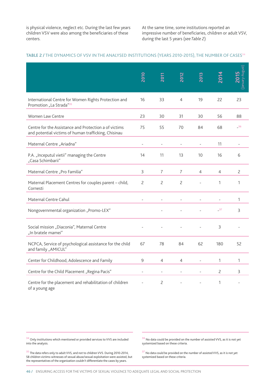is physical violence, neglect etc. During the last few years children VSV were also among the beneficiaries of these centers.

At the same time, some institutions reported an impressive number of beneficiaries, children or adult VSV, during the last 5 years (*see Table 2*)

#### **table 2 /** The dynamics of VSV in the analysed institutions (years 2010-2015), the number of cases**<sup>34</sup>**

|                                                                                                                                                                                                                                                                                                                                                                                                    | 2010                                                                                                                                                                  | <b>Z011</b>                                                                             | 2012           | 2013           | <b>2014</b>    | (January-August)<br><b>2015</b> |
|----------------------------------------------------------------------------------------------------------------------------------------------------------------------------------------------------------------------------------------------------------------------------------------------------------------------------------------------------------------------------------------------------|-----------------------------------------------------------------------------------------------------------------------------------------------------------------------|-----------------------------------------------------------------------------------------|----------------|----------------|----------------|---------------------------------|
| International Centre for Women Rights Protection and<br>Promotion "La Strada" <sup>35</sup>                                                                                                                                                                                                                                                                                                        | 16                                                                                                                                                                    | 33                                                                                      | $\overline{4}$ | 19             | 22             | 23                              |
| Women Law Centre                                                                                                                                                                                                                                                                                                                                                                                   | 23                                                                                                                                                                    | 30                                                                                      | 31             | 30             | 56             | 88                              |
| Centre for the Assistance and Protection a of victims<br>and potential victims of human trafficking, Chisinau                                                                                                                                                                                                                                                                                      | 75                                                                                                                                                                    | 55                                                                                      | 70             | 84             | 68             | $-36$                           |
| Maternal Centre "Ariadna"                                                                                                                                                                                                                                                                                                                                                                          |                                                                                                                                                                       |                                                                                         |                |                | 11             |                                 |
| P.A. "Inceputul vietii" managing the Centre<br>"Casa Schimbarii"                                                                                                                                                                                                                                                                                                                                   | 14                                                                                                                                                                    | 11                                                                                      | 13             | 10             | 16             | 6                               |
| Maternal Centre "Pro Familia"                                                                                                                                                                                                                                                                                                                                                                      | 3                                                                                                                                                                     | $\overline{7}$                                                                          | $\overline{7}$ | $\overline{4}$ | $\overline{4}$ | $\overline{2}$                  |
| Maternal Placement Centres for couples parent - child,<br>Cornesti                                                                                                                                                                                                                                                                                                                                 | 2                                                                                                                                                                     | $\overline{c}$                                                                          | $\overline{2}$ |                | 1              | 1                               |
| Maternal Centre Cahul                                                                                                                                                                                                                                                                                                                                                                              |                                                                                                                                                                       |                                                                                         |                |                |                | 1                               |
| Nongovernmental organization "Promo-LEX"                                                                                                                                                                                                                                                                                                                                                           |                                                                                                                                                                       |                                                                                         |                |                | $-37$          | 3                               |
| Social mission "Diaconia", Maternal Centre<br>"In bratele mamei"                                                                                                                                                                                                                                                                                                                                   |                                                                                                                                                                       |                                                                                         |                |                | 3              |                                 |
| NCPCA, Service of psychological assistance for the child<br>and family "AMICUL"                                                                                                                                                                                                                                                                                                                    | 67                                                                                                                                                                    | 78                                                                                      | 84             | 62             | 180            | 52                              |
| Center for Childhood, Adolescence and Family                                                                                                                                                                                                                                                                                                                                                       | 9                                                                                                                                                                     | $\overline{4}$                                                                          | $\overline{4}$ |                | 1              | 1                               |
| Centre for the Child Placement "Regina Pacis"                                                                                                                                                                                                                                                                                                                                                      |                                                                                                                                                                       |                                                                                         |                |                | 2              | 3                               |
| Centre for the placement and rehabilitation of children<br>of a young age                                                                                                                                                                                                                                                                                                                          |                                                                                                                                                                       | 2                                                                                       |                |                | 1              |                                 |
| <sup>34</sup> Only institutions which mentioned or provided services to VVS are included                                                                                                                                                                                                                                                                                                           |                                                                                                                                                                       | <sup>36</sup> No data could be provided on the number of assisted VVS, as it is not yet |                |                |                |                                 |
| into the analysis.<br><sup>35</sup> The data refers only to adult VVS, and not to children VVS. During 2010-2014,<br>58 children victims-witnesses of sexual abuse/sexual exploitation were assisted, but<br>the representatives of the organization couldn't differentiate the cases by years.<br>46 / ENSURING ACCESS FOR THE VICTIMS OF SEXUAL VIOLENCE TO ADEQUATE LEGAL AND SOCIAL PROTECTION | systemized based on these criteria.<br><sup>37</sup> No data could be provided on the number of assisted VVS, as it is not yet<br>systemized based on these criteria. |                                                                                         |                |                |                |                                 |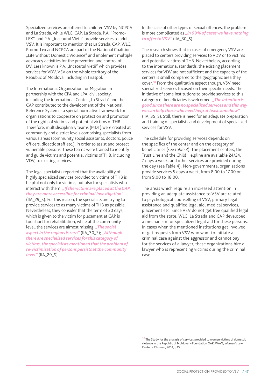Specialized services are offered to children VSV by NCPCA and La Strada, while WLC, CAP, La Strada, P.A. "Promo-LEX", and P.A. "Inceputul Vietii" provide services to adult VSV. It is important to mention that La Strada, CAP, WLC, Promo-Lex and NCPCA are part of the National Coalition "Life without Domestic Violence" and implement multiple advocacy activities for the prevention and control of DV. Less known is P.A. "Inceputul vietii" which provides services for VDV, VSV on the whole territory of the Republic of Moldova, including in Tiraspol.

The International Organization for Migration in partnership with the CPA and LPA, civil society, including the International Center "La Strada" and the CAP contributed to the development of the National Reference System – a special normative framework for organizations to cooperate on protection and promotion of the rights of victims and potential victims of THB. Therefore, multidisciplinary teams (MDT) were created at community and district levels comprising specialists from various areas (community social assistants, doctors, police officers, didactic staff etc.), in order to assist and protect vulnerable persons. These teams were trained to identify and guide victims and potential victims of THB, including VDV, to existing services.

The legal specialists reported that the availability of highly specialized services provided to victims of THB is helpful not only for victims, but also for specialists who interact with them. *"If the victims are placed at the CAP*, *they are more accessible for criminal investigation"* (IIA\_29\_S). For this reason, the specialists are trying to provide services to as many victims of THB as possible. Nevertheless, they consider that the term of 30 days, which is given to the victim for placement at CAP is too short for rehabilitation, while at the community level, the services are almost missing. *"The social aspect in the regions is zero"* (IIA\_30\_S); *"Although there are specialized services for this category of victims, the specialists mentioned that the problem of re-victimization of persons persists at the community level"* (IIA\_29\_S).

In the case of other types of sexual offences, the problem is more complicated as *"in 99% of cases we have nothing to offer to VSV"* (IIA\_30\_S).

The research shows that in cases of emergency VSV are placed to centers providing services to VDV or to victims and potential victims of THB. Nevertheless, according to the international standards, the existing placement services for VDV are not sufficient and the capacity of the centers is small compared to the geographic area they cover.**38** From the qualitative aspect though, VSV need specialized services focused on their specific needs. The initiative of some institutions to provide services to this category of beneficiaries is welcomed. *"The intention is good since there are no specialized services and this way we can help those who need help at least somehow"* (IIA 35 S). Still, there is need for an adequate preparation and training of specialists and development of specialized services for VSV.

The schedule for providing services depends on the specifics of the center and on the category of beneficiaries (*see Table 3*). The placement centers, the Trust Line and the Child Helpline are available 24/24, 7 days a week, and other services are provided during the day (see Table 4). Non-governmental organizations provide services 5 days a week, from 8.00 to 17.00 or from 9.00 to 18.00.

The areas which require an increased attention in providing an adequate assistance to VSV are related to psychological counselling of VSV, primary legal assistance and qualified legal aid, medical services, placement etc. Since VSV do not get free qualified legal aid from the state. WLC, La Strada and CAP developed a mechanism for specialized legal aid for these persons. In cases when the mentioned institutions get involved or get requests from VSV who want to initiate a criminal case against the aggressor and cannot pay for the services of a lawyer, these organizations hire a lawyer who is representing victims during the criminal case.

**<sup>38</sup>** The Study for the analysis of services provided to women victims of domestic violence in the Republic of Moldova. – Foundation OAK, WAVE, Women's Law Center. - Chisinau, 2014, p.15.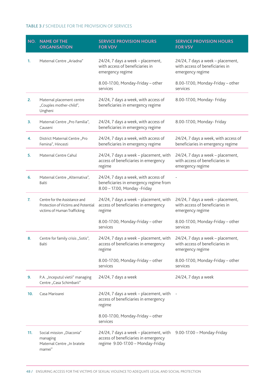### **Table 3 /** Schedule for the provision of services

|     | NO. NAME OF THE<br><b>ORGANISATION</b>                                                               | <b>SERVICE PROVISION HOURS</b><br><b>FOR VDV</b>                                                                    | <b>SERVICE PROVISION HOURS</b><br><b>FOR VSV</b>                                         |
|-----|------------------------------------------------------------------------------------------------------|---------------------------------------------------------------------------------------------------------------------|------------------------------------------------------------------------------------------|
| 1.  | Maternal Centre "Ariadna"                                                                            | 24/24, 7 days a week - placement,<br>with access of beneficiaries in<br>emergency regime                            | 24/24, 7 days a week - placement,<br>with access of beneficiaries in<br>emergency regime |
|     |                                                                                                      | 8.00-17.00, Monday-Friday - other<br>services                                                                       | 8.00-17.00, Monday-Friday - other<br>services                                            |
| 2.  | Maternal placement centre<br>"Couples mother-child",<br>Ungheni                                      | 24/24, 7 days a week, with access of<br>beneficiaries in emergency regime                                           | 8.00-17.00, Monday- Friday                                                               |
| З.  | Maternal Centre "Pro Familia",<br>Causeni                                                            | 24/24, 7 days a week, with access of<br>beneficiaries in emergency regime                                           | 8.00-17.00, Monday- Friday                                                               |
| 4.  | District Maternal Centre "Pro<br>Femina", Hincesti                                                   | 24/24, 7 days a week, with access of<br>beneficiaries in emergency regime                                           | 24/24, 7 days a week, with access of<br>beneficiaries in emergency regime                |
| 5.  | Maternal Centre Cahul                                                                                | 24/24, 7 days a week - placement, with<br>access of beneficiaries in emergency<br>regime                            | 24/24, 7 days a week - placement,<br>with access of beneficiaries in<br>emergency regime |
| 6.  | Maternal Centre "Alternativa",<br><b>Balti</b>                                                       | 24/24, 7 days a week, with access of<br>beneficiaries in emergency regime from<br>8.00 - 17.00, Monday - Friday     |                                                                                          |
| 7.  | Centre for the Assistance and<br>Protection of Victims and Potential<br>victims of Human Trafficking | 24/24, 7 days a week - placement, with<br>access of beneficiaries in emergency<br>regime                            | 24/24, 7 days a week - placement,<br>with access of beneficiaries in<br>emergency regime |
|     |                                                                                                      | 8.00-17.00, Monday-Friday - other<br>services                                                                       | 8.00-17.00, Monday-Friday - other<br>services                                            |
| 8.  | Centre for family crisis "Sotis",<br><b>Balti</b>                                                    | 24/24, 7 days a week - placement, with<br>access of beneficiaries in emergency<br>regime                            | 24/24, 7 days a week - placement,<br>with access of beneficiaries in<br>emergency regime |
|     |                                                                                                      | 8.00-17.00, Monday-Friday - other<br>services                                                                       | 8.00-17.00, Monday-Friday - other<br>services                                            |
| 9.  | P.A. "Inceputul vietii" managing<br>Centre "Casa Schimbarii"                                         | 24/24, 7 days a week                                                                                                | 24/24, 7 days a week                                                                     |
| 10. | Casa Marioarei                                                                                       | 24/24, 7 days a week - placement, with<br>access of beneficiaries in emergency<br>regime                            |                                                                                          |
|     |                                                                                                      | 8.00-17.00, Monday-Friday - other<br>services                                                                       |                                                                                          |
| 11. | Social mission "Diaconia"<br>managing<br>Maternal Centre "In bratele<br>mamei"                       | 24/24, 7 days a week - placement, with<br>access of beneficiaries in emergency<br>regime 9.00-17.00 - Monday-Friday | 9.00-17.00 - Monday-Friday                                                               |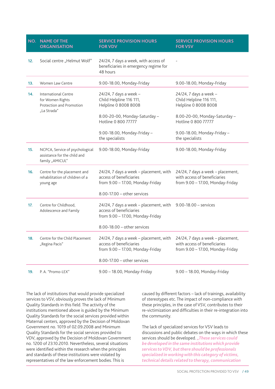|     | <b>NO. NAME OF THE</b><br><b>ORGANISATION</b>                                              | <b>SERVICE PROVISION HOURS</b><br><b>FOR VDV</b>                                                      | <b>SERVICE PROVISION HOURS</b><br><b>FOR VSV</b>                                                      |
|-----|--------------------------------------------------------------------------------------------|-------------------------------------------------------------------------------------------------------|-------------------------------------------------------------------------------------------------------|
| 12. | Social centre "Helmut Wolf"                                                                | 24/24, 7 days a week, with access of<br>beneficiaries in emergency regime for<br>48 hours             |                                                                                                       |
| 13. | Women Law Centre                                                                           | 9.00-18.00, Monday-Friday                                                                             | 9.00-18.00, Monday-Friday                                                                             |
| 14. | <b>International Centre</b><br>for Women Rights<br>Protection and Promotion<br>"La Strada" | 24/24, 7 days a week -<br>Child Helpline 116 111,<br>Helpline 0 8008 8008                             | 24/24, 7 days a week -<br>Child Helpline 116 111,<br>Helpline 0 8008 8008                             |
|     |                                                                                            | 8.00-20-00, Monday-Saturday -<br>Hotline 0 800 77777                                                  | 8.00-20-00, Monday-Saturday -<br>Hotline 0 800 77777                                                  |
|     |                                                                                            | 9.00-18.00, Monday-Friday -<br>the specialists                                                        | 9.00-18.00, Monday-Friday -<br>the specialists                                                        |
| 15. | NCPCA, Service of psychological<br>assistance for the child and<br>family "AMICUL"         | 9.00-18.00, Monday-Friday                                                                             | 9.00-18.00, Monday-Friday                                                                             |
| 16. | Centre for the placement and<br>rehabilitation of children of a<br>young age               | 24/24, 7 days a week - placement, with<br>access of beneficiaries<br>from 9.00 - 17.00, Monday-Friday | 24/24, 7 days a week - placement,<br>with access of beneficiaries<br>from 9.00 - 17.00, Monday-Friday |
|     |                                                                                            | $8.00 - 17.00 - other services$                                                                       |                                                                                                       |
| 17. | Centre for Childhood,<br>Adolescence and Family                                            | 24/24, 7 days a week - placement, with<br>access of beneficiaries<br>from 9.00 - 17.00, Monday-Friday | $9.00 - 18.00 -$ services                                                                             |
|     |                                                                                            | $8.00 - 18.00 - other services$                                                                       |                                                                                                       |
| 18. | Centre for the Child Placement<br>"Regina Pacis"                                           | 24/24, 7 days a week - placement, with<br>access of beneficiaries<br>from 9.00 - 17.00, Monday-Friday | 24/24, 7 days a week - placement,<br>with access of beneficiaries<br>from 9.00 - 17.00, Monday-Friday |
|     |                                                                                            | $8.00 - 17.00 - other services$                                                                       |                                                                                                       |
| 19. | P. A. "Promo-LEX"                                                                          | 9.00 - 18.00, Monday-Friday                                                                           | 9.00 - 18.00, Monday-Friday                                                                           |

The lack of institutions that would provide specialized services to VSV, obviously proves the lack of Minimum Quality Standards in this field. The activity of the institutions mentioned above is guided by the Minimum Quality Standards for the social services provided within Maternal centers, approved by the Decision of Moldovan Government no. 1019 of 02.09.2008 and Minimum Quality Standards for the social services provided to VDV, approved by the Decision of Moldovan Government no. 1200 of 23.10.2010. Nevertheless, several situations were identified within the research when the principles and standards of these institutions were violated by representatives of the law enforcement bodies. This is

caused by different factors – lack of trainings, availability of stereotypes etc. The impact of non-compliance with these principles, in the case of VSV, contributes to their re-victimization and difficulties in their re-integration into the community.

The lack of specialized services for VSV leads to discussions and public debates on the ways in which these services should be developed. **"These services could** *be developed in the same institutions which provide services to VDV, but there should be professionals specialized in working with this category of victims, technical details related to therapy, communication*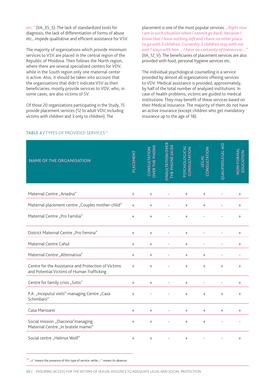*etc."* (IIA\_35\_S). The lack of standardized tools for diagnosis, the lack of differentiation of forms of abuse etc., impede qualitative and efficient assistance for VSV.

The majority of organizations which provide minimum services to VSV are placed in the central region of the Republic of Moldova. Then follows the North region, where there are several specialized centers for VDV, while in the South region only one maternal center is active. Also, it should be taken into account that the organizations that didn't indicate VSV as their beneficiaries, mostly provide services to VDV, who, in some cases, are also victims of SV.

Of those 20 organizations participating in the Study, 15 provide placement services (12 to adult VDV, including victims with children and 3 only to children). The

placement is one of the most popular services. "Right now *I am in such situation when I cannot go back, because I know that I have nothing left and I have no other place to go with 3 children. Currently 3 children stay with me and 1 stays with him… I have no certainty of tomorrow…"*  (IIA\_12\_V). The beneficiaries of placement services are also provided with food, personal hygiene services etc.

The individual psychological counselling is a service provided by almost all organizations offering services to VDV. Medical assistance is provided, approximately, by half of the total number of analyzed institutions. In case of health problems, victims are guided to medical institutions. They may benefit of these services based on their Medical Insurance. The majority of them do not have an active insurance (except children who get mandatory insurance up to the age of 18).

 $\mathbb{R}$ 

| <b>NAME OF THE ORGANISATION</b>                                                                   | PLACEMENT | <b>OVER THE PHONE</b><br>CONSULTATION | <b>ONSULTATION OVER</b><br>THE PHONE 24/24 | PSYCHOLOGICAL<br><b>CONSULTATION</b> | <b>LEGAL</b><br>CONSULTATION | <b>QUALIFIEDLEGAL AID</b> | NON-FORMAL<br>EDUCATION |
|---------------------------------------------------------------------------------------------------|-----------|---------------------------------------|--------------------------------------------|--------------------------------------|------------------------------|---------------------------|-------------------------|
| Maternal Centre "Ariadna"                                                                         | $^{+}$    | $^{+}$                                |                                            | $^{+}$                               | $^{+}$                       |                           | $^+$                    |
| Maternal placement centre "Couples mother-child"                                                  | $^{+}$    | $\begin{array}{c} + \end{array}$      |                                            | $^{+}$                               | $^{+}$                       |                           | $^+$                    |
| Maternal Centre "Pro Familia"                                                                     | $\ddot{}$ | $\boldsymbol{+}$                      |                                            | $\ddot{}$                            |                              |                           | $^+$                    |
| District Maternal Centre "Pro Femina"                                                             | $\ddot{}$ | $\begin{array}{c} + \end{array}$      |                                            | $+$                                  |                              |                           | $^{+}$                  |
| Maternal Centre Cahul                                                                             | $^{+}$    | $\begin{array}{c} + \end{array}$      |                                            | $\ddot{}$                            |                              |                           | $^+$                    |
| Maternal Centre "Alternativa"                                                                     | $\ddot{}$ | $^{+}$                                |                                            | $^{+}$                               | $^{+}$                       |                           |                         |
| Centre for the Assistance and Protection of Victims<br>and Potential Victims of Human Trafficking | $^{+}$    | $^{+}$                                |                                            | $^{+}$                               | $^{+}$                       | $+$                       | $^{+}$                  |
| Centre for family crisis "Sotis"                                                                  | $^{+}$    | $\begin{array}{c} + \end{array}$      |                                            | $^{+}$                               |                              |                           | $^{+}$                  |
| P.A. "Inceputul vietii" managing Centre "Casa<br>Schimbarii"                                      | $^{+}$    |                                       |                                            | $\ddot{}$                            | $^+$                         | $^{+}$                    | $^{+}$                  |
| Casa Marioarei                                                                                    | $\ddot{}$ | $^{+}$                                |                                            | $^+$                                 | $^{+}$                       | $\ddot{}$                 | $^+$                    |
| Social mission "Diaconia" managing                                                                | $\ddag$   |                                       |                                            |                                      | $\hbox{+}$                   |                           |                         |

Social centre "Helmut Wolf"  $+$   $+$   $+$   $+$   $+$ 

#### **table 4 /** Types of provided services**<sup>39</sup>**

<sup>39</sup> <sub>"</sub>+" means the presence of this type of service, while "-" means its absence.

Maternal Centre ..In bratele mamei"

**50 /** ENSURING ACCESS FOR THE VICTIMS OF SEXUAL VIOLENCE TO ADEQUATE LEGAL AND SOCIAL PROTECTION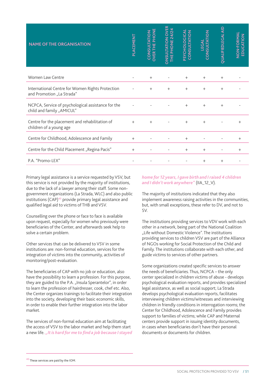| <b>NAME OF THE ORGANISATION</b>                                                 | <b>PLACEMENT</b> | <b>NE</b><br>CONSULTATION<br><b>DVERTHE PH</b> | 띥<br>$\bar{\delta}$<br><b>ONSULTATION</b><br>$\mathbf{\Omega}$<br>THE PHONE | PSYCHOLOGICAL<br>CONSULTATION | <u>z</u><br><b>ONSULTA</b><br>LEGAL | <b>QUALIFIEDLEGAL AID</b> | NON-FORMAL<br>EDUCATION |
|---------------------------------------------------------------------------------|------------------|------------------------------------------------|-----------------------------------------------------------------------------|-------------------------------|-------------------------------------|---------------------------|-------------------------|
| Women Law Centre                                                                |                  | $^{+}$                                         |                                                                             | $+$                           | $^{+}$                              | $^{+}$                    |                         |
| International Centre for Women Rights Protection<br>and Promotion "La Strada"   |                  | $^{+}$                                         | $^{+}$                                                                      | $+$                           | $^{+}$                              | $^{+}$                    |                         |
| NCPCA, Service of psychological assistance for the<br>child and family "AMICUL" |                  |                                                |                                                                             | $^{+}$                        | $\pm$                               | $+$                       |                         |
| Centre for the placement and rehabilitation of<br>children of a young age       | $+$              | $+$                                            |                                                                             | $+$                           | $^{+}$                              |                           | $^{+}$                  |
| Centre for Childhood, Adolescence and Family                                    | $+$              |                                                |                                                                             | $+$                           |                                     |                           | $^{+}$                  |
| Centre for the Child Placement "Regina Pacis"                                   | $+$              |                                                |                                                                             | $^{+}$                        | $^{+}$                              |                           | $^{+}$                  |
| P.A. "Promo-LEX"                                                                |                  |                                                |                                                                             |                               | $\overline{+}$                      | $\ddot{}$                 |                         |

Primary legal assistance is a service requested by VSV, but this service is not provided by the majority of institutions, due to the lack of a lawyer among their staff. Some nongovernment organizations (La Strada, WLC) and also public institutions (CAP)**40** provide primary legal assistance and qualified legal aid to victims of THB and VSV.

Counselling over the phone or face to face is available upon request, especially for women who previously were beneficiaries of the Center, and afterwards seek help to solve a certain problem.

Other services that can be delivered to VSV in some institutions are: non-formal education, services for the integration of victims into the community, activities of monitoring/post-evaluation.

The beneficiaries of CAP with no job or education, also have the possibility to learn a profession. For this purpose, they are guided to the P.A. "Insula Sperantelor", in order to learn the profession of hairdresser, cook, chef etc. Also, the Center organizes trainings to facilitate their integration into the society, developing their basic economic skills, in order to enable their further integration into the labor market.

The services of non-formal education aim at facilitating the access of VSV to the labor market and help them start a new life. *"It is hard for me to find a job because I stayed* 

### *home for 12 years, I gave birth and I raised 4 children and I didn't work anywhere"* (IIA\_12\_V).

The majority of institutions indicated that they also implement awareness raising activities in the communities, but, with small exceptions, these refer to DV, and not to SV.

The institutions providing services to VDV work with each other in a network, being part of the National Coalition . Life without Domestic Violence". The institutions providing services to children VSV are part of the Alliance of NGOs working for Social Protection of the Child and Family. The institutions collaborate with each other, and guide victims to services of other partners.

Some organizations created specific services to answer the needs of beneficiaries. Thus, NCPCA – the only center specialized in children victims of abuse - develops psychological evaluation reports, and provides specialized legal assistance, as well as social support; La Strada develops psychological evaluation reports, facilitates interviewing children victims/witnesses and interviewing children in friendly conditions in interrogation rooms; the Center for Childhood, Adolescence and Family provides support to families of victims; while CAP and Maternal centers provide support in issuing identity documents, in cases when beneficiaries don't have their personal documents or documents for children.

**<sup>40</sup>** These services are paid by the IOM.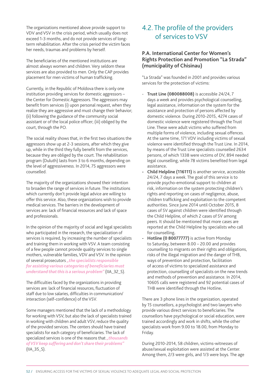The organizations mentioned above provide support to VDV and VSV in the crisis period, which usually does not exceed 1-3 months, and do not provide services of longterm rehabilitation. After the crisis period the victim faces her needs, traumas and problems by herself.

The beneficiaries of the mentioned institutions are almost always women and children. Very seldom these services are also provided to men. Only the CAP provides placement for men victims of human trafficking.

Currently, in the Republic of Moldova there is only one institution providing services for domestic aggressors – the Center for Domestic Aggressors. The aggressors may benefit from services (i) upon personal request, when they realize they are aggressive and must change their behavior; (ii) following the guidance of the community social assistant or of the local police officer; (iii) obliged by the court, through the PO.

The social reality shows that, in the first two situations the aggressors show up at 2-3 sessions, after which they give up, while in the third they fully benefit from the services, because they are obliged by the court. The rehabilitation program (Duluth) lasts from 3 to 6 months, depending on the level of aggressiveness. In 2014, 75 aggressors were counselled.

The majority of the organizations showed their intention to broaden the range of services in future. The institutions which currently don't provide legal advice are willing to offer this service. Also, these organizations wish to provide medical services. The barriers in the development of services are: lack of financial resources and lack of space and professionals.

In the opinion of the majority of social and legal specialists who participated in the research, the specialization of services is required, by increasing the number of specialists and training them in working with VSV. A team consisting of a few people cannot provide quality services to single mothers, vulnerable families, VDV and VSV. In the opinion of several prosecutors *"the specialists responsible for assisting various categories of beneficiaries must understand that this is a serious problem"* (IIA\_32\_S).

The difficulties faced by the organizations in providing services are: lack of financial resources, fluctuation of staff due to low salaries, difficulties in communication/ interaction (self-confidence) of the VSV.

Some managers mentioned that the lack of a methodology for working with VSV, but also the lack of specialists trained in working with children and adult VSV, reduce the quality of the provided services. The centers should have trained specialists for each category of beneficiaries. The lack of specialized services is one of the reasons that *"thousands of VSV keep suffering and don't share their problems"*  (IIA\_35\_S).

# 4.2. The profile of the providers of services to VSV

### **P.A. International Center for Women's Rights Protection and Promotion "La Strada" (municipality of Chisinau)**

"La Strada" was founded in 2001 and provides various services for the protection of victims:

- **Trust Line (080088008)** is accessible 24/24, 7 days a week and provides psychological counselling, legal assistance, information on the system for the assistance and protection of persons affected by domestic violence. During 2010-2015, 4274 cases of domestic violence were registered through the Trust Line. These were adult victims who suffered from multiple forms of violence, including sexual offences. At the same time, 171 VDV including victims of sexual violence were identified through the Trust Line. In 2014, by means of the Trust Line specialists counselled 2634 persons, of which 1338 were victims of DV, 894 needed legal counselling, while 78 victims benefited from legal assistance**.**
- **- Child Helpline (116111)** is another service, accessible 24/24, 7 days a week. The goal of this service is to provide psycho-emotional support to children at risk, information on the system protecting children's rights and reporting on cases of negligence, abuse, children trafficking and exploitation to the competent authorities. Since June 2014 until October 2015, 8 cases of SV against children were identified through the Child Helpline, of which 2 cases of SV among peers. It should be mentioned that more cases are reported at the Child Helpline by specialists who call for counselling**.**
- **- Hotline (0 80077777)** is active from Monday to Saturday, between 8.00 – 20.00 and provides counselling to migrants on their rights and obligations, risks of the illegal migration and the danger of THB, ways of prevention and protection, facilitation of access of victims to specialized assistance and protection, counselling of specialists on the new trends and methods of prevention and assistance. In 2014, 10605 calls were registered and 92 potential cases of THB were identified through the Hotline**.**

There are 3 phone lines in the organization, operated by 15 counsellors, a psychologist and two lawyers who provide various direct services to beneficiaries. The counsellors have psychological or social education, were trained accordingly and work in shifts, while the other specialists work from 9.00 to 18.00, from Monday to Friday.

During 2010-2014, 58 children, victims-witnesses of abuse/sexual exploitation were assisted at the Center. Among them, 2/3 were girls, and 1/3 were boys. The age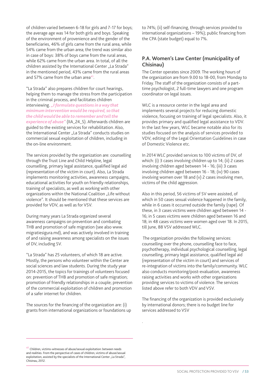of children varied between 6-18 for girls and 7-17 for boys; the average age was 14 for both girls and boys. Speaking of the environment of provenience and the gender of the beneficiaries, 46% of girls came from the rural area, while 54% came from the urban area; the trend was similar also in case of boys: 38% of boys came from the rural areas, while 62% came from the urban area. In total, of all the children assisted by the International Center "La Strada" in the mentioned period, 43% came from the rural areas and 57% came from the urban area**41**.

"La Strada" also prepares children for court hearings, helping them to manage the stress from the participation in the criminal process, and facilitates children interviewing. *"I formulate questions in a way that minimum intervention would be required, so that the child would be able to remember and tell the experience of abuse"* (IIA\_24\_S). Afterwards children are guided to the existing services for rehabilitation. Also, the International Center "La Strada" conducts studies on commercial sexual exploitation of children, including in the on-line environment.

The services provided by the organization are: counselling through the Trust Line and Child Helpline, legal counselling, primary legal assistance, qualified legal aid (representation of the victim in court). Also, La Strada implements monitoring activities, awareness campaigns, educational activities for youth on friendly relationships, training of specialists, as well as working with other organizations within the National Coalition ..Life without violence". It should be mentioned that these services are provided for VDV, as well as for VSV.

During many years La Strada organized several awareness campaigns on prevention and combating THB and promotion of safe migration (see also www. migratiesigura.md), and was actively involved in training of and raising awareness among specialists on the issues of DV, including SV.

"La Strada" has 25 volunteers, of which 18 are active. Mostly, the persons who volunteer within the Center are social sciences and law students. During the study year 2014-2015, the topics for trainings of volunteers focused on: prevention of THB and promotion of safe migration; promotion of friendly relationships in a couple; prevention of the commercial exploitation of children and promotion of a safer internet for children.

The sources for the financing of the organization are: (i) grants from international organizations or foundations up to 74%; (ii) self-financing, through services provided to international organizations – 19%); public financing from the CPA (state budget) equal to 7%.

### **P.A. Women's Law Center (municipality of Chisinau)**

The Center operates since 2009. The working hours of the organization are from 9.00 to 18-00, from Monday to Friday. The staff of the organization consists of a parttime psychologist, 2 full-time lawyers and one program coordinator on legal issues.

WLC is a resource center in the legal area and implements several projects for reducing domestic violence, focusing on training of legal specialists. Also, it provides primary and qualified legal assistance to VDV. In the last few years, WLC became notable also for its studies focused on the analysis of services provided to VDV, editing of the Legal Orientation Guidelines in case of Domestic Violence etc.

In 2014 WLC provided services to 100 victims of DV, of which: (i) 3 cases involving children up to 14; (ii) 2 cases involving children aged between 14 - 16; (iii) 3 cases involving children aged between 16 - 18; (iv) 90 cases involving women over 18 and (v) 2 cases involving men, victims of the child aggression.

Also in this period, 56 victims of SV were assisted, of which in 50 cases sexual violence happened in the family, while in 6 cases it occurred outside the family (rape). Of these, in 3 cases victims were children aged between 14 - 16; in 5 cases victims were children aged between 16 and 18; in 48 cases victims were women aged over 18. In 2015, till June, 88 VSV addressed WLC.

 The organization provides the following services: counselling over the phone, counselling face to face, psychotherapy, individual psychological counselling, legal counselling, primary legal assistance, qualified legal aid (representation of the victim in court) and services of re-integration of victims into the family/community. WLC also conducts monitoring/post-evaluation, awareness raising activities and works with other organizations providing services to victims of violence. The services listed above refer to both VDV and VSV.

The financing of the organization is provided exclusively by international donors; there is no budget line for services addressed to VSV

.

**<sup>41</sup>** Children, victims-witnesses of abuse/sexual exploitation: between needs and realities. From the perspective of cases of children, victims of abuse/sexual exploitation, assisted by the specialists of the International Center "La Strada", Chisinau, 2012.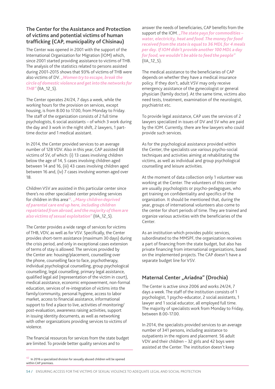### **The Center for the Assistance and Protection of victims and potential victims of human trafficking (CAP, municipality of Chisinau)**

The Center was opened in 2001 with the support of the International Organization for Migration (IOM) which, since 2001 started providing assistance to victims of THB. The analysis of the statistics related to persons assisted during 2001-2015 shows that 93% of victims of THB were also victims of DV. "Women try to escape, break the *circle of domestic violence and get into the networks for THB"* (IIA\_12\_S).

The Center operates 24/24, 7 days a week, while the working hours for the provision on services, except housing, is from 8.00 to 17.00, from Monday to Friday. The staff of the organization consists of 2 full time psychologists, 6 social assistants – of which 3 work during the day and 3 work in the night shift, 2 lawyers, 1 parttime doctor and 1 medical assistant.

In 2014, the Center provided services to an average number of 128 VDV. Also in this year, CAP assisted 68 victims of SV, of which: (i) 13 cases involving children below the age of 14, 5 cases involving children aged between 14 and 16, (iii) 43 cases involving children aged between 16 and, (iv) 7 cases involving women aged over 18.

Children VSV are assisted in this particular center since there's no other specialized center providing services for children in this area**42**. *"Many children deprived of parental care end up here, including children repatriated from abroad, and the majority of them are also victims of sexual exploitation"* (IIA\_12\_S).

The Center provides a wide range of services for victims of THB, VDV, as well as for VSV. Specifically, the Center provides short-term assistance (maximum 30 days) during the crisis period, and only in exceptional cases extension of terms of stay is allowed. The services provided by the Center are: housing/placement, counselling over the phone, counselling face to face, psychotherapy, individual psychological counselling, group psychological counselling, legal counselling, primary legal assistance, qualified legal aid (representation of the victim in court), medical assistance, economic empowerment, non-formal education, services of re-integration of victims into the family/community, personal hygiene, access to labor market, access to financial assistance, informational support to find a place to live, activities of monitoring/ post-evaluation, awareness raising activities, support in issuing identity documents, as well as networking with other organizations providing services to victims of violence.

The financial resources for services from the state budget are limited. To provide better quality services and to

answer the needs of beneficiaries, CAP benefits from the support of the IOM. "The state pays for commodities – *water, electricity, heat and food. The money for food received from the state is equal to 36 MDL for 4 meals per day. If IOM didn't provide another 100 MDL a day for food, we wouldn't be able to feed the people"* (IIA\_12\_S).

The medical assistance to the beneficiaries of CAP depends on whether they have a medical insurance policy. If they don't, adult VSV may only receive emergency assistance of the gynecologist or general physician (family doctor). At the same time, victims also need tests, treatment, examination of the neurologist, psychiatrist etc.

To provide legal assistance, CAP uses the services of 2 lawyers specialized in issues of DV and SV who are paid by the IOM. Currently, there are few lawyers who could provide such services.

As for the psychological assistance provided within the Center, the specialists use various psycho-social techniques and activities aiming at rehabilitating the victims, as well as individual and group psychological counselling and leisure activities.

At the moment of data collection only 1 volunteer was working at the Center. The volunteers of this center are usually psychologists or psycho-pedagogues, who get training on confidentiality and specifics of the organization. It should be mentioned that, during the year, groups of international volunteers also come to the center for short periods of time. They are trained and organize various activities with the beneficiaries of the Center.

As an institution which provides public services, subordinated to the MMSPF, the organization receives a part of financing from the state budget, but also has private financing from international organizations, based on the implemented projects. The CAP doesn't have a separate budget line for VSV.

### **Maternal Center "Ariadna" (Drochia)**

The Center is active since 2006 and works 24/24, 7 days a week. The staff of the institution consists of 1 psychologist, 1 psycho-educator, 2 social assistants, 1 lawyer and 1 social educator, all employed full time. The majority of specialists work from Monday to Friday, between 8.00-17.00.

In 2014, the specialists provided services to an average number of 341 persons, including assistance to outpatients in the regions and placement. 56 adult VDV and their children – 32 girls and 42 boys were assisted at the Center. The institution doesn't keep

**<sup>42</sup>** In 2016 a specialized division for sexually abused children will be opened within CAP premises.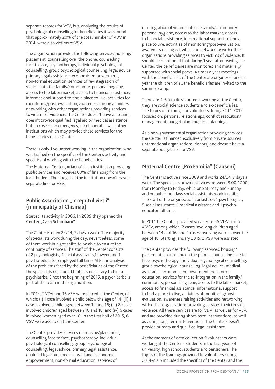separate records for VSV, but, analyzing the results of psychological counselling for beneficiaries it was found that approximately 20% of the total number of VDV in 2014, were also victims of VSV.

The organization provides the following services: housing/ placement, counselling over the phone, counselling face to face, psychotherapy, individual psychological counselling, group psychological counselling, legal advice, primary legal assistance, economic empowerment, non-formal education, services of re-integration of victims into the family/community, personal hygiene, access to the labor market, access to financial assistance, informational support to find a place to live, activities for monitoring/post-evaluation, awareness raising activities, networking with other organizations providing services to victims of violence. The Center doesn't have a hotline, doesn't provide qualified legal aid or medical assistance, but, in case of an emergency, it collaborates with other institutions which may provide these services for the beneficiaries of the Center.

There is only 1 volunteer working in the organization, who was trained on the specifics of the Center's activity and specifics of working with the beneficiaries.

The Maternal Center "Ariadna" is an institution providing public services and receives 60% of financing from the local budget. The budget of the institution doesn't have a separate line for VSV.

### **Public Association ..Inceputul vietii" (municipality of Chisinau)**

Started its activity in 2006. In 2009 they opened the Center "Casa Schimbarii".

The Center is open 24/24, 7 days a week. The majority of specialists work during the day; nevertheless, some of them work in night shifts to be able to ensure the continuity of services. The staff of the Center consists of 2 psychologists, 4 social assistants,1 lawyer and 1 psycho-educator employed full time. After an analysis of the problems faced by the beneficiaries of the Center, the specialists concluded that it is necessary to hire a psychiatrist. Since the beginning of 2015, a psychiatrist is part of the team in the organization.

In 2014, 7 VDV and 16 VSV were placed at the Center, of which: (i) 1 case involved a child below the age of 14; (ii) 1 case involved a child aged between 14 and 16; (iii) 8 cases involved children aged between 16 and 18; and (iv) 6 cases involved women aged over 18. In the first half of 2015, 6 VSV were assisted at the Center.

The Center provides services of housing/placement, counselling face to face, psychotherapy, individual psychological counselling, group psychological counselling, legal advice, primary legal assistance, qualified legal aid, medical assistance, economic empowerment, non-formal education, services of

re-integration of victims into the family/community, personal hygiene, access to the labor market, access to financial assistance, informational support to find a place to live, activities of monitoring/post-evaluation, awareness raising activities and networking with other organizations providing services to victims of violence. It should be mentioned that during 1 year after leaving the Center, the beneficiaries are monitored and materially supported with social packs; 4 times a year meetings with the beneficiaries of the Center are organized; once a year the children of all the beneficiaries are invited to the summer camp.

There are 4-6 female volunteers working at the Center; they are social science students and ex-beneficiaries. The topics of trainings for volunteers during 2014-2015 focused on: personal relationships, conflict resolution/ management, budget planning, time planning.

As a non-governmental organization providing services the Center is financed exclusively from private sources (international organizations, donors) and doesn't have a separate budget line for VSV.

### **Maternal Centre "Pro Familia" (Causeni)**

The Center is active since 2009 and works 24/24, 7 days a week. The specialists provide services between 8.00-17.00, from Monday to Friday, while on Saturday and Sunday and on public holidays social assistants work in shifts. The staff of the organization consists of: 1 psychologist, 5 social assistants, 1 medical assistant and 1 psychoeducator full time.

In 2014 the Center provided services to 45 VDV and to 4 VSV, among which: 2 cases involving children aged between 14 and 16, and 2 cases involving women over the age of 18. Starting January 2015, 2 VSV were assisted.

The Center provides the following services: housing/ placement, counselling on the phone, counselling face to face, psychotherapy, individual psychological counselling, group psychological counselling, legal advice, medical assistance, economic empowerment, non-formal education, services for the re-integration in the family/ community, personal hygiene, access to the labor market, access to financial assistance, informational support to find a place to live, activities of monitoring/postevaluation, awareness raising activities and networking with other organizations providing services to victims of violence. All these services are for VDV, as well as for VSV, and are provided during short-term interventions, as well as during long-term interventions. The Center doesn't provide primary and qualified legal assistance.

At the moment of data collection 9 volunteers were working at the Center – students in the last years of university, high school students and pensioners. The topics of the trainings provided to volunteers during 2014-2015 included the specifics of the Center and the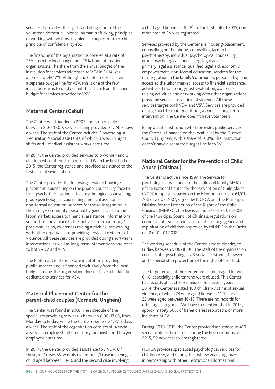services it provides, the rights and obligations of the volunteer, domestic violence, human trafficking, principles of working with victims of violence, couples mother-child, principle of confidentiality etc.

The financing of the organization is covered at a rate of 75% from the local budget and 25% from international organizations. The share from the annual budget of the institution for services addressed to VSV in 2014 was approximately 17%. Although the Center doesn't have a separate budget line for VSV, this is one of the few institutions which could delimitate a share from the annual budget for services provided to VSV.

## **Maternal Center (Cahul)**

The Center was founded in 2007 and is open daily between 8.00-17.00, services being provided 24/24, 7 days a week. The staff of the Center includes: 1 psychologist, 1 educator, 4 social assistants, of which 3 work in night shifts and 1 medical assistant works part time.

In 2014, the Center provided services to 5 women and 6 children who suffered as a result of DV. In the first half of 2015, the Center registered and provided assistance to the first case of sexual abuse.

The Center provides the following services: housing/ placement, counselling on the phone, counselling face to face, psychotherapy, individual psychological counselling, group psychological counselling, medical assistance, non-formal education, services for the re-integration in the family/community, personal hygiene, access to the labor market, access to financial assistance, informational support to find a place to life, activities of monitoring/ post-evaluation, awareness raising activities, networking with other organizations providing services to victims of violence. All these services are provided during short-term interventions, as well as long-term interventions and refer to both VDV and VSV.

The Maternal Center is a state institution providing public services and is financed exclusively from the local budget. Today, the organization doesn't have a budget line dedicated to services for VSV.

### **Maternal Placement Center for the parent-child couples (Cornesti, Ungheni)**

The Center was found in 2007. The schedule of the specialists providing services is between 8.00-17.00, from Monday to Friday, while the Center operates 24/27, 7 days a week. The staff of the organization consists of: 4 social assistants employed full time, 1 psychologist and 1 lawyer employed part time.

In 2014, the Center provided assistance to 7 VDV. Of these, in 2 cases SV was also identified (1 case involving a child aged between 14-16 and the second case involving

a child aged between 16-18). In the first half of 2015, one more case of SV was registered.

Services provided by the Center are: housing/placement, counselling on the phone, counselling face to face, psychotherapy, individual psychological counselling, group psychological counselling, legal advice, primary legal assistance, qualified legal aid, economic empowerment, non-formal education, services for the re-integration in the family/community, personal hygiene, access to the labor market, access to financial assistance, activities of monitoring/post-evaluation, awareness raising activities and networking with other organizations providing services to victims of violence. All these services target both VDV and VSV. Services are provided during short-term interventions, as well as long-term intervention. The Center doesn't have volunteers.

Being a state institution which provides public services, the Center is financed on the local level by the District Council Ungheni, with a share of 100%. The institution doesn't have a separate budget line for VSV.

### **National Center for the Prevention of Child Abuse (Chisinau)**

The Center is active since 1997. The Service for psychological assistance to the child and family AMICUL of the National Center for the Prevention of Child Abuse (NCPCA) operates based on the Memorandum no. 61/01- 706 of 23.08.2007, signed by NCPCA and the Municipal Division for the Protection of the Rights of the Child Chisinau (MDPRC); the Decision no. 5/7 of 25.03.2008 of the Municipal Council of Chisinau; regulations on common intervention in cases of abuse, negligence and exploitation of children approved by MDPRC in the Order no. 2 of 04.01.2012.

The working schedule of the Center is from Monday to Friday, between 9.00-18.00. The staff of the organization consists of 4 psychologists, 3 social assistants, 1 lawyer and 1 specialist in protection of the rights of the child.

The target group of the Center are children aged between 0-18, especially children who were abused. This Center has records of all children abused for several years. In 2014, the Center assisted 180 children-victims of sexual violence, of which 74 were aged between 11-14, and 22 were aged between 16-18. There are no records for other age categories. We have to mention that in 2014, approximately 60% of beneficiaries reported 2 or more incidents of SV.

During 2010-2015, the Center provided assistance to 419 sexually abused children. During the first 6 months of 2015, 52 new cases were registered.

NCPCA provides specialized psychological services for children VSV, and during the last few years organizes in partnership with other institutions informational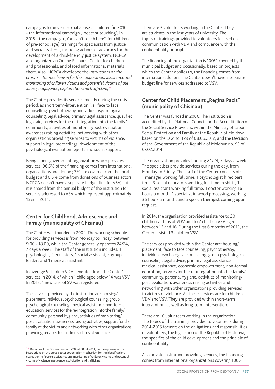campaigns to prevent sexual abuse of children (in 2010 - the informational campaign "Indecent touching", in 2015 - the campaign "You can't touch here", for children of pre-school age), trainings for specialists from justice and social systems, including actions of advocacy for the development of a child-friendly justice system. NCPCA also organized an Online Resource Center for children and professionals, and placed informational materials there. Also, NCPCA developed the *Instructions on the cross-sector mechanism for the cooperation, assistance and monitoring of children victims and potential victims of the abuse, negligence, exploitation and trafficking***43**.

The Center provides its services mostly during the crisis period, as short term-intervention, i.e.: face to face counselling, psychotherapy, individual psychological counseling, legal advice, primary legal assistance, qualified legal aid, services for the re-integration into the family/ community, activities of monitoring/post-evaluation, awareness raising activities, networking with other organizations providing services to victims of violence, support in legal proceedings, development of the psychological evaluation reports and social support.

Being a non-government organization which provides services, 96.5% of the financing comes from international organizations and donors; 3% are covered from the local budget and 0.5% come from donations of business actors. NCPCA doesn't have a separate budget line for VSV, but it is shared from the annual budget of the institution for services addressed to VSV which represent approximately 15% in 2014.

### **Center for Childhood, Adolescence and Family (municipality of Chisinau)**

The Center was founded in 2004. The working schedule for providing services is from Monday to Friday, between 9.00 - 18.00, while the Center generally operates 24/24, 7 days a week. The staff of the institution includes: 1 psychologist, 4 educators, 1 social assistant, 4 group leaders and 1 medical assistant.

In average 5 children VDV benefited from the Center's services in 2014, of which 1 child aged below 14 was VSV. In 2015, 1 new case of SV was registered.

The services provided by the institution are: housing/ placement, individual psychological counseling, group psychological counseling, medical assistance, non-formal education, services for the re-integration into the family/ community, personal hygiene, activities of monitoring/ post-evaluation, awareness raising activities, support for the family of the victim and networking with other organizations providing services to children victims of violence.

There are 3 volunteers working in the Center. They are students in the last years of university. The topics of trainings provided to volunteers focused on communication with VDV and compliance with the confidentiality principle.

The financing of the organization is 100% covered by the municipal budget and occasionally, based on projects which the Center applies to, the financing comes from international donors. The Center doesn't have a separate budget line for services addressed to VSV.

### **Center for Child Placement "Regina Pacis" (municipality of Chisinau)**

The Center was funded in 2006. The institution is accredited by the National Council for the Accreditation of the Social Service Providers, within the Ministry of Labor, Social Protection and Family of the Republic of Moldova, based on the Law no. 129 of 08.06.2012, and the Decision of the Government of the Republic of Moldova no. 95 of 07.02.2014.

The organization provides housing 24/24, 7 days a week. The specialists provide services during the day, from Monday to Friday. The staff of the Center consists of: 1 manager working full time, 1 psychologist hired part time, 3 social educators working full time in shifts, 1 social assistant working full time, 1 doctor working 16 hours a month, 1 specialist in wood processing, working 36 hours a month, and a speech therapist coming upon request.

In 2014, the organization provided assistance to 20 children victims of VDV and to 2 children VSV aged between 16 and 18. During the first 6 months of 2015, the Center assisted 3 children VSV.

The services provided within the Center are: housing/ placement, face to face counseling, psychotherapy, individual psychological counseling, group psychological counseling, legal advice, primary legal assistance, medical assistance, economic empowerment, non-formal education, services for the re-integration into the family/ community, personal hygiene, activities of monitoring/ post-evaluation, awareness raising activities and networking with other organizations providing services to victims of violence. All these services are for children VDV and VSV. They are provided within short-term intervention, as well as long-term intervention.

There are 10 volunteers working in the organization. The topics of the trainings provided to volunteers during 2014-2015 focused on the obligations and responsibilities of volunteers, the legislation of the Republic of Moldova, the specifics of the child development and the principle of confidentiality.

As a private institution providing services, the financing comes from international organizations covering 100%.

**<sup>43</sup>** Decision of the Government no. 270, of 08.04.2014, on the approval of the Instructions on the cross-sector cooperation mechanism for the identification, evaluation, reference, assistance and monitoring of children victims and potential victims of violence, negligence, exploitation and trafficking.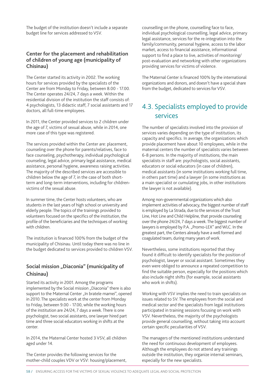The budget of the institution doesn't include a separate budget line for services addressed to VSV.

### **Center for the placement and rehabilitation of children of young age (municipality of Chisinau)**

The Center started its activity in 2002. The working hours for services provided by the specialists of the Center are from Monday to Friday, between 8.00 - 17.00. The Center operates 24/24, 7 days a week. Within the residential division of the institution the staff consists of: 4 psychologists, 13 didactic staff, 7 social assistants and 17 doctors, all full-time employees.

In 2011, the Center provided services to 2 children under the age of 7, victims of sexual abuse, while in 2014, one more case of this type was registered.

The services provided within the Center are: placement, counseling over the phone for parents/relatives, face to face counseling, psychotherapy, individual psychological counseling, legal advice, primary legal assistance, medical assistance, personal hygiene, awareness raising activities. The majority of the described services are accessible to children below the age of 7, in the case of both shortterm and long-term interventions, including for childrenvictims of the sexual abuse.

In summer time, the Center hosts volunteers, who are students in the last years of high school or university and elderly people. The topics of the trainings provided to volunteers focused on the specifics of the institution, the profile of the beneficiaries and the techniques of working with children.

The institution is financed 100% from the budget of the municipality of Chisinau. Until today there was no line in the budget dedicated to services provided to children VSV.

### **Social mission "Diaconia" (municipality of Chisinau)**

Started its activity in 2001. Among the programs implemented by the Social mission "Diaconia" there is also support to the Maternal Center "In bratele mamei", opened in 2010. The specialists work at the center from Monday to Friday, between 9.00 - 17.00, while the working hours of the institution are 24/24, 7 days a week. There is one psychologist, two social assistants, one lawyer hired part time and three social educators working in shifts at the center.

In 2014, the Maternal Center hosted 3 VSV, all children aged under 14.

The Center provides the following services for the mother-child couples VDV or VSV: housing/placement, counselling on the phone, counselling face to face, individual psychological counselling, legal advice, primary legal assistance, services for the re-integration into the family/community, personal hygiene, access to the labor market, access to financial assistance, informational support to find a place to live, activities of monitoring/ post-evaluation and networking with other organizations providing services for victims of violence.

The Maternal Center is financed 100% by the international organizations and donors, and doesn't have a special share from the budget, dedicated to services for VSV.

# 4.3. Specialists employed to provide services

The number of specialists involved into the provision of services varies depending on the type of institution, its capacity and specifics. In average, the organizations which provide placement have about 10 employees, while in the maternal centers the number of specialists varies between 6-8 persons. In the majority of institutions, the main specialists in staff are: psychologists, social assistants, educators or social educators (in case of children), medical assistants (in some institutions working full time, in others part time) and a lawyer (in some institutions as a main specialist or cumulating jobs, in other institutions the lawyer is not available).

Among non-governmental organizations which also implement activities of advocacy, the biggest number of staff is employed by La Strada, due to the services of the Trust Line, Hot Line and Child Helpline, that provide counseling over the phone 24/24, 7 days a week. The biggest number of lawyers is employed by P.A. "Promo-LEX" and WLC. In the greatest part, the Centers already have a well formed and coagulated team, during many years of work.

Nevertheless, some institutions reported that they found it difficult to identify specialists for the position of psychologist, lawyer or social assistant. Sometimes they even were obliged to announce a repeated competition to find the suitable person, especially for the positions which also include night shifts (for example, social assistants who work in shifts).

Working with VSV implies the need to train specialists on issues related to SV. The employees from the social and medical sector and the specialists from legal institutions participated in training sessions focusing on work with VSV. Nevertheless, the majority of the psychologists provide general counselling, without taking into account certain specific peculiarities of VSV.

The managers of the mentioned institutions understand the need for continuous development of employees. Although the employees do not attend any trainings outside the institution, they organize internal seminars, especially for the new specialists.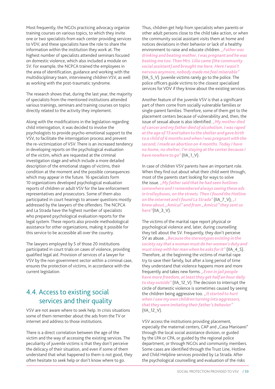Most frequently, the NGOs practicing advocacy organize training courses on various topics, to which they invite one or two specialists from each center providing services to VDV, and these specialists have the role to share the information within the institution they work at. The highest number of specialists attended seminars focused on domestic violence, which also included a module on SV. For example, the NCPCA trained the employees in the area of identification, guidance and working with the multidisciplinary team, interviewing children VSV, as well as working with the post-traumatic syndrome.

The research shows that, during the last year, the majority of specialists from the mentioned institutions attended various trainings, seminars and training courses on topics directly related to the activity they implement.

Along with the modifications in the legislation regarding child interrogation, it was decided to involve the psychologists to provide psycho-emotional support to the VSV, to facilitate the interrogation process and prevent the re-victimization of VSV. There is an increased tendency in developing reports on the psychological evaluation of the victim, which are requested at the criminal investigation stage and which include a more detailed description of the emotional stages of victims, their condition at the moment and the possible consequences which may appear in the future. 16 specialists form 10 organizations developed psychological evaluation reports of children or adult VSV for the law enforcement representatives and prosecutors. Some of them also participated in court hearings to answer questions mostly addressed by the lawyers of the offenders. The NCPCA and La Strada have the highest number of specialists who prepared psychological evaluation reports for the legal system. These reports also provide methodological assistance for other organizations, making it possible for this service to be accessible all over the country.

The lawyers employed by 5 of those 20 institutions participated in court trials on cases of violence, providing qualified legal aid. Provision of services of a lawyer for VSV by the non-government sector within a criminal case, ensures the protection of victims, in accordance with the current legislation.

# 4.4. Access to existing social services and their quality

VSV are not aware where to seek help. In crisis situations some of them remember about the ads from the TV or internet and address to those institutions.

There is a direct correlation between the age of the victim and the way of accessing the existing services. The peculiarity of juvenile victims is that they don't perceive the delicacy of their situation, and even if some of them understand that what happened to them is not good, they often hesitate to seek help or don't know where to go.

Thus, children get help from specialists when parents or other adult persons close to the child take action, or when the community social assistant visits them at home and notices deviations in their behavior or lack of a healthy environment to raise and educate children. *"Father was drinking and beating mother, I was pregnant and he was beating me too. Then Mrs. Lilia came (the community social assistant) and brought me here. Here I wasn't nervous anymore, nobody made me feel miserable"*  (IIA\_5\_V). Juvenile victims rarely go to the police. The police officers guide victims to the closest specialized services for VDV if they know about the existing services.

Another feature of the juvenile VSV is that a significant part of them come from socially vulnerable families or single-parent families. Therefore, some of them get to the placement centers because of vulnerability and, then, the issue of sexual abuse is also identified. *"My mother died of cancer and my father died of alcoholism. I was raped at the age of 13 and taken to the shelter and gave birth to a child of 6 months and when I was pregnant with the second, I made an abortion on 4 months. Today I have no home, no shelter, I'm staying at the center because I have nowhere to go"* (IIA\_1\_V).

In case of children VSV parents have an important role. When they find out about what their child went through, most of the parents start looking for ways to solve the issue. *"My father said that he had seen hotlines somewhere and I remembered always seeing these ads in trolleybuses, on the streets. Then I found the Hotline on the internet and I found La Strada"* (IIA\_7\_V); *"I knew about "Amicul" and from "Amicul" they sent us here"*(IIA\_3\_V).

The victims of the marital rape report physical or psychological violence and, later, during counselling they tell about the SV. Frequently, they don't perceive SV as abuse. *"Because the stereotypes existing in the society say that a woman must do her woman's duty and must sleep with her man when he asks for it"* (IIA\_4\_S). Therefore, at the beginning the victims of marital rape try to save their family, but after a long period of time they understand that violence happens more and more frequently and takes new forms. "**Even in jail people** *have more freedom, at least they get half an hour daily to stay outside"* (IIA\_12\_V). The decision to interrupt the circle of domestic violence is sometimes caused by seeing the children being aggressive too. *"It started to hurt when I saw my own children turning into aggressors, that they were imitating their father's behavior"* (IIA\_12\_V).

VSV access the institutions providing placement, especially the maternal centers, CAP and "Casa Marioarei" through the local social assistance division, or guided by the LPA or CPA, or guided by the regional police department, or through NGOs and community members. Some cases are identified through the Trust Line, Hotline and Child Helpline services provided by La Strada. After the psychological counselling and evaluation of the risks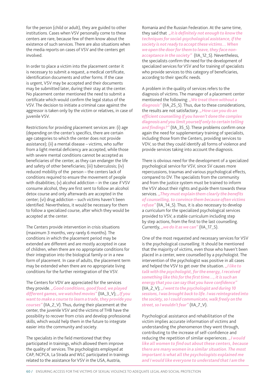for the person (child or adult), they are guided to other institutions. Cases when VSV personally come to these centers are rare, because few of them know about the existence of such services. There are also situations when the media reports on cases of VSV and the centers get involved.

In order to place a victim into the placement center it is necessary to submit a request, a medical certificate, identification documents and other forms. If the case is urgent, VSV may be accepted and their documents may be submitted later, during their stay at the center. No placement center mentioned the need to submit a certificate which would confirm the legal status of the VSV. The decision to initiate a criminal case against the aggressor is taken only by the victim or relatives, in case of juvenile VSV.

Restrictions for providing placement services are: (i) age (depending on the center's specifics, there are certain age categories to which the center does not provide assistance); (ii) a mental disease – victims, who suffer from a light mental deficiency are accepted, while those with severe mental conditions cannot be accepted as beneficiaries of the center, as they can endanger the life and safety of other beneficiaries; (iii) tuberculosis; (iv) reduced mobility of the person – the centers lack of conditions required to ensure the movement of people with disabilities; (v) alcohol addiction – in the case if VSV consume alcohol, they are first sent to follow an alcohol detox course and only afterwards are accepted in the center; (vi) drug addiction – such victims haven't been identified. Nevertheless, it would be necessary for them to follow a specialized course, after which they would be accepted at the center.

The Centers provide intervention in crisis situations (maximum 3 months, very rarely 6 months). The conditions in which the placement period may be extended are different and are mostly accepted in case of children, when there are no appropriate conditions for their integration into the biological family or in a new form of placement. In case of adults, the placement term may be extended when there are no appropriate living conditions for the further reintegration of the VSV.

The Centers for VDV are appreciated for the services they provide. *"Good conditions, good food, we played different games, we watched movies"* (IIA\_3\_V); *"If you want to make a course to learn a trade, they provide you courses"* (IIA\_2\_V). Thus, during their placement at the center, the juvenile VSV and the victims of THB have the possibility to recover from crisis and develop professional skills, which would help them in the future to integrate easier into the community and society.

The specialists in the field mentioned that they participated in trainings, which allowed them improve the quality of services. The psychologists employed at CAP, NCPCA, La Strada and WLC participated in trainings related to the assistance for VSV in the USA, Austria,

Romania and the Russian Federation. At the same time, they said that *"it is definitely not enough to know the techniques for social-psychological assistance, if the society is not ready to accept these victims… When we open the door for them to leave, they face nonacceptance in the society"* (IIA\_12\_S). Nevertheless, the specialists confirm the need for the development of specialized services for VSV and for training of specialists who provide services to this category of beneficiaries, according to their specific needs.

A problem in the quality of services refers to the diagnosis of victims. The manager of a placement center mentioned the following: *"We treat them without a diagnosis"* (IIA\_25\_S). Thus, due to these considerations, the results are not satisfactory. "How can you do an *efficient counselling if you haven't done the complex diagnosis and you limit yourself only to certain telling and findings?"* (IIA\_35\_S). These problems confirm once again the need for supplementary training of specialists, including those from the Centers, providing services to VDV, so that they could identify all forms of violence and provide services taking into account the diagnosis.

There is obvious need for the development of a specialized psychological service for VSV, since SV causes more repercussions, traumas and various psychological effects, compared to DV. The specialists from the community and from the justice system must be trained to inform the VSV about their rights and guide them towards these services. *"They must explain them clearly the benefits of counselling, to convince them because often victims*  refuse" (IIA 14 S). Thus, it is also necessary to develop a curriculum for the specialized psychological services provided to VSV, a stable curriculum including step by step actions, from the first to the last counselling. Currently, *we do it as we can"* (IIA\_17\_S).

One of the most requested and necessary services for VSV is the psychological counselling. It should be mentioned that the majority of victims, even those who haven't been placed in a center, were counselled by a psychologist. The intervention of the psychologist was positive in all cases and helped the VSV to get over the situation. *"I like to talk with the psychologist, for the energy, I received something like this for the first time…, it is such an energy that you can say that you have confidence"* (IIA\_2\_V); *"I went to the psychologist and during 10 sessions, I was brought back to life. I was reintegrated into the society, so I could communicate, walk freely on the street, so I wouldn't fear"* (IIA\_7\_V).

Psychological assistance and rehabilitation of the victim implies accurate information of victims and understanding the phenomenon they went through, contributing to the increase of self-confidence and reducing the repetition of similar experiences. *"I would like all women to find out about these centers, because there are many women in a similar situation. The most important is what all the psychologists explained me and I would like everyone to understand that I am the*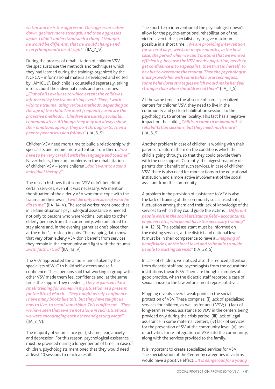*victim and he is the aggressor. The aggressor calms down, gathers more strength, and then aggresses again. I didn't understand such a thing. I thought he would be different, that he would change and everything would be all right"* (IIA\_7\_V).

During the process of rehabilitation of children VSV, the specialists use the methods and techniques which they had learned during the trainings organized by the NCPCA – informational materials developed and edited by "AMICUL". Each child is counselled separately, taking into account the individual needs and peculiarities. *"First of all I evaluate to which extent the child was influenced by the traumatizing event. Then, I work with the trauma, using various methods, depending on the age of the child. The most frequently used are the proactive methods… Children are usually sociable, communicative. Although they may not always show their emotions openly, they do it through arts. Then a peer to peer discussion follows"* (IIA\_3\_S).

Children VSV need more time to build a relationship with specialists and require more attention from them. *"You have to be very careful with the language and touches"*. Nevertheless, there are problems in the rehabilitation of children VSV – some children *"don't want to attend individual therapy".*

The research shows that some VSV didn't benefit of certain services, even if it was necessary. We mention the situation of the elderly VSV who must cope with the trauma on their own. *"I will die only because of what he*  did to me" (IIA 14 V). The social worker mentioned that in certain situations psychological assistance is needed not only to persons who were victims, but also to other elderly persons from the community, who are afraid to stay alone and, in the evening gather at one's place then at the other's, to sleep in pairs. The mapping data show that very often elderly VSV don't benefit from services, they remain in the community and fight with the trauma *"with faith in God"*(IIA\_13\_V).

The VSV appreciated the actions undertaken by the specialists of WLC to build self-esteem and selfconfidence. These persons said that working in group with other VSV made them feel confidence and, at the same time, the support they needed. "They organized like a *small training for women in my situation, as a present for the 8th of March… They taught us self-confidence. I have many books like this, but they have taught us how to live, to recall something. This is different... Then we have seen that awe 're not alone in such situations, we were encouraging each other and getting wings"*  $(IIA 7 V).$ 

The majority of victims face guilt, shame, fear, anxiety and depression. For this reason, psychological assistance must be provided during a longer period of time. In case of children, psychologists mentioned that they would need at least 10 sessions to reach a result.

The short-term intervention of the psychologist doesn't allow for the psycho-emotional rehabilitation of the victim, even if the specialists try to give maximum possible in a short time. "We are providing intervention *for several days, weeks or maybe months, in the best case, the period when we can't pretend that we worked efficiently, because the VSV needs adaptation, needs to get confidence into a specialist, then trust in herself, to be able to overcome the trauma. Then the psychologist must provide her with some behavioral techniques, some behavioral strategies which would make her feel stronger than when she addressed them"* (IIA\_4\_S).

At the same time, in the absence of some specialized centers for children VSV, they need to live in the community and go to rehabilitation sessions to the psychologist, to another locality. This fact has a negative impact on the child. *"Children come to maximum 3-4 rehabilitation sessions, but they need much more"*  (IIA\_3\_S).

Another problem in case of children is working with their parents, to inform them on the conditions which the child is going through, so that they could provide them with the due support. Currently, the biggest majority of parents don't benefit of such services. In case of children VSV, there is also need for more actions in the educational institution, and a more active involvement of the social assistant from the community.

A problem in the provision of assistance to VSV is also the lack of training of the community social assistants, fluctuation among them and their lack of knowledge of the services to which they could guide the victims. *"Different people work in the social assistance field – accountants, engineers etc., who do not have the necessary training"* (IIA\_12\_S). The social assistant must be informed on the existing services, at the district and national level. It must be in their competence to have a *mapping of beneficiaries, at the local level and to be able to guide people to existing services"* (IIA\_32\_S).

In case of children, we noticed also the reduced attention from didactic staff and psychologists from the educational institutions towards SV. There are though examples of good practice, when the didactic staff reported a case of sexual abuse to the law enforcement representatives.

Mapping reveals several weak points in the social protection of VSV. These comprise: (i) lack of specialized services for children, as well as for adult VSV; (ii) lack of long-term services, assistance to VDV in the centers being provided only during the crisis period; (iii) lack of legal assistance in some maternal centers; (iv) lack of services for the prevention of SV at the community level; (v) lack of activities for re-integration of VSV into the community, along with the services provided to the family.

It is important to create specialized services for VSV. The specialization of the Center by categories of victims, would have a positive effect. **"It is dangerous for a young**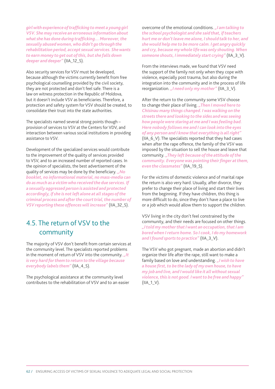*girl with experience of trafficking to meet a young girl VSV. She may receive an erroneous information about what she has done during trafficking… Moreover, the sexually abused women, who didn't go through the rehabilitation period, accept sexual services. She wants to earn money to get out of this, but she falls down deeper and deeper"* (IIA\_12\_S).

Also security services for VSV must be developed, because although the victims currently benefit from free psychological counselling provided by the civil society, they are not protected and don't feel safe. There is a law on witness protection in the Republic of Moldova, but it doesn't include VSV as beneficiaries. Therefore, a protection and safety system for VSV should be created, to consolidate their trust into the state authorities.

The specialists named several strong points though – provision of services to VSV at the Centers for VDV, and interaction between various social institutions in providing assistance to VSV.

Development of the specialized services would contribute to the improvement of the quality of services provided to VSV, and to an increased number of reported cases. In the opinion of specialists, the best advertisement of the quality of services may be done by the beneficiary. *"No booklet, no informational material, no mass-media can do as much as a victim who received the due services. If a sexually aggressed person is assisted and protected accordingly, if she is not left alone at all stages of the criminal process and after the court trial, the number of VSV reporting these offences will increase"* (IIA\_32\_S).

# 4.5. The return of VSV to the community

The majority of VSV don't benefit from certain services at the community level. The specialists reported problems in the moment of return of VSV into the community. *"It is very hard for them to return to the village because everybody labels them"* (IIA\_4\_S).

The psychological assistance at the community level contributes to the rehabilitation of VSV and to an easier overcome of the emotional conditions. *"I am talking to the school psychologist and she said that, if teachers hurt me or don't leave me alone, I should talk to her, and she would help me to be more calm. I get angry quickly and cry, because my whole life was only shouting. When someone shouts, I immediately start crying"* (IIA\_3\_V).

From the interviews made, we found that VSV need the support of the family not only when they cope with violence, especially post trauma, but also during the integration into the community and in the process of life reorganization. "I need only my mother" (IIA\_3\_V).

After the return to the community some VSV choose to change their place of living. *"Then I moved here to Chisinau many things changed. I was walking on the streets there and looking to the sides and was seeing how people were staring at me and I was feeling bad. Here nobody follows me and I can look into the eyes of any person and I know that everything is all right"* (IIA\_6\_V). The specialists reported that they had cases when after the rape offence, the family of the VSV was imposed by the situation to sell the house and leave that community. "They left because of the attitude of the *community. Everyone was pointing their finger at them, even the classmates"* (IIA\_19\_S).

For the victims of domestic violence and of marital rape the return is also very hard. Usually, after divorce, they prefer to change their place of living and start their lives from the beginning. If they have children, this thing is more difficult to do, since they don't have a place to live or a job which would allow them to support the children.

VSV living in the city don't feel constrained by the community, and their needs are focused on other things. *"I told my mother that I want an occupation, that I am bored when I return home. So I cook, I do my homework and I found sports to practice"* (IIA\_3\_V).

The VSV who got pregnant, made an abortion and didn't organize their life after the rape, still want to make a family based on love and understanding. *"I wish to have a house first, to be the lady of my own house, to have my job and live, and I would like it all without sexual violence, this is not good. I want to be free and happy"*  $(IIA_1V).$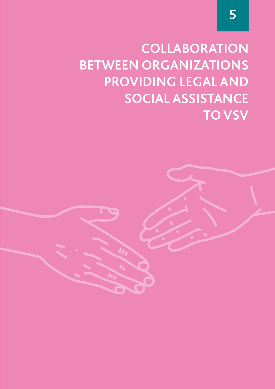**COLLABORATION BETWEEN ORGANIZATIONS PROVIDING LEGAL AND SOCIAL ASSISTANCE TO VSV**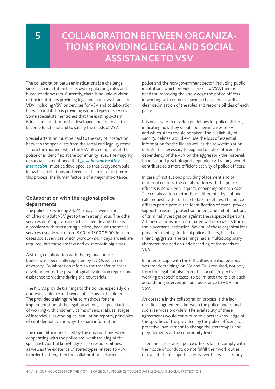**5**

# **COLLABORATION BETWEEN ORGANIZA-TIONS PROVIDING LEGAL AND SOCIAL ASSISTANCE TO VSV**

The collaboration between institutions is a challenge, since each institution has its own regulations, rules and bureaucratic system. Currently, there is no unique vision of the institutions providing legal and social assistance to VDV, including VSV, on services for VSV and collaboration between institutions providing various types of services. Some specialists mentioned that the existing system is incipient, but it must be developed and improved to become functional and to satisfy the needs of VSV.

Special attention must be paid to the way of interaction between the specialists from the social and legal systems – from the moment when the VSV files complaint at the police or is identified at the community level. The majority of specialists mentioned that *"a viable and healthy interaction"* must be developed, so that everyone would know his attributions and exercise them in a short term. In this process, the human factor is of a major importance.

### **Collaboration with the regional police departments**

The police are working 24/24, 7 days a week, and children or adult VSV get to them at any hour. The other services don't operate in such a schedule and there is a problem with transferring victims, because the social services usually work from 8.00 to 17.00/18.00. In such cases social services which work 24/24, 7 days a week are required, but these are few and exist only in big cities.

A strong collaboration with the regional police bodies was specifically reported by NGOs which do advocacy. Collaboration refers to the transfer of cases, development of the psychological evaluation reports and assistance to victims during the court trials.

The NGOs provide trainings to the police, especially on domestic violence and sexual abuse against children. The provided trainings refer to methods for the implementation of the legal provisions, i.e. peculiarities of working with children victims of sexual abuse, stages of interviews, psychological evaluation reports, principles of confidentiality and ways to share information.

The main difficulties faced by the organizations when cooperating with the police are: weak training of the specialists/partial knowledge of job responsibilities, as well as the existence of stereotypes related to VSV. In order to strengthen the collaboration between the

police and the non-government sector, including public institutions which provide services to VSV, there is need for improving the knowledge the police officers in working with crimes of sexual character, as well as a clear delimitation of the roles and responsibilities of each party.

It is necessary to develop guidelines for police officers, indicating how they should behave in cases of SV, and which steps should be taken. The availability of such guidelines would exclude the loss of essential information for the file, as well as the re-victimization of VSV. It is necessary to explain to police officers the dependency of the VSV on the aggressor - the material, financial and psychological dependency. Training would contribute to a more efficient activity of police officers.

In case of institutions providing placement and of maternal centers, the collaboration with the police officers is done upon request, depending on each case. The collaboration methods are different – by a phone call, request, letter or face to face meetings. The police officers participate in the identification of cases, provide support in issuing protection orders, and initiate actions of criminal investigation against the suspected persons. All these actions are coordinated with specialists from the placement institution. Several of these organizations provided trainings for local police officers, based on financing/grants. The trainings had a multidisciplinary character, focused on understanding of the needs of VDV.

In order to cope with the difficulties mentioned above systematic trainings on DV and SV is required, not only from the legal but also from the social perspective, working on specific cases, to delimitate the role of each actor during intervention and assistance to VDV and VSV.

An obstacle in the collaboration process is the lack of official agreements between the police bodies and social services providers. The availability of these agreements would contribute to a better knowledge of the specifics of the providers by the police officers, to a proactive involvement to change the stereotypes and prejudgments at the community level.

There are cases when police officers fail to comply with their code of conduct, do not fulfill their work duties or execute them superficially. Nevertheless, the Study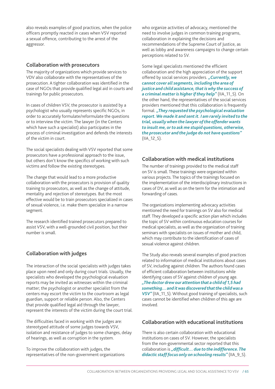also reveals examples of good practices, when the police officers promptly reacted in cases when VSV reported a sexual offence, contributing to the arrest of the aggressor.

### **Collaboration with prosecutors**

The majority of organizations which provide services to VDV also collaborate with the representatives of the prosecution. A tighter collaboration was identified in the case of NGOs that provide qualified legal aid in courts and trainings for public prosecutors.

In cases of children VSV, the prosecutor is assisted by a psychologist who usually represents specific NGOs, in order to accurately formulate/reformulate the questions or to interview the victim. The lawyer (in the Centers which have such a specialist) also participates in the process of criminal investigation and defends the interests of the victim in court.

The social specialists dealing with VSV reported that some prosecutors have a professional approach to the issue, but others don't know the specifics of working with such victims and follow the existing stereotypes.

The change that would lead to a more productive collaboration with the prosecutors is provision of quality training to prosecutors, as well as the change of attitude, mentality and rejection of stereotypes. But the most effective would be to train prosecutors specialized in cases of sexual violence, i.e. make them specialize in a narrow segment.

The research identified trained prosecutors prepared to assist VSV, with a well-grounded civil position, but their number is small.

### **Collaboration with judges**

The interaction of the social specialists with judges takes place upon need and only during court trials. Usually, the specialists who developed the psychological evaluation reports may be invited as witnesses within the criminal matter; the psychologist or another specialist from the centers may escort the victim to the courtroom as legal guardian, support or reliable person. Also, the Centers that provide qualified legal aid through the lawyer, represent the interests of the victim during the court trial.

The difficulties faced in working with the judges are: stereotyped attitude of some judges towards VSV, isolation and resistance of judges to some changes, delay of hearings, as well as corruption in the system.

To improve the collaboration with judges, the representatives of the non-government organizations who organize activities of advocacy, mentioned the need to involve judges in common training programs, collaboration in explaining the decisions and recommendations of the Supreme Court of Justice, as well as lobby and awareness campaigns to change certain perceptions related to SV.

Some legal specialists mentioned the efficient collaboration and the high appreciation of the support offered by social services providers. "Currently, we *cannot cover all segments, including the area of justice and child assistance, that is why the success of a criminal matter is higher if they help"* (IIA\_11\_S). On the other hand, the representatives of the social services providers mentioned that this collaboration is frequently formal. "They requested the psychological evaluation *report. We made it and sent it. I am rarely invited to the trial, usually when the lawyer of the offender wants to insult me, or to ask me stupid questions, otherwise, the prosecutor and the judge do not have questions"*  (IIA\_12\_S).

### **Collaboration with medical institutions**

The number of trainings provided to the medical staff on SV is small. These trainings were organized within various projects. The topics of the trainings focused on the implementation of the interdisciplinary instructions in cases of DV, as well as on the term for the intimation and forwarding of cases.

The organizations implementing advocacy activities mentioned the need for trainings on SV also for medical staff. They developed a specific action plan which includes the topic of SV within continuous education courses for medical specialists, as well as the organization of training seminars with specialists on issues of mother and child, which may contribute to the identification of cases of sexual violence against children.

The Study also reveals several examples of good practices related to information of medical institutions about cases of SV, including against children. The authors found cases of efficient collaboration between institutions while identifying cases of SV against children of young age. *"The doctor drew our attention that a child of 1,5 had something… and it was discovered that the child was a VSV"* (IIA\_11\_S). Without good training of specialists, such cases cannot be identified when children of this age are involved.

### **Collaboration with educational institutions**

There is also certain collaboration with educational institutions on cases of SV. However, the specialists from the non-governmental sector reported that this collaboration is *"difficult… due to the indifference. The didactic staff focus only on schooling results"* (IIA\_9\_S).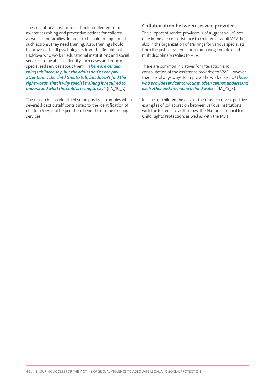The educational institutions should implement more awareness raising and preventive actions for children, as well as for families. In order to be able to implement such actions, they need training. Also, training should be provided to all psychologists from the Republic of Moldova who work in educational institutions and social services, to be able to identify such cases and inform specialized services about them. "There are certain *things children say, but the adults don't even pay attention… the child tries to tell, but doesn't find the right words, that is why special training is required to understand what the child is trying to say"* (IIA\_10\_S).

The research also identified some positive examples when several didactic staff contributed to the identification of children VSV, and helped them benefit from the existing services.

### **Collaboration between service providers**

The support of service providers is of a "great value" not only in the area of assistance to children or adult VSV, but also in the organization of trainings for various specialists from the justice system, and in preparing complex and multidisciplinary replies to VSV.

There are common initiatives for interaction and consolidation of the assistance provided to VSV. However, there are always ways to improve the work done. "**TThose** *who provide services to victims, often cannot understand each other and are hiding behind walls"* (IIA\_25\_S).

In cases of children the data of the research reveal positive examples of collaboration between various institutions with the foster care authorities, the National Council for Child Rights Protection, as well as with the MDT.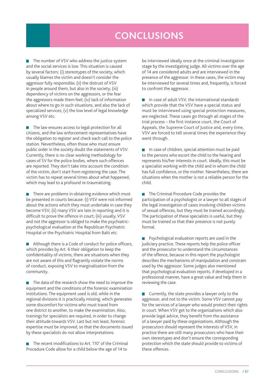# **CONCLUSIONS**

 $\blacksquare$  The number of VSV who address the justice system and the social services is low. This situation is caused by several factors: (i) stereotypes of the society, which usually blames the victim and doesn't consider the aggressor fully responsible; (ii) the distrust of VSV in people around them, but also in the society; (iii) dependency of victims on the aggressors, or the fear the aggressors made them feel; (iv) lack of information about where to go in such situations, and also the lack of specialized services; (v) the low level of legal knowledge among VSV etc.

The law ensures access to legal protection for all citizens, and the law enforcement representatives have the obligation to register and check each call to the police station. Nevertheless, often those who must ensure public order in the society doubt the statements of VSV. Currently, there is no clear working methodology for cases of SV for the police bodies, where such offences are reported. They don't take into account the condition of the victim, don't start from registering the case. The victim has to repeat several times about what happened, which may lead to a profound re-traumatizing.

 $\blacksquare$  There are problems in obtaining evidence which must be presented in courts because: (i) VSV were not informed about the actions which they must undertake in case they become VSV; (ii) many VSV are late in reporting and it is difficult to prove the offence in court; (iii) usually, VSV and not the aggressor is obliged to make the psychiatricpsychological evaluation at the Republican Psychiatric Hospital or the Psychiatric Hospital from Balti etc.

 $\blacksquare$  Although there is a Code of conduct for police officers, which provides by Art. 6 their obligation to keep the confidentiality of victims, there are situations when they are not aware of this and flagrantly violate the norms of conduct, exposing VSV to marginalization from the community.

 $\blacksquare$  The data of the research show the need to improve the equipment and the conditions of the forensic examination institutions. The equipment used is old, while in the regional divisions it is practically missing, which generates some discomfort for victims who must travel from one district to another, to make the examination. Also, trainings for specialists are required, in order to change their attitude towards VSV. Last but not least, forensic expertise must be improved, so that the documents issued by these specialists do not allow interpretations.

 $\blacksquare$  The recent modifications to Art. 110' of the Criminal Procedure Code allow for a child below the age of 14 to

be interviewed ideally once at the criminal investigation stage by the investigating judge. All victims over the age of 14 are considered adults and are interviewed in the presence of the aggressor. In these cases, the victim may be interviewed for several times and, frequently, is forced to confront the aggressor.

In case of adult VSV, the international standards which provide that the VSV have a special status and must be interviewed using special protection measures, are neglected. These cases go through all stages of the trial process – the first instance court, the Court of Appeals, the Supreme Court of Justice and, every time, VSV are forced to tell several times the experience they went through.

In case of children, special attention must be paid to the persons who escort the child to the hearing and represents his/her interests in court. Ideally, this must be a specialist working with the child and in whom the child has full confidence, or the mother. Nevertheless, there are situations when the mother is not a reliable person for the child.

■ The Criminal Procedure Code provides the participation of a psychologist or a lawyer to all stages of the legal investigation of cases involving children victims of sexual offences, but they must be trained accordingly. The participation of these specialists is useful, but they must be trained so that their presence is not purely formal.

Psychological evaluation reports are used in the judiciary practice. These reports help the police officer and the prosecutor to understand the circumstances of the offence, because in this report the psychologist describes the mechanisms of manipulation and constrain used by the aggressor. Some judges also mentioned that psychological evaluation reports, if developed in a professional manner, have a great value and help them in reviewing the case.

Currently, the state provides a lawyer only to the  $\overline{\mathcal{L}}$ aggressor, and not to the victim. Some VSV cannot pay for the services of a lawyer who would protect their rights in court. When VSV get to the organizations which also provide legal advice, they benefit from the assistance of a lawyer paid by these organizations. Although the prosecutors should represent the interests of VSV, in practice there are still many prosecutors who have their own stereotypes and don't ensure the corresponding protection which the state should provide to victims of these offences.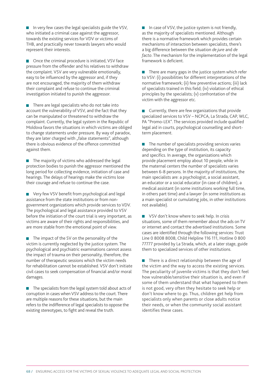$\blacksquare$  In very few cases the legal specialists guide the VSV, who initiated a criminal case against the aggressor, towards the existing services for VDV or victims of THB, and practically never towards lawyers who would represent their interests.

■ Once the criminal procedure is initiated, VSV face pressure from the offender and his relatives to withdraw the complaint. VSV are very vulnerable emotionally, easy to be influenced by the aggressor and, if they are not encouraged, the majority of them withdraw their complaint and refuse to continue the criminal investigation initiated to punish the aggressor.

 $\blacksquare$  There are legal specialists who do not take into account the vulnerability of VSV, and the fact that they can be manipulated or threatened to withdraw the complaint. Currently, the legal system in the Republic of Moldova favors the situations in which victims are obliged to change statements under pressure. By way of paradox, they are later charged with "false statements", although there is obvious evidence of the offence committed against them.

 $\blacksquare$  The majority of victims who addressed the legal protection bodies to punish the aggressor mentioned the long period for collecting evidence, initiation of case and hearings. The delays of hearings make the victims lose their courage and refuse to continue the case.

■ Very few VSV benefit from psychological and legal assistance from the state institutions or from nongovernment organizations which provide services to VDV. The psychological and legal assistance provided to VSV before the initiation of the court trial is very important, as victims are aware of their rights and responsibilities, and are more stable from the emotional point of view.

 $\blacksquare$  The impact of the SV on the personality of the victim is currently neglected by the justice system. The psychological and psychiatric examinations cannot assess the impact of trauma on their personality, therefore, the number of therapeutic sessions which the victim needs for rehabilitation cannot be established. VSV don't initiate civil cases to seek compensation of financial and/or moral damages.

 $\blacksquare$  The specialists from the legal system told about acts of corruption in cases when VSV address to the court. There are multiple reasons for these situations, but the main refers to the indifference of legal specialists to oppose the existing stereotypes, to fight and reveal the truth.

 $\blacksquare$  In case of VSV, the justice system is not friendly, as the majority of specialists mentioned. Although there is a normative framework which provides certain mechanisms of interaction between specialists, there's a big difference between the situation *de jure* and *de facto*. The mechanism for the implementation of the legal framework is deficient.

 $\blacksquare$  There are many gaps in the justice system which refer to VSV: (i) possibilities for different interpretations of the normative framework; (ii) few preventive actions; (iii) lack of specialists trained in this field; (iv) violation of ethical principles by the specialists; (v) confrontation of the victim with the aggressor etc.

**Currently, there are few organizations that provide** specialized services to VSV – NCPCA, La Strada, CAP, WLC, PA "Promo-LEX". The services provided include qualified legal aid in courts, psychological counselling and shortterm placement.

 $\blacksquare$  The number of specialists providing services varies depending on the type of institution, its capacity and specifics. In average, the organizations which provide placement employ about 10 people, while in the maternal centers the number of specialists varies between 6-8 persons. In the majority of institutions, the main specialists are: a psychologist, a social assistant, an educator or a social educator (in case of children), a medical assistant (in some institutions working full time, in others part time) and a lawyer (in some institutions as a main specialist or cumulating jobs, in other institutions not available).

■ VSV don't know where to seek help. In crisis situations, some of them remember about the ads on TV or internet and contact the advertised institutions. Some cases are identified through the following services: Trust Line 0 8008 8008, Child Helpline 116 111, Hotline 0 800 77777 provided by La Strada, which, at a later stage, guide them to specialized services of other institutions.

 $\blacksquare$  There is a direct relationship between the age of the victim and the way to access the existing services. The peculiarity of juvenile victims is that they don't feel how vulnerable/sensitive their situation is, and even if some of them understand that what happened to them is not good, very often they hesitate to seek help or don't know where to go. Thus, children get help from specialists only when parents or close adults notice their needs, or when the community social assistant identifies these cases.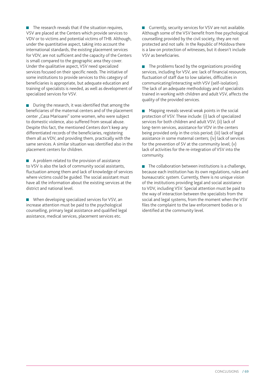$\blacksquare$  The research reveals that if the situation requires, VSV are placed at the Centers which provide services to VDV or to victims and potential victims of THB. Although, under the quantitative aspect, taking into account the international standards, the existing placement services for VDV, are not sufficient and the capacity of the Centers is small compared to the geographic area they cover. Under the qualitative aspect, VSV need specialized services focused on their specific needs. The initiative of some institutions to provide services to this category of beneficiaries is appropriate, but adequate education and training of specialists is needed, as well as development of specialized services for VSV.

 $\Box$  During the research, it was identified that among the beneficiaries of the maternal centers and of the placement center "Casa Marioarei" some women, who were subject to domestic violence, also suffered from sexual abuse. Despite this fact, the mentioned Centers don't keep any differentiated records of the beneficiaries, registering them all as VDV, and providing them, practically with the same services. A similar situation was identified also in the placement centers for children.

A problem related to the provision of assistance to VSV is also the lack of community social assistants, fluctuation among them and lack of knowledge of services where victims could be guided. The social assistant must have all the information about the existing services at the district and national level.

■ When developing specialized services for VSV, an increase attention must be paid to the psychological counselling, primary legal assistance and qualified legal assistance, medical services, placement services etc.

**Currently, security services for VSV are not available.** Although some of the VSV benefit from free psychological counselling provided by the civil society, they are not protected and not safe. In the Republic of Moldova there is a law on protection of witnesses, but it doesn't include VSV as beneficiaries.

 $\blacksquare$  The problems faced by the organizations providing services, including for VSV, are: lack of financial resources, fluctuation of staff due to low salaries, difficulties in communicating/interacting with VSV (self-isolation). The lack of an adequate methodology and of specialists trained in working with children and adult VSV, affects the quality of the provided services.

 $\blacksquare$  Mapping reveals several weak points in the social protection of VSV. These include: (i) lack of specialized services for both children and adult VSV; (ii) lack of long-term services, assistance for VDV in the centers being provided only in the crisis period; (iii) lack of legal assistance in some maternal centers; (iv) lack of services for the prevention of SV at the community level; (v) lack of activities for the re-integration of VSV into the community.

 $\blacksquare$  The collaboration between institutions is a challenge, because each institution has its own regulations, rules and bureaucratic system. Currently, there is no unique vision of the institutions providing legal and social assistance to VDV, including VSV. Special attention must be paid to the way of interaction between the specialists from the social and legal systems, from the moment when the VSV files the complaint to the law enforcement bodies or is identified at the community level.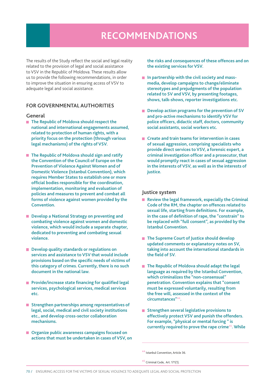# **RECOMMENDATIONS**

The results of the Study reflect the social and legal reality related to the provision of legal and social assistance to VSV in the Republic of Moldova. These results allow us to provide the following recommendations, in order to improve the situation in ensuring access of VSV to adequate legal and social assistance.

### **For governmental authorities**

#### **General**

- **The Republic of Moldova should respect the national and international engagements assumed, related to protection of human rights, with a priority focus on the protection (through various legal mechanisms) of the rights of VSV.**
- **The Republic of Moldova should sign and ratify the Convention of the Council of Europe on the Prevention of Violence Against Women and of Domestic Violence (Istanbul Convention), which requires Member States to establish one or more official bodies responsible for the coordination, implementation, monitoring and evaluation of policies and measures to prevent and combat all forms of violence against women provided by the Convention.**
- Develop a National Strategy on preventing and **combating violence against women and domestic violence, which would include a separate chapter, dedicated to preventing and combating sexual violence.**
- Develop quality standards or regulations on **services and assistance to VSV that would include provisions based on the specific needs of victims of this category of crimes. Currently, there is no such document in the national law.**
- **Provide/increase state financing for qualified legal services, psychological services, medical services etc.**
- **Strengthen partnerships among representatives of legal, social, medical and civil society institutions etc., and develop cross-sector collaboration mechanisms.**
- **Organize public awareness campaigns focused on actions that must be undertaken in cases of VSV, on**

**the risks and consequences of these offences and on the existing services for VSV.**

- **In partnership with the civil society and massmedia, develop campaigns to change/eliminate stereotypes and prejudgments of the population related to SV and VSV, by presenting footages, shows, talk-shows, reporter investigations etc.**
- **Develop action programs for the prevention of SV and pro-active mechanisms to identify VSV for police officers, didactic staff, doctors, community social assistants, social workers etc.**
- **Create and train teams for intervention in cases of sexual aggression, comprising specialists who provide direct services to VSV, a forensic expert, a criminal investigation officer and a prosecutor, that would promptly react in cases of sexual aggression in the interests of VSV, as well as in the interests of justice.**

#### **Justice system**

- **Review the legal framework, especially the Criminal Code of the RM, the chapter on offences related to sexual life, starting from definitions. For example, in the case of definition of rape, the "constrain" to be replaced with "full consent", as provided by the Istanbul Convention.**
- The Supreme Court of Justice should develop **updated comments or explanatory notes on SV, taking into account the international standards in the field of SV.**
- The Republic of Moldova should adapt the legal **language as required by the Istanbul Convention, which criminalizes the "non-consensual" penetration. Convention explains that "consent must be expressed voluntarily, resulting from the free will, assessed in the context of the circumstances"44.**
- **Strengthen several legislative provisions to effectively protect VSV and punish the offenders. For example, "physical or mental forcing " is currently required to prove the rape crime45. While**

**<sup>44</sup>** Istanbul Convention, Article 36.

**<sup>45</sup>** Criminal Code, Art. 171(1).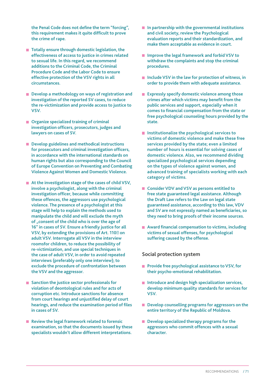**the Penal Code does not define the term "forcing", this requirement makes it quite difficult to prove the crime of rape.**

- Totally ensure through domestic legislation, the **effectiveness of access to justice in crimes related to sexual life. In this regard, we recommend additions to the Criminal Code, the Criminal Procedure Code and the Labor Code to ensure effective protection of the VSV rights in all circumstances.**
- **Develop a methodology on ways of registration and investigation of the reported SV cases, to reduce the re-victimization and provide access to justice to VSV.**
- **C** Organize specialized training of criminal **investigation officers, prosecutors, judges and lawyers on cases of SV.**
- **Develop guidelines and methodical instructions for prosecutors and criminal investigation officers, in accordance with the international standards on human rights but also corresponding to the Council of Europe Convention on Preventing and Combating Violence Against Women and Domestic Violence.**
- At the investigation stage of the cases of child VSV, **involve a psychologist, along with the criminal investigation officer, because while committing these offences, the aggressors use psychological violence. The presence of a psychologist at this stage will help to explain the methods used to manipulate the child and will exclude the myth**  of **"consent of the child who is over the age of 16" in cases of SV. Ensure a friendly justice for all VSV, by extending the provisions of Art. 110 on adult VSV. Interrogate all VSV in the interview roomsfor children, to reduce the possibility of re-victimization, and use special techniques in the case of adult VSV, in order to avoid repeated interviews (preferably only one interview); to exclude the procedure of confrontation between the VSV and the aggressor.**
- Sanction the justice sector professionals for **violation of deontological rules and for acts of corruption etc. Introduce sanctions for absence from court hearings and unjustified delay of court hearings, and reduce the examination period of files in cases of SV.**
- **Review the legal framework related to forensic examination, so that the documents issued by these specialists wouldn't allow different interpretations.**
- **In partnership with the governmental institutions and civil society, review the Psychological evaluation reports and their standardization, and make them acceptable as evidence in court.**
- **Improve the legal framework and forbid VSV to withdraw the complaints and stop the criminal procedures.**
- Include VSV in the law for protection of witness, in **order to provide them with adequate assistance.**
- **Expressly specify domestic violence among those crimes after which victims may benefit from the public services and support, especially when it comes to financial compensation from the state or free psychological counseling hours provided by the state.**
- **Institutionalize the psychological services to victims of domestic violence and make these free services provided by the state; even a limited number of hours is essential for solving cases of domestic violence. Also, we recommend dividing specialized psychological services depending on the types of violence against women, and advanced training of specialists working with each category of victims.**
- Consider VDV and VSV as persons entitled to **free state guaranteed legal assistance. Although the Draft Law refers to the Law on legal state guaranteed assistance, according to this law, VDV and SV are not expressly named as beneficiaries, so they need to bring proofs of their income sources.**
- **Award financial compensation to victims, including victims of sexual offenses, for psychological suffering caused by the offense.**

### **Social protection system**

- **Provide free psychological assistance to VSV, for their psycho-emotional rehabilitation.**
- **Introduce and design high specialization services, develop minimum quality standards for services for VSV.**
- Develop counselling programs for aggressors on the **entire territory of the Republic of Moldova.**
- Develop specialized therapy programs for the **aggressors who commit offences with a sexual character.**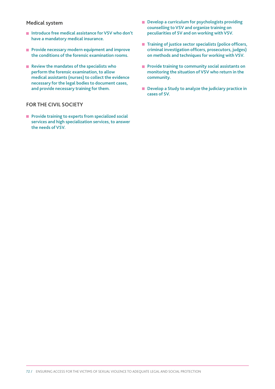### **Medical system**

- **Introduce free medical assistance for VSV who don't have a mandatory medical insurance.**
- **Provide necessary modern equipment and improve the conditions of the forensic examination rooms.**
- Review the mandates of the specialists who **perform the forensic examination, to allow medical assistants (nurses) to collect the evidence necessary for the legal bodies to document cases, and provide necessary training for them.**

### **For the civil society**

**Provide training to experts from specialized social services and high specialization services, to answer the needs of VSV.**

- **Develop a curriculum for psychologists providing counselling to VSV and organize training on peculiarities of SV and on working with VSV.**
- Training of justice sector specialists (police officers, **criminal investigation officers, prosecutors, judges) on methods and techniques for working with VSV.**
- **Provide training to community social assistants on monitoring the situation of VSV who return in the community.**
- Develop a Study to analyze the judiciary practice in **cases of SV.**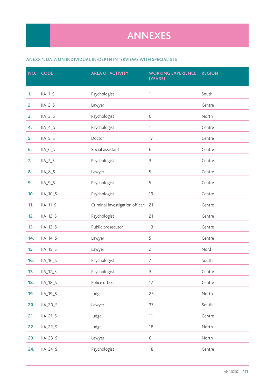# **ANNEXES**

### **AneXx 1. Data on individual in-depth interviews with specialists**

| NO. | <b>CODE</b> | <b>AREA OF ACTIVITY</b>        | <b>WORKING EXPERIENCE</b><br>(YEARS) | <b>REGION</b> |
|-----|-------------|--------------------------------|--------------------------------------|---------------|
| 1.  | $IIA_1_S$   | Psychologist                   | $\mathbf{1}$                         | South         |
| 2.  | $IIA_2_S$   | Lawyer                         | $\mathbf{1}$                         | Centre        |
| 3.  | $IIA_3_S$   | Psychologist                   | 6                                    | North         |
| 4.  | $IIA_4_S$   | Psychologist                   | $\mathbf 1$                          | Centre        |
| 5.  | $IIA_5_S$   | Doctor                         | 17                                   | Centre        |
| 6.  | $IIA_6_S$   | Social assistant               | 6                                    | Centre        |
| 7.  | $IIA_7_S$   | Psychologist                   | 3                                    | Centre        |
| 8.  | $IIA_8_S$   | Lawyer                         | 5                                    | Centre        |
| 9.  | $IIA_9_S$   | Psychologist                   | 5                                    | Centre        |
| 10. | $IIA_10_S$  | Psychologist                   | 19                                   | Centre        |
| 11. | $IIA_11_S$  | Criminal investigation officer | 21                                   | Centre        |
| 12. | $IIA_12_S$  | Psychologist                   | 21                                   | Centre        |
| 13. | $IIA_13_S$  | Public prosecutor              | 13                                   | Centre        |
| 14. | $IIA_14_S$  | Lawyer                         | 5                                    | Centre        |
| 15. | $IIA_15_S$  | Lawyer                         | $\overline{c}$                       | Nord          |
| 16. | $IIA_16_S$  | Psychologist                   | $\overline{7}$                       | South         |
| 17. | $IIA_17_S$  | Psychologist                   | 3                                    | Centre        |
| 18. | $IIA_18_S$  | Police officer                 | 12                                   | Centre        |
| 19. | $IIA_19_S$  | Judge                          | 25                                   | North         |
| 20. | $IIA_20_S$  | Lawyer                         | 37                                   | South         |
| 21. | $IIA_21_S$  | Judge                          | 11                                   | Centre        |
| 22. | $IIA_22_S$  | Judge                          | 18                                   | North         |
| 23. | $IIA_23_S$  | Lawyer                         | 8                                    | North         |
| 24. | $IIA_24_S$  | Psychologist                   | 18                                   | Centre        |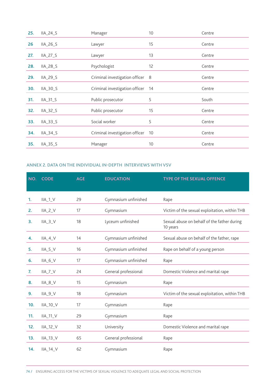| 25. | $IIA_24_S$ | Manager                        | 10  | Centre |
|-----|------------|--------------------------------|-----|--------|
| 26  | $IIA_26_S$ | Lawyer                         | 15  | Centre |
| 27. | $IIA_27_S$ | Lawyer                         | 13  | Centre |
| 28. | $IIA_28_S$ | Psychologist                   | 12  | Centre |
| 29. | IIA_29_S   | Criminal investigation officer | - 8 | Centre |
| 30. | $IIA_30_S$ | Criminal investigation officer | 14  | Centre |
| 31. | $IIA_31_S$ | Public prosecutor              | 5   | South  |
| 32. | $IIA_32_S$ | Public prosecutor              | 15  | Centre |
| 33. | $IIA_33_S$ | Social worker                  | 5   | Centre |
| 34. | $IIA_34_S$ | Criminal investigation officer | 10  | Centre |
| 35. | $IIA_35_S$ | Manager                        | 10  | Centre |

## **Annex 2. Data on the individual in-depth interviews with VSV**

| NO. | <b>CODE</b> | <b>AGE</b> | <b>EDUCATION</b>     | <b>TYPE OF THE SEXUAL OFFENCE</b>                       |
|-----|-------------|------------|----------------------|---------------------------------------------------------|
| 1.  | $IIA_1_V$   | 29         | Gymnasium unfinished | Rape                                                    |
| 2.  | $IIA_2V$    | 17         | Gymnasium            | Victim of the sexual exploitation, within THB           |
| 3.  | $IIA_3_V$   | 18         | Lyceum unfinished    | Sexual abuse on behalf of the father during<br>10 years |
| 4.  | $IIA_4V$    | 14         | Gymnasium unfinished | Sexual abuse on behalf of the father, rape              |
| 5.  | $IIA_5_V$   | 16         | Gymnasium unfinished | Rape on behalf of a young person                        |
| 6.  | $IIA_6_V$   | 17         | Gymnasium unfinished | Rape                                                    |
| 7.  | $IIA_7_V$   | 24         | General professional | Domestic Violence and marital rape                      |
| 8.  | $IIA_8_V$   | 15         | Gymnasium            | Rape                                                    |
| 9.  | $IIA_9_V$   | 18         | Gymnasium            | Victim of the sexual exploitation, within THB           |
| 10. | IIA_10_V    | 17         | Gymnasium            | Rape                                                    |
| 11. | $IIA_11_V$  | 29         | Gymnasium            | Rape                                                    |
| 12. | $IIA_12_V$  | 32         | University           | Domestic Violence and marital rape                      |
| 13. | $IIA_13_V$  | 65         | General professional | Rape                                                    |
| 14. | IIA_14_V    | 62         | Gymnasium            | Rape                                                    |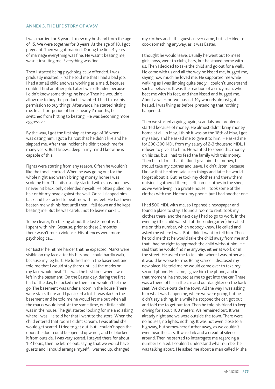## **Annex 3. The Life Story of a VSV**

I was married for 5 years. I knew my husband from the age of 15. We were together for 8 years. At the age of 18, I got pregnant. Then we got married. During the first 4 years of marriage everything was fine. He wasn't beating me, wasn't insulting me. Everything was fine.

Then I started being psychologically offended. I was gradually insulted. First he told me that I had a bad job. I had a small child and was working as a maid, because I couldn't find another job. Later I was offended because I didn't know some things he knew. Then he wouldn't allow me to buy the products I wanted. I had to ask his permission to buy things. Afterwards, he started hitting me. In a short period of time, nearly 2 months, he switched from hitting to beating. He was becoming more aggressive…

By the way, I got the first slap at the age of 16 when I was dating him. I got a haircut that he didn't like and he slapped me. After that incident he didn't touch me for many years. But I knew... deep in my mind I knew he is capable of this.

Fights were starting from any reason. Often he wouldn't like the food I cooked. When he was going out for the whole night and wasn't bringing money home I was scolding him. The hits usually started with slaps, punches… I never hit back, only defended myself. He often pulled my hair or hit my head against the wall. Once I slapped him back and he started to beat me with his feet. He had never beaten me with his feet until then. I fell down and he kept beating me. But he was careful not to leave marks…

To be clearer, I'm talking about the last 2 months that I spent with him. Because, prior to these 2 months there wasn't much violence. His offences were more psychological…

For Easter he hit me harder that he expected. Marks were visible on my face after his hits and I could hardly walk, because my leg hurt. He locked me in the basement and told me that I would stay there until all the marks on my face would heal. This was the first time when I was left in the basement. On the Easter day, during the first half of the day, he locked me there and wouldn't let me go. The basement was under a room in the house. There were stairs there and I panicked a lot. It was dark in the basement and he told me he would let me out when all the marks would heal. At the same time, our little child was in the house. The girl started looking for me and asking where I was. He told her that I went to the store. When the child entered that room I didn't scream, I was afraid she would get scared. I tried to get out, but I couldn't open the door; the door could be opened upwards, and he blocked it from outside. I was very scared. I stayed there for about 1-2 hours, then he let me out, saying that we would have guests and I should arrange myself. I washed up, changed

my clothes and... the guests never came, but I decided to cook something anyway, as it was Easter.

I thought he would leave. Usually he went out to meet girls, boys, went to clubs, bars, but he stayed home with us. Then I decided to take the child and go out for a walk. He came with us and all the way he kissed me, hugged me, saying how much he loved me. He supported me while walking as I was limping quite badly. I couldn't understand such a behavior. It was the reaction of a crazy man, who beat me with his feet, and then kissed and hugged me. About a week or two passed. My wounds almost got healed. I was living as before, pretending that nothing happened.

Then we started arguing again, scandals and problems started because of money. He almost didn't bring money home at all. In May, I think it was on the 18th of May, I got my salary and he asked me to give it to him. He asked me for 200-300 MDL from my salary of 2-3 thousand MDL. I refused to give it to him. He wanted to spend this money on his car, but I had to feed the family with this money. Then he told me that if I don't give him the money, I should take my clothes and leave. I didn't listen, because I knew that he often said such things and later he would forget about it. But he took my clothes and threw them outside. I gathered them; I left some clothes in the shed, as we were living in a private house. I took some of the clothes with me. He took my phone, but I had another one.

I had 500 MDL with me, so I opened a newspaper and found a place to stay. I found a room to rent, took my clothes there, and the next day I had to go to work. In the evening (the child was still at the kindergarten) he called me on this number, which nobody knew. He called and asked me where I was. But I didn't want to tell him. Then he told me that he would take the child away from me and that I had no right to approach the child without him. He said that he would find me anyway, either at work or in the street. He asked me to tell him where I was, otherwise it would be worse for me. Being scared, I disclosed my new place. He told me he would come over to take my second phone. He came, I gave him the phone, and in that moment, he shouted at me to get into the car. There was a friend of his in the car and our daughter on the back seat. We drove outside the town. All the way I was asking him what was happening, where we were going, but he didn't say a thing. In a while he stopped the car, got out and told me to get out too. Then he told his friend to keep driving for about 100 meters. We remained out. It was already night and we were outside the town. There were no houses, no lights, nothing. It was not even close to a highway, but somewhere further away, as we couldn't even hear the cars. It was dark and a dreadful silence around. Then he started to interrogate me regarding a number I dialed. I couldn't understand what number he was talking about. He asked me about a man called Misha.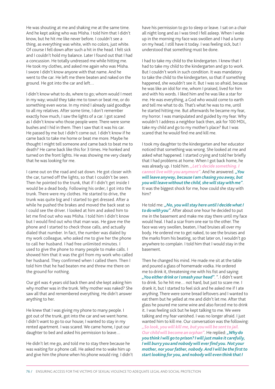He was shouting at me and shaking me at the same time. And he kept asking who was Misha. I told him that I didn't know, but he hit me like never before. I couldn't see a thing, as everything was white, with no colors, just white. Of course I fell down after such a hit in the head. I felt sick and I couldn't hold my balance. Later I found out that I had a concussion. He totally undressed me while hitting me. He took my clothes, and asked me again who was Misha. I swore I didn't know anyone with that name. And he went to the car. He left me there beaten and naked on the ground. He got into the car and left…

I didn't know what to do, where to go; whom would I meet in my way; would they take me to town or beat me, or do something even worse. In my mind I already said goodbye to all my relatives. After some time, I don't remember exactly how much, I saw the lights of a car. I got scared as I didn't know who those people were. There were some bushes and I hid in them. Then I saw that it was his car. He passed by me but I didn't come out. I didn't know if he came back to take me home or beat me more. Maybe he thought I might tell someone and came back to beat me to death? He came back like this for 3 times. He honked and turned on the front lights. He was showing me very clearly that he was looking for me.

I came out on the road and sat down. He got closer with the car, turned off the lights, so that I couldn't be seen. Then he pointed to the trunk, that if I didn't get inside I would be a dead body. Following his order, I got into the trunk. There were my clothes. He started to drive, the trunk was quite big and I started to get dressed. After a while he pushed the brakes and moved the back seat so I could see the driver. I looked at him and asked him to let me find out who was Misha. I told him I didn't know but I would find out who that man was. He gave me the phone and I started to check those calls, and actually dialed that number. In fact, the number was dialed by my work colleague, who asked me to give her the phone to call her husband. I had free unlimited minutes. I used to give the phone to many people to make calls. I showed him that it was the girl from my work who called her husband. They confirmed when I called them. Then I told him that he had beaten me and threw me there on the ground for nothing.

Our girl was 4 years old back then and she kept asking him why mother was in the trunk. Why mother was naked? She saw all that and remembered everything. He didn't answer anything to her.

He knew that I was giving my phone to many people. I got out of the trunk, got into the car and we went home. I didn't want to go to our house; I wanted to stay in my rented apartment. I was scared. We came home, I put our daughter to bed and asked his permission to leave…

He didn't let me go, and told me to stay there because he was waiting for a phone call. He asked me to wake him up and give him the phone when his phone would ring. I didn't have his permission to go to sleep or leave. I sat on a chair all night long and as I was tired I fell asleep. When I woke up in the morning my face was swollen and I had a lump on my head, I still have it today. I was feeling sick, but I understood that something must be done.

I had to take my child to the kindergarten. I knew that I had to take my child to the kindergarten and go to work. But I couldn't work in such condition. It was mandatory to take the child to the kindergarten, so that if something happened, she wouldn't see it. But I was so afraid, because he was like an idol for me, whom I praised, lived for him and with his words. I liked him and he was like a star for me. He was everything, a God who would come to earth and tell me what to do. That's what he was to me, until he started hitting me. But afterwards he became my fear, my horror. I was manipulated and guided by my fear. Why wouldn't I address a neighbor back then, ask for 100 MDL, take my child and go to my mother's place? But I was scared that he would find me and kill me.

I took my daughter to the kindergarten and her educator noticed that something was wrong. She looked at me and asked what happened. I started crying and told her briefly that I had problems at home. When I got back home, he was already up. I told him. "Let's decide something. I *cannot live with you anymore"*. And he answered. "You *will leave anyway, because I am chasing you away, but you will leave without the child, she will stay with me"*. It was the biggest shock for me, how could she stay with him?

He told me: *"No, you will stay here until I decide what I to do with you"*. After about one hour he decided to put me in the basement and make me stay there until my face would heal. I had a scar from one ear to the other. The face was very swollen, beaten, I had bruises all over my body. He ordered me to get naked, to see the bruises and the marks from his beating, so that later on, I wouldn't go anywhere to complain. I told him that I would stay in the basement.

Then he changed his mind. He made me sit at the table and poured a glass of homemade vodka. He ordered me to drink it, threatening me with his fist and saying: *"You either drink or I smash your head"*. ". I didn't want to drink. So he hit me… not hard, but just to scare me. I drank it, but I started to feel sick and he asked me if I ate anything. There were some bread leftovers and I wanted to eat them but he yelled at me and didn't let me. After that glass he poured me some wine and also forced me to drink it. I was feeling sick but he kept talking to me. We were talking and my fear vanished. I was no longer afraid. I just wanted him to kill me. Our conversation was the following: *"So look, you will kill me, but you will be sent to jail. Our child will become an orphan"*. He replied: *"Why do you think I will go to prison? I will just make it carefully, I will burry you and nobody will ever find you. Not your mother, nor your father, nobody. And I will be the first to start looking for you, and nobody will even think that I*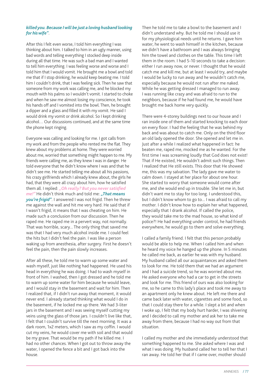## *killed you. Because I will be just a loving husband looking for his wife"*.

After this I felt even worse, I told him everything I was thinking about him. I talked to him in an ugly manner, using bad words and telling everything I stocked deep inside during all that time. He was such a bad man and I wanted to tell him everything. I was feeling worse and worse and I told him that I would vomit. He brought me a bowl and told me that if I stop drinking, he would keep beating me. I told him I couldn't drink, that I was feeling sick. Then he saw that someone from my work was calling me, and he blocked my mouth with his palms so I wouldn't vomit. I started to choke and when he saw me almost losing my conscience, he took his hands off and I vomited into the bowl. Then, he brought a dipper and a glass and filled it with my vomit. He said I would drink my vomit or drink alcohol. So I kept drinking alcohol… Our discussions continued, and at the same time the phone kept ringing.

Everyone was calling and looking for me. I got calls from my work and from the people who rented me the flat. They knew about my problems at home. They were worried about me, worried that something might happen to me. My friends were calling me, as they knew I was in danger. He told everyone that he didn't know where I was and that he didn't see me. He started telling me about all his passions, his crazy girlfriends which I already knew about, the girls he had, that they were all crazy about him, how he satisfied them all. I replied: *"Oh really? But you never satisfied me!"* He didn't think much and told me: "That means *you're frigid"*. I answered I was not frigid. Then he threw me against the wall and hit me very hard. He said that if I wasn't frigid, it means that I was cheating on him. He made such a conclusion from our discussion. Then he raped me. He raped me in a pervert way, not normally. That was horrible, scary... The only thing that saved me was that I had very much alcohol inside me. I could feel the hits but I didn't feel the pain. I was like a person waking up from anesthesia, after surgery. First he doesn't feel the pain, then the pain slowly increases.

After all these, he told me to warm up some water and wash myself, just like nothing had happened. He used his head in everything he was doing. I had to wash myself in front of him. I washed, then I got dressed and he told me to warm up some water for him because he would leave, and I would stay in the basement and wait for him. Then I realized that, if I didn't run away that moment, it would never end. I already started thinking what would I do in the basement, if he locked me up there. We had 3-liter jars in the basement and I was seeing myself cutting my veins using the glass of those jars. I couldn't live like that, I felt that I couldn't survive till the next morning. It was a dark room, 1x2 meters, which I saw as my coffin. I would cut my veins, he would cover me with soil and that would be my grave. That would be my path if he killed me. I had no other chances. When I got out to throw away the water, I opened the fence a bit and I got back into the house.

Then he told me to take a bowl to the basement and I didn't understand why. But he told me I should use it for my physiological needs until he returns. I gave him water, he went to wash himself in the kitchen, because we didn't have a bathroom and I was always bringing him the towel and clothes on the table. This time I left them in the room. I had 5-10 seconds to take a decision: either I run away now, or never. I thought that he would catch me and kill me, but at least I would try, and maybe I would be lucky to run away and he wouldn't catch me, especially because he would not run after me naked. While he was getting dressed I managed to run away. I was running like crazy and was afraid to run to the neighbors, because if he had found me, he would have brought me back home very quickly.

There were 4-storey buildings next to our house and I ran inside one of them and started knocking to each door on every floor. I had the feeling that he was behind my back and was about to catch me. Only on the third floor an old lady opened the door. She opened and let me in. Just after a while I realized what happened in fact: he beaten me, raped me, mocked me as he wanted. For the first time I was screaming loudly that God does not exist! That if He existed, He wouldn't admit such things. Then I realized that He still exists. This door that He showed me, this was my salvation. The lady gave me water to calm down. I stayed at her place for about one hour. She started to worry that someone would come after me, and she would end up in trouble. She let me in, but didn't want me to stay for too long. I understood this, but I didn't know whom to go to... I was afraid to call my mother. I didn't know how to explain her what happened, especially that I drank alcohol. If called the police, they would take me to the mad house, so what kind of police?! He had everything under control, he had friends everywhere, he would go to them and solve everything.

I called a family friend. I felt that this person probably would be able to help me. When I called him and when he heard my voice he hanged up the phone. In 5 minutes he called me back, as earlier he was with my husband. My husband called all our acquaintances and asked them to look for me. He told them that we had an argument and I had a suicide trend, so he was worried about me. He asked everyone who had a car to get in the streets and look for me. This friend of ours was also looking for me, so he came to this lady's place and took me away to an apartment only he knew about. He left me there and came back later with water, cigarettes and some food, so that I could stay there for a while. I slept a bit and when I woke up, I felt that my body hurt harder, I was shivering and I decided to call my mother and ask her to take me away from there, because I had no way out from that situation.

I called my mother and she immediately understood that something happened to me. She asked where I was and what I was doing. My husband called her to tell her that I ran away. He told her that if I came over, mother should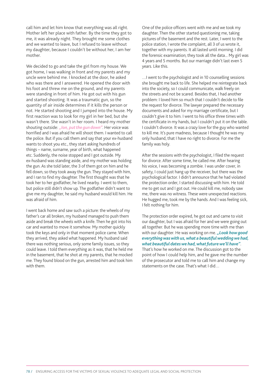call him and let him know that everything was all right. Mother left her place with father. By the time they got to me, it was already night. They brought me some clothes and we wanted to leave, but I refused to leave without my daughter, because I couldn't be without her, I am her mother.

We decided to go and take the girl from my house. We got home, I was walking in front and my parents and my uncle were behind me. I knocked at the door, he asked who was there and I answered. He opened the door with his foot and threw me on the ground, and my parents were standing in front of him. He got out with his gun and started shooting. It was a traumatic gun, so the quantity of air inside determines if it kills the person or not. He started shooting and I jumped into the house. My first reaction was to look for my girl in her bed, but she wasn't there. She wasn't in her room. I heard my mother shouting outside: *"Ion, put the gun down"*. Her voice was horrified and I was afraid he will shoot them. I wanted to call the police. But if you call them and say that your ex-husband wants to shoot you etc., they start asking hundreds of things – name, surname, year of birth, what happened etc. Suddenly, the noise stopped and I got outside. My ex-husband was standing aside, and my mother was holding the gun. As she told later, the 3 of them got on him and he fell down, so they took away the gun. They stayed with him, and I ran to find my daughter. The first thought was that he took her to her godfather, he lived nearby. I went to them, but police still didn't show up. The godfather didn't want to give me my daughter, he said my husband would kill him. He was afraid of him.

I went back home and saw such a picture: the wheels of my father's car all broken, my husband managed to push them aside and break the wheels with a knife. Then he got into his car and wanted to move it somehow. My mother quickly took the keys and only in that moment police came. When they arrived, they asked what happened. My husband said there was nothing serious, only some family issues, so they could leave. I told them everything as it was, that he held me in the basement, that he shot at my parents, that he mocked me. They found blood on the gun, arrested him and took him with them.

One of the police officers went with me and we took my daughter. Then the other started questioning me, taking pictures of the basement and the rest. Later, I went to the police station, I wrote the complaint, all 3 of us wrote it, together with my parents. It all lasted until morning. I did the forensic examination; they took all the data... My girl was 4 years and 5 months. But our marriage didn't last even 5 years. Like this.

…I went to the psychologist and in 10 counselling sessions she brought me back to life. She helped me reintegrate back into the society, so I could communicate, walk freely on the streets and not be scared. Besides that, I had another problem: I loved him so much that I couldn't decide to file the request for divorce. The lawyer prepared the necessary documents and asked for my marriage certificate, but I couldn't give it to him. I went to his office three times with the certificate in my hands, but I couldn't put it on the table. I couldn't divorce. It was a crazy love for the guy who wanted to kill me. It's pure madness, because I thought he was my only husband, that I have no right to divorce. For me the family was holy.

After the sessions with the psychologist, I filed the request for divorce. After some time, he called me. After hearing his voice, I was becoming a zombie. I was under cover, in safety, I could just hang up the receiver, but there was the psychological factor. I didn't announce that he had violated the protection order, I started discussing with him. He told me to get out and I got out. He could kill me, nobody saw me, there was no witness. These were unexpected reactions. He hugged me, took me by the hands. And I was feeling sick, I felt nothing for him.

The protection order expired, he got out and came to visit our daughter, but I was afraid for her and we were going out all together. But he was spending more time with me than with our daughter. He was working on me. "Look how good *everything was with us, what a beautiful wedding we had, what beautiful dates we had, what future we'll have"*. That's how he worked on me. The discussion got to the point of how I could help him, and he gave me the number of the prosecutor and told me to call him and change my statements on the case. That's what I did…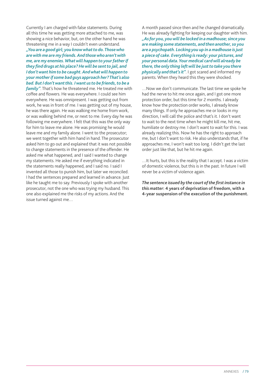Currently I am charged with false statements. During all this time he was getting more attached to me, was showing a nice behavior, but, on the other hand he was threatening me in a way I couldn't even understand.

*"You are a good girl; you know what to do. Those who are with me are my friends. And those who aren't with me, are my enemies. What will happen to your father if they find drugs at his place? He will be sent to jail, and I don't want him to be caught. And what will happen to your mother if some bad guys approach her? That's also bad. But I don't want this. I want us to be friends, to be a* 

*family"*. That's how he threatened me. He treated me with coffee and flowers. He was everywhere. I could see him everywhere. He was omnipresent. I was getting out from work, he was in front of me. I was getting out of my house, he was there again. He was walking me home from work, or was walking behind me, or next to me. Every day he was following me everywhere. I felt that this was the only way for him to leave me alone. He was promising he would leave me and my family alone. I went to the prosecutor; we went together with him hand in hand. The prosecutor asked him to go out and explained that it was not possible to change statements in the presence of the offender. He asked me what happened, and I said I wanted to change my statements. He asked me if everything indicated in the statements really happened, and I said no. I said I invented all those to punish him, but later we reconciled. I had the sentences prepared and learned in advance. Just like he taught me to say. Previously I spoke with another prosecutor, not the one who was trying my husband. This one also explained me the risks of my actions. And the issue turned against me…

A month passed since then and he changed dramatically. He was already fighting for keeping our daughter with him. *"As for you, you will be locked in a madhouse; since you are making some statements, and then another, so you are a psychopath. Locking you up in a madhouse is just a piece of cake. Everything is ready: your pictures, and your personal data. Your medical card will already be there, the only thing left will be just to take you there physically and that's it"*. I got scared and informed my parents. When they heard this they were shocked.

…Now we don't communicate. The last time we spoke he had the nerve to hit me once again, and I got one more protection order, but this time for 2 months. I already know how the protection order works, I already know many things. If only he approaches me or looks in my direction, I will call the police and that's it. I don't want to wait to the next time when he might kill me, hit me, humiliate or destroy me. I don't want to wait for this. I was already realizing this. Now he has the right to approach me, but I don't want to risk. He also understands that, if he approaches me, I won't wait too long. I didn't get the last order just like that, but he hit me again.

…It hurts, but this is the reality that I accept. I was a victim of domestic violence, but this is in the past. In future I will never be a victim of violence again.

*The sentence issued by the court of the first instance in this matter***: 4 years of deprivation of freedom, with a 4-year suspension of the execution of the punishment.**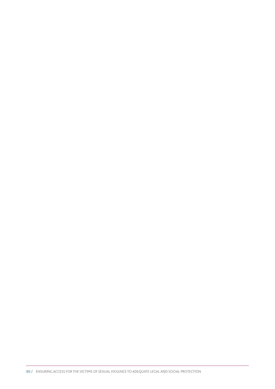**80 /** ENSURING ACCESS FOR THE VICTIMS OF SEXUAL VIOLENCE TO ADEQUATE LEGAL AND SOCIAL PROTECTION